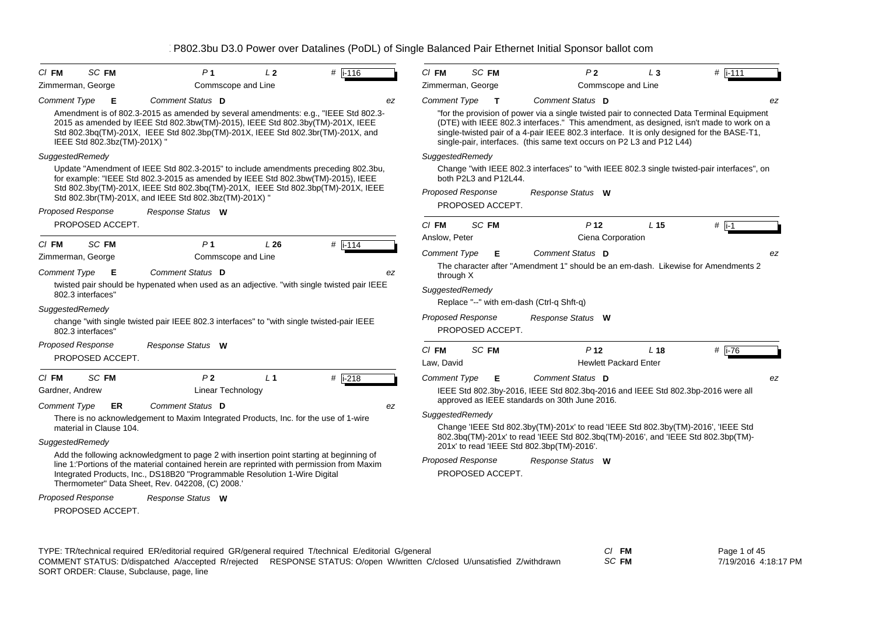| $CI$ FM                                      | SC FM        | P <sub>1</sub>                                                                                                                                                                                                                                                                                                           | L <sub>2</sub> | $#$ i-116            | $CI$ FM               | SC FM                                        |                                               | P <sub>2</sub>                                  | $L_3$                                                                 | $#$ i-111                                                                                                                                                                                                                                                                           |
|----------------------------------------------|--------------|--------------------------------------------------------------------------------------------------------------------------------------------------------------------------------------------------------------------------------------------------------------------------------------------------------------------------|----------------|----------------------|-----------------------|----------------------------------------------|-----------------------------------------------|-------------------------------------------------|-----------------------------------------------------------------------|-------------------------------------------------------------------------------------------------------------------------------------------------------------------------------------------------------------------------------------------------------------------------------------|
| Zimmerman, George                            |              | Commscope and Line                                                                                                                                                                                                                                                                                                       |                |                      |                       | Zimmerman, George                            |                                               | Commscope and Line                              |                                                                       |                                                                                                                                                                                                                                                                                     |
| <b>Comment Type</b>                          | Е            | Comment Status D                                                                                                                                                                                                                                                                                                         |                | ez                   | <b>Comment Type</b>   | $\mathbf{T}$                                 |                                               | Comment Status D                                |                                                                       | ez                                                                                                                                                                                                                                                                                  |
| IEEE Std 802.3bz(TM)-201X) "                 |              | Amendment is of 802.3-2015 as amended by several amendments: e.g., "IEEE Std 802.3-<br>2015 as amended by IEEE Std 802.3bw(TM)-2015), IEEE Std 802.3by(TM)-201X, IEEE<br>Std 802.3bq(TM)-201X, IEEE Std 802.3bp(TM)-201X, IEEE Std 802.3br(TM)-201X, and                                                                 |                |                      |                       |                                              |                                               |                                                 | single-pair, interfaces. (this same text occurs on P2 L3 and P12 L44) | "for the provision of power via a single twisted pair to connected Data Terminal Equipment<br>(DTE) with IEEE 802.3 interfaces." This amendment, as designed, isn't made to work on a<br>single-twisted pair of a 4-pair IEEE 802.3 interface. It is only designed for the BASE-T1, |
| SuggestedRemedy                              |              |                                                                                                                                                                                                                                                                                                                          |                |                      | SuggestedRemedy       |                                              |                                               |                                                 |                                                                       |                                                                                                                                                                                                                                                                                     |
|                                              |              | Update "Amendment of IEEE Std 802.3-2015" to include amendments preceding 802.3bu,<br>for example: "IEEE Std 802.3-2015 as amended by IEEE Std 802.3bw(TM)-2015), IEEE<br>Std 802.3by(TM)-201X, IEEE Std 802.3bq(TM)-201X, IEEE Std 802.3bp(TM)-201X, IEEE                                                               |                |                      |                       | both P2L3 and P12L44.<br>Proposed Response   |                                               |                                                 |                                                                       | Change "with IEEE 802.3 interfaces" to "with IEEE 802.3 single twisted-pair interfaces", on                                                                                                                                                                                         |
|                                              |              | Std 802.3br(TM)-201X, and IEEE Std 802.3bz(TM)-201X) "                                                                                                                                                                                                                                                                   |                |                      |                       | PROPOSED ACCEPT.                             |                                               | Response Status W                               |                                                                       |                                                                                                                                                                                                                                                                                     |
| <b>Proposed Response</b>                     |              | Response Status W                                                                                                                                                                                                                                                                                                        |                |                      |                       |                                              |                                               |                                                 |                                                                       |                                                                                                                                                                                                                                                                                     |
| PROPOSED ACCEPT.                             |              |                                                                                                                                                                                                                                                                                                                          |                |                      | $CI$ FM               | SC FM                                        |                                               | P <sub>12</sub>                                 | L <sub>15</sub>                                                       | $#$ i-1                                                                                                                                                                                                                                                                             |
| $CI$ FM                                      | <b>SC FM</b> | P <sub>1</sub>                                                                                                                                                                                                                                                                                                           | L26            | $#$ i-114            | Anslow, Peter         |                                              |                                               | Ciena Corporation                               |                                                                       |                                                                                                                                                                                                                                                                                     |
| Zimmerman, George                            |              | Commscope and Line                                                                                                                                                                                                                                                                                                       |                |                      | <b>Comment Type</b>   | Е                                            |                                               | Comment Status D                                |                                                                       | ez                                                                                                                                                                                                                                                                                  |
| <b>Comment Type</b>                          | E            | Comment Status D                                                                                                                                                                                                                                                                                                         |                | ez                   | through X             |                                              |                                               |                                                 |                                                                       | The character after "Amendment 1" should be an em-dash. Likewise for Amendments 2                                                                                                                                                                                                   |
| 802.3 interfaces"                            |              | twisted pair should be hypenated when used as an adjective. "with single twisted pair IEEE                                                                                                                                                                                                                               |                |                      | SuggestedRemedy       |                                              |                                               |                                                 |                                                                       |                                                                                                                                                                                                                                                                                     |
| SuggestedRemedy                              |              |                                                                                                                                                                                                                                                                                                                          |                |                      |                       |                                              | Replace "--" with em-dash (Ctrl-q Shft-q)     |                                                 |                                                                       |                                                                                                                                                                                                                                                                                     |
| 802.3 interfaces"                            |              | change "with single twisted pair IEEE 802.3 interfaces" to "with single twisted-pair IEEE                                                                                                                                                                                                                                |                |                      |                       | <b>Proposed Response</b><br>PROPOSED ACCEPT. |                                               | Response Status W                               |                                                                       |                                                                                                                                                                                                                                                                                     |
| <b>Proposed Response</b><br>PROPOSED ACCEPT. |              | Response Status W                                                                                                                                                                                                                                                                                                        |                |                      | $CI$ FM<br>Law, David | SC FM                                        |                                               | P <sub>12</sub><br><b>Hewlett Packard Enter</b> | L <sub>18</sub>                                                       | # $\overline{11-76}$                                                                                                                                                                                                                                                                |
| $CI$ FM                                      | SC FM        | P <sub>2</sub>                                                                                                                                                                                                                                                                                                           | L <sub>1</sub> | # $\overline{1-218}$ | <b>Comment Type</b>   | Е                                            |                                               | Comment Status D                                |                                                                       | ez                                                                                                                                                                                                                                                                                  |
| Gardner, Andrew                              |              | <b>Linear Technology</b>                                                                                                                                                                                                                                                                                                 |                |                      |                       |                                              | approved as IEEE standards on 30th June 2016. |                                                 |                                                                       | IEEE Std 802.3by-2016, IEEE Std 802.3bq-2016 and IEEE Std 802.3bp-2016 were all                                                                                                                                                                                                     |
| <b>Comment Type</b>                          | ER.          | Comment Status D                                                                                                                                                                                                                                                                                                         |                | ez                   | SuggestedRemedy       |                                              |                                               |                                                 |                                                                       |                                                                                                                                                                                                                                                                                     |
| material in Clause 104.                      |              | There is no acknowledgement to Maxim Integrated Products, Inc. for the use of 1-wire                                                                                                                                                                                                                                     |                |                      |                       |                                              |                                               |                                                 |                                                                       | Change 'IEEE Std 802.3by(TM)-201x' to read 'IEEE Std 802.3by(TM)-2016', 'IEEE Std<br>802.3bq(TM)-201x' to read 'IEEE Std 802.3bq(TM)-2016', and 'IEEE Std 802.3bp(TM)-                                                                                                              |
| SuggestedRemedy                              |              |                                                                                                                                                                                                                                                                                                                          |                |                      |                       |                                              | 201x' to read 'IEEE Std 802.3bp(TM)-2016'.    |                                                 |                                                                       |                                                                                                                                                                                                                                                                                     |
|                                              |              | Add the following acknowledgment to page 2 with insertion point starting at beginning of<br>line 1: Portions of the material contained herein are reprinted with permission from Maxim<br>Integrated Products, Inc., DS18B20 "Programmable Resolution 1-Wire Digital<br>Thermometer" Data Sheet, Rev. 042208, (C) 2008.' |                |                      |                       | <b>Proposed Response</b><br>PROPOSED ACCEPT. |                                               | Response Status W                               |                                                                       |                                                                                                                                                                                                                                                                                     |
| <b>Proposed Response</b><br>PROPOSED ACCEPT. |              | Response Status W                                                                                                                                                                                                                                                                                                        |                |                      |                       |                                              |                                               |                                                 |                                                                       |                                                                                                                                                                                                                                                                                     |

| TYPE: TR/technical required ER/editorial required GR/general required T/technical E/editorial G/general |                                                                      | CI FM | Page 1 of 45         |
|---------------------------------------------------------------------------------------------------------|----------------------------------------------------------------------|-------|----------------------|
| COMMENT STATUS: D/dispatched A/accepted R/rejected                                                      | RESPONSE STATUS: O/open W/written C/closed U/unsatisfied Z/withdrawn | SC FM | 7/19/2016 4:18:17 PM |
| SORT ORDER: Clause, Subclause, page, line                                                               |                                                                      |       |                      |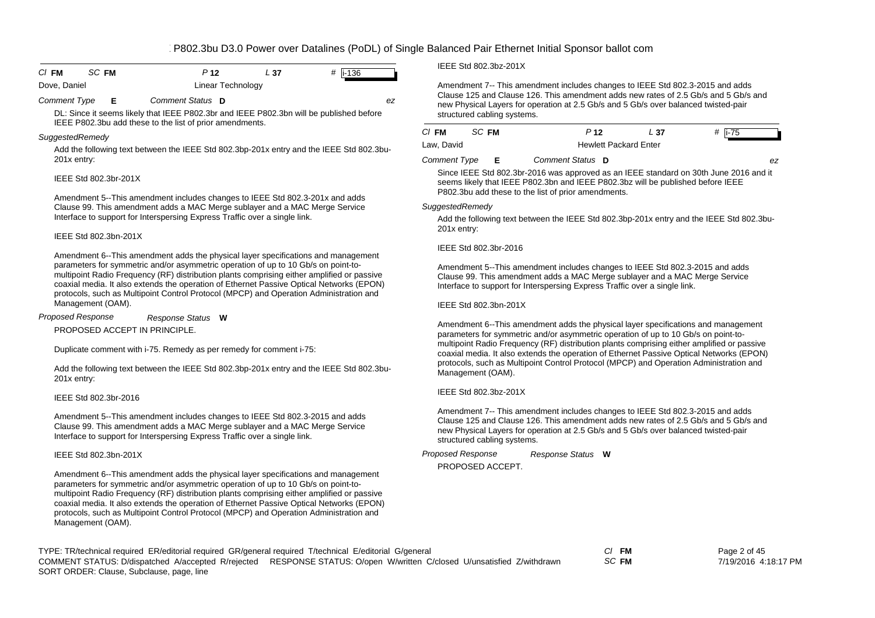| $CI$ FM      | SC FM | P 12              | - 37 | # $\vert$ i-136 |  |
|--------------|-------|-------------------|------|-----------------|--|
| Dove, Daniel |       | Linear Technology |      |                 |  |

*Comment Type* **E** *Comment Status* **D** *ez*

DL: Since it seems likely that IEEE P802.3br and IEEE P802.3bn will be published before IEEE P802.3bu add these to the list of prior amendments.

#### *SuggestedRemedy*

Add the following text between the IEEE Std 802.3bp-201x entry and the IEEE Std 802.3bu-201x entry:

#### IEEE Std 802.3br-201X

Amendment 5--This amendment includes changes to IEEE Std 802.3-201x and adds Clause 99. This amendment adds a MAC Merge sublayer and a MAC Merge Service Interface to support for Interspersing Express Traffic over a single link.

#### IEEE Std 802.3bn-201X

Amendment 6--This amendment adds the physical layer specifications and management parameters for symmetric and/or asymmetric operation of up to 10 Gb/s on point-tomultipoint Radio Frequency (RF) distribution plants comprising either amplified or passive coaxial media. It also extends the operation of Ethernet Passive Optical Networks (EPON) protocols, such as Multipoint Control Protocol (MPCP) and Operation Administration and Management (OAM).

PROPOSED ACCEPT IN PRINCIPLE.*Response Status* **W** *Proposed Response*

Duplicate comment with i-75. Remedy as per remedy for comment i-75:

Add the following text between the IEEE Std 802.3bp-201x entry and the IEEE Std 802.3bu-201x entry:

#### IEEE Std 802.3br-2016

Amendment 5--This amendment includes changes to IEEE Std 802.3-2015 and adds Clause 99. This amendment adds a MAC Merge sublayer and a MAC Merge Service Interface to support for Interspersing Express Traffic over a single link.

### IEEE Std 802.3bn-201X

Amendment 6--This amendment adds the physical layer specifications and management parameters for symmetric and/or asymmetric operation of up to 10 Gb/s on point-tomultipoint Radio Frequency (RF) distribution plants comprising either amplified or passive coaxial media. It also extends the operation of Ethernet Passive Optical Networks (EPON) protocols, such as Multipoint Control Protocol (MPCP) and Operation Administration and Management (OAM).

IEEE Std 802.3bz-201X

Amendment 7-- This amendment includes changes to IEEE Std 802.3-2015 and adds Clause 125 and Clause 126. This amendment adds new rates of 2.5 Gb/s and 5 Gb/s and new Physical Layers for operation at 2.5 Gb/s and 5 Gb/s over balanced twisted-pair structured cabling systems.

| CI FM               | SC FM |    | P <sub>12</sub>  | L 37                         | # $i-75$                                                                              |
|---------------------|-------|----|------------------|------------------------------|---------------------------------------------------------------------------------------|
| Law, David          |       |    |                  | <b>Hewlett Packard Enter</b> |                                                                                       |
| <b>Comment Type</b> |       | E. | Comment Status D |                              | ez.                                                                                   |
|                     |       |    |                  |                              | Since IEEE Std 802.3br-2016 was approved as an IEEE standard on 30th June 2016 and it |

seems likely that IEEE P802.3bn and IEEE P802.3bz will be published before IEEE P802.3bu add these to the list of prior amendments.

### *SuggestedRemedy*

Add the following text between the IEEE Std 802.3bp-201x entry and the IEEE Std 802.3bu-201x entry:

#### IEEE Std 802.3br-2016

Amendment 5--This amendment includes changes to IEEE Std 802.3-2015 and adds Clause 99. This amendment adds a MAC Merge sublayer and a MAC Merge Service Interface to support for Interspersing Express Traffic over a single link.

### IEEE Std 802.3bn-201X

Amendment 6--This amendment adds the physical layer specifications and management parameters for symmetric and/or asymmetric operation of up to 10 Gb/s on point-tomultipoint Radio Frequency (RF) distribution plants comprising either amplified or passive coaxial media. It also extends the operation of Ethernet Passive Optical Networks (EPON) protocols, such as Multipoint Control Protocol (MPCP) and Operation Administration and Management (OAM).

### IEEE Std 802.3bz-201X

Amendment 7-- This amendment includes changes to IEEE Std 802.3-2015 and adds Clause 125 and Clause 126. This amendment adds new rates of 2.5 Gb/s and 5 Gb/s and new Physical Layers for operation at 2.5 Gb/s and 5 Gb/s over balanced twisted-pair structured cabling systems.

*Response Status* **W** *Proposed Response*

PROPOSED ACCEPT.

TYPE: TR/technical required ER/editorial required GR/general required T/technical E/editorial G/general *Cl* **FM** SORT ORDER: Clause, Subclause, page, line COMMENT STATUS: D/dispatched A/accepted R/rejected RESPONSE STATUS: O/open W/written C/closed U/unsatisfied Z/withdrawn

*SC* **FM**

Page 2 of 45 7/19/2016 4:18:17 PM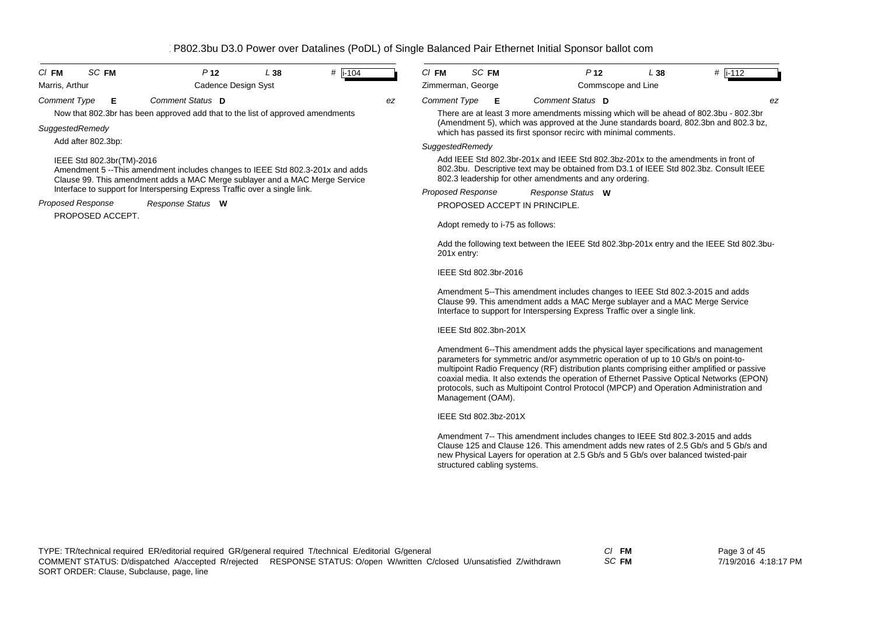| <b>SC FM</b><br>$CI$ FM   | P <sub>12</sub>                                                                                                                                              | L38 | $\#$ i-104 |    | $CI$ FM                  | SC FM                            | P <sub>12</sub>                                                                                                                                                                                                                                                                                                                                                                                                                                             | L38 | $\#$ i-112 |
|---------------------------|--------------------------------------------------------------------------------------------------------------------------------------------------------------|-----|------------|----|--------------------------|----------------------------------|-------------------------------------------------------------------------------------------------------------------------------------------------------------------------------------------------------------------------------------------------------------------------------------------------------------------------------------------------------------------------------------------------------------------------------------------------------------|-----|------------|
| Marris, Arthur            | Cadence Design Syst                                                                                                                                          |     |            |    | Zimmerman, George        |                                  | Commscope and Line                                                                                                                                                                                                                                                                                                                                                                                                                                          |     |            |
| <b>Comment Type</b><br>Е  | Comment Status D                                                                                                                                             |     |            | ez | <b>Comment Type</b>      | E                                | Comment Status D                                                                                                                                                                                                                                                                                                                                                                                                                                            |     | ez         |
|                           | Now that 802.3br has been approved add that to the list of approved amendments                                                                               |     |            |    |                          |                                  | There are at least 3 more amendments missing which will be ahead of 802.3bu - 802.3br                                                                                                                                                                                                                                                                                                                                                                       |     |            |
| SuggestedRemedy           |                                                                                                                                                              |     |            |    |                          |                                  | (Amendment 5), which was approved at the June standards board, 802.3bn and 802.3 bz,<br>which has passed its first sponsor recirc with minimal comments.                                                                                                                                                                                                                                                                                                    |     |            |
| Add after 802.3bp:        |                                                                                                                                                              |     |            |    | SuggestedRemedy          |                                  |                                                                                                                                                                                                                                                                                                                                                                                                                                                             |     |            |
| IEEE Std 802.3br(TM)-2016 | Amendment 5 --This amendment includes changes to IEEE Std 802.3-201x and adds<br>Clause 99. This amendment adds a MAC Merge sublayer and a MAC Merge Service |     |            |    |                          |                                  | Add IEEE Std 802.3br-201x and IEEE Std 802.3bz-201x to the amendments in front of<br>802.3bu. Descriptive text may be obtained from D3.1 of IEEE Std 802.3bz. Consult IEEE<br>802.3 leadership for other amendments and any ordering.                                                                                                                                                                                                                       |     |            |
|                           | Interface to support for Interspersing Express Traffic over a single link.                                                                                   |     |            |    | <b>Proposed Response</b> |                                  | Response Status W                                                                                                                                                                                                                                                                                                                                                                                                                                           |     |            |
| <b>Proposed Response</b>  | Response Status W                                                                                                                                            |     |            |    |                          |                                  | PROPOSED ACCEPT IN PRINCIPLE.                                                                                                                                                                                                                                                                                                                                                                                                                               |     |            |
| PROPOSED ACCEPT.          |                                                                                                                                                              |     |            |    |                          | Adopt remedy to i-75 as follows: |                                                                                                                                                                                                                                                                                                                                                                                                                                                             |     |            |
|                           |                                                                                                                                                              |     |            |    | 201x entry:              |                                  | Add the following text between the IEEE Std 802.3bp-201x entry and the IEEE Std 802.3bu-                                                                                                                                                                                                                                                                                                                                                                    |     |            |
|                           |                                                                                                                                                              |     |            |    |                          | IEEE Std 802.3br-2016            |                                                                                                                                                                                                                                                                                                                                                                                                                                                             |     |            |
|                           |                                                                                                                                                              |     |            |    |                          |                                  | Amendment 5--This amendment includes changes to IEEE Std 802.3-2015 and adds<br>Clause 99. This amendment adds a MAC Merge sublayer and a MAC Merge Service<br>Interface to support for Interspersing Express Traffic over a single link.                                                                                                                                                                                                                   |     |            |
|                           |                                                                                                                                                              |     |            |    |                          | IEEE Std 802.3bn-201X            |                                                                                                                                                                                                                                                                                                                                                                                                                                                             |     |            |
|                           |                                                                                                                                                              |     |            |    |                          | Management (OAM).                | Amendment 6--This amendment adds the physical layer specifications and management<br>parameters for symmetric and/or asymmetric operation of up to 10 Gb/s on point-to-<br>multipoint Radio Frequency (RF) distribution plants comprising either amplified or passive<br>coaxial media. It also extends the operation of Ethernet Passive Optical Networks (EPON)<br>protocols, such as Multipoint Control Protocol (MPCP) and Operation Administration and |     |            |
|                           |                                                                                                                                                              |     |            |    |                          | IEEE Std 802.3bz-201X            |                                                                                                                                                                                                                                                                                                                                                                                                                                                             |     |            |
|                           |                                                                                                                                                              |     |            |    |                          |                                  | Amendment 7-- This amendment includes changes to IEEE Std 802.3-2015 and adds<br>Clause 125 and Clause 126. This amendment adds new rates of 2.5 Gb/s and 5 Gb/s and<br>new Physical Layers for operation at 2.5 Gb/s and 5 Gb/s over balanced twisted-pair                                                                                                                                                                                                 |     |            |

structured cabling systems.

*SC* **FM**

Page 3 of 45 7/19/2016 4:18:17 PM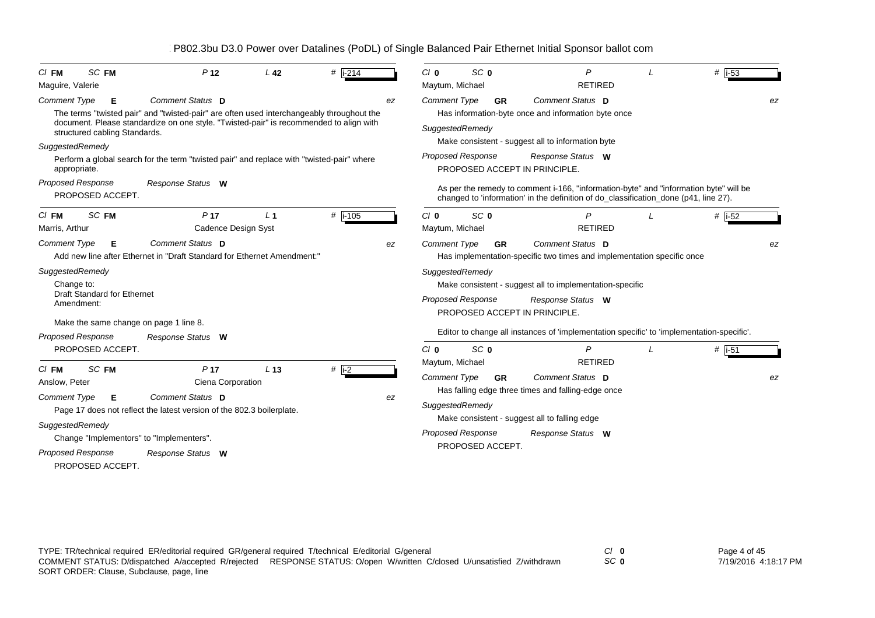| SC FM<br>$CI$ FM<br>Maguire, Valerie                                                                                      | P <sub>12</sub>                                                                                                                                                                                         | L <sub>42</sub> | $#$ i-214 |    | Cl <sub>0</sub><br>Maytum, Michael                                                                                                                                           | SC <sub>0</sub>               | P<br><b>RETIRED</b>                                                                                                                                                           |  | # $\vert$ i-53 |  |  |  |
|---------------------------------------------------------------------------------------------------------------------------|---------------------------------------------------------------------------------------------------------------------------------------------------------------------------------------------------------|-----------------|-----------|----|------------------------------------------------------------------------------------------------------------------------------------------------------------------------------|-------------------------------|-------------------------------------------------------------------------------------------------------------------------------------------------------------------------------|--|----------------|--|--|--|
| <b>Comment Type</b><br>E.<br>structured cabling Standards.<br>SuggestedRemedy                                             | Comment Status D<br>The terms "twisted pair" and "twisted-pair" are often used interchangeably throughout the<br>document. Please standardize on one style. "Twisted-pair" is recommended to align with |                 |           | ez | Comment Status D<br>Comment Type<br><b>GR</b><br>Has information-byte once and information byte once<br>SuggestedRemedy<br>Make consistent - suggest all to information byte |                               |                                                                                                                                                                               |  |                |  |  |  |
| appropriate.                                                                                                              | Perform a global search for the term "twisted pair" and replace with "twisted-pair" where                                                                                                               |                 |           |    | <b>Proposed Response</b>                                                                                                                                                     |                               | Response Status W<br>PROPOSED ACCEPT IN PRINCIPLE.                                                                                                                            |  |                |  |  |  |
| <b>Proposed Response</b><br>PROPOSED ACCEPT.                                                                              | Response Status W                                                                                                                                                                                       |                 |           |    |                                                                                                                                                                              |                               | As per the remedy to comment i-166, "information-byte" and "information byte" will be<br>changed to 'information' in the definition of do_classification_done (p41, line 27). |  |                |  |  |  |
| SC FM<br>$C/I$ FM<br>Marris, Arthur                                                                                       | P <sub>17</sub><br>Cadence Design Syst                                                                                                                                                                  | L <sub>1</sub>  | $#$ i-105 |    | Cl <sub>0</sub><br>Maytum, Michael                                                                                                                                           | SC 0                          | P<br><b>RETIRED</b>                                                                                                                                                           |  | $#$ i-52       |  |  |  |
| <b>Comment Type</b><br>Е                                                                                                  | Comment Status D<br>Add new line after Ethernet in "Draft Standard for Ethernet Amendment:"                                                                                                             |                 |           | ez | <b>Comment Type</b>                                                                                                                                                          | <b>GR</b>                     | Comment Status D<br>Has implementation-specific two times and implementation specific once                                                                                    |  | ez             |  |  |  |
| SuggestedRemedy<br>Change to:<br><b>Draft Standard for Ethernet</b><br>Amendment:                                         |                                                                                                                                                                                                         |                 |           |    | SuggestedRemedy<br>Proposed Response                                                                                                                                         |                               | Make consistent - suggest all to implementation-specific<br>Response Status W<br>PROPOSED ACCEPT IN PRINCIPLE.                                                                |  |                |  |  |  |
| Make the same change on page 1 line 8.                                                                                    |                                                                                                                                                                                                         |                 |           |    |                                                                                                                                                                              |                               | Editor to change all instances of 'implementation specific' to 'implementation-specific'.                                                                                     |  |                |  |  |  |
| <b>Proposed Response</b><br>PROPOSED ACCEPT.                                                                              | Response Status W                                                                                                                                                                                       |                 |           |    | Cl <sub>0</sub>                                                                                                                                                              | SC <sub>0</sub>               | $\overline{P}$                                                                                                                                                                |  | $#$ i-51       |  |  |  |
| SC FM<br>$CI$ FM<br>Anslow, Peter<br><b>Comment Type</b><br>Е<br>SuggestedRemedy<br>Proposed Response<br>PROPOSED ACCEPT. | P <sub>17</sub><br>Ciena Corporation<br>Comment Status D<br>Page 17 does not reflect the latest version of the 802.3 boilerplate.<br>Change "Implementors" to "Implementers".<br>Response Status W      | L <sub>13</sub> | $#$ i-2   | ez | Maytum, Michael<br><b>Comment Type</b><br>SuggestedRemedy<br><b>Proposed Response</b>                                                                                        | <b>GR</b><br>PROPOSED ACCEPT. | <b>RETIRED</b><br>Comment Status D<br>Has falling edge three times and falling-edge once<br>Make consistent - suggest all to falling edge<br>Response Status W                |  | ez             |  |  |  |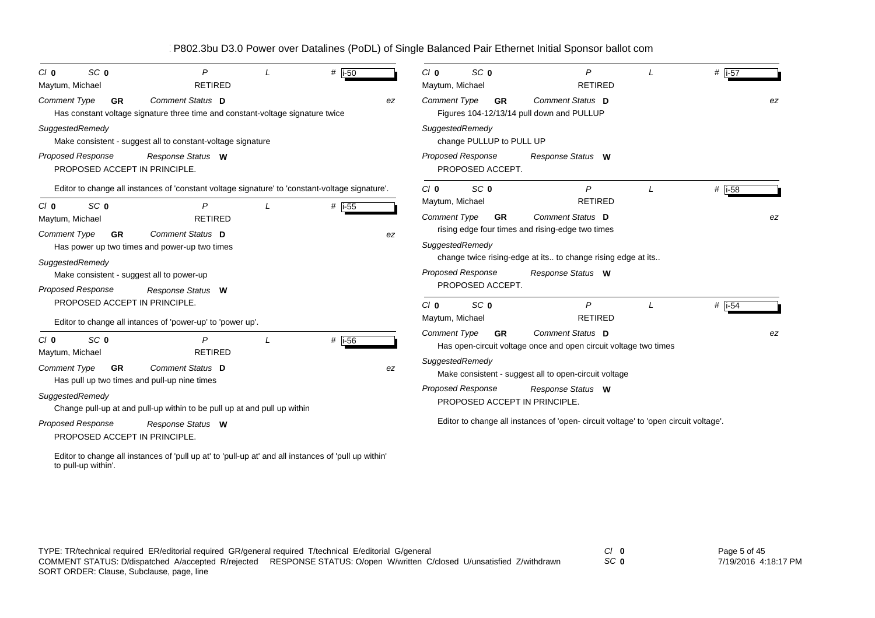| SC <sub>0</sub><br>$C/I$ 0<br>Maytum, Michael                                            | P<br><b>RETIRED</b>                                                                                  | # i-50              |    | $C/I$ 0<br>Maytum, Michael      | SC <sub>0</sub>          | P<br><b>RETIRED</b>                                                                  | # i-57         |    |
|------------------------------------------------------------------------------------------|------------------------------------------------------------------------------------------------------|---------------------|----|---------------------------------|--------------------------|--------------------------------------------------------------------------------------|----------------|----|
| <b>Comment Type</b><br><b>GR</b>                                                         | Comment Status D<br>Has constant voltage signature three time and constant-voltage signature twice   |                     | ez | <b>Comment Type</b>             | <b>GR</b>                | Comment Status D<br>Figures 104-12/13/14 pull down and PULLUP                        |                | ez |
| SuggestedRemedy                                                                          | Make consistent - suggest all to constant-voltage signature                                          |                     |    | SuggestedRemedy                 | change PULLUP to PULL UP |                                                                                      |                |    |
| <b>Proposed Response</b><br>PROPOSED ACCEPT IN PRINCIPLE.                                | Response Status W                                                                                    |                     |    | Proposed Response               | PROPOSED ACCEPT.         | Response Status W                                                                    |                |    |
| SC <sub>0</sub><br>$C/I$ 0                                                               | Editor to change all instances of 'constant voltage signature' to 'constant-voltage signature'.<br>P | # $\overline{1.55}$ |    | $C/I$ 0<br>Maytum, Michael      | SC <sub>0</sub>          | $\mathsf{P}$<br><b>RETIRED</b>                                                       | # $\vert$ i-58 |    |
| Maytum, Michael<br><b>Comment Type</b><br><b>GR</b>                                      | <b>RETIRED</b><br>Comment Status D<br>Has power up two times and power-up two times                  |                     | ez | Comment Type<br>SuggestedRemedy | <b>GR</b>                | Comment Status D<br>rising edge four times and rising-edge two times                 |                | ez |
| SuggestedRemedy<br>Make consistent - suggest all to power-up<br><b>Proposed Response</b> | Response Status W                                                                                    |                     |    | Proposed Response               | PROPOSED ACCEPT.         | change twice rising-edge at its to change rising edge at its<br>Response Status W    |                |    |
| PROPOSED ACCEPT IN PRINCIPLE.                                                            | Editor to change all intances of 'power-up' to 'power up'.                                           |                     |    | $C/I$ 0<br>Maytum, Michael      | SC <sub>0</sub>          | $\overline{P}$<br><b>RETIRED</b>                                                     | # $ i-54$      |    |
| SC <sub>0</sub><br>Cl <sub>0</sub><br>Maytum, Michael                                    | <b>RETIRED</b>                                                                                       | # i-56              |    | <b>Comment Type</b>             | <b>GR</b>                | Comment Status D<br>Has open-circuit voltage once and open circuit voltage two times |                |    |
| <b>Comment Type</b><br><b>GR</b>                                                         | Comment Status D<br>Has pull up two times and pull-up nine times                                     |                     | ez | SuggestedRemedy                 |                          | Make consistent - suggest all to open-circuit voltage                                |                |    |
| SuggestedRemedy                                                                          | Change pull-up at and pull-up within to be pull up at and pull up within                             |                     |    | Proposed Response               |                          | Response Status W<br>PROPOSED ACCEPT IN PRINCIPLE.                                   |                |    |
| Proposed Response<br>PROPOSED ACCEPT IN PRINCIPLE.                                       | Response Status W                                                                                    |                     |    |                                 |                          | Editor to change all instances of 'open- circuit voltage' to 'open circuit voltage'. |                |    |
|                                                                                          | Editor to change all instances of 'pull up at' to 'pull-up at' and all instances of 'pull up within' |                     |    |                                 |                          |                                                                                      |                |    |

to pull-up within'.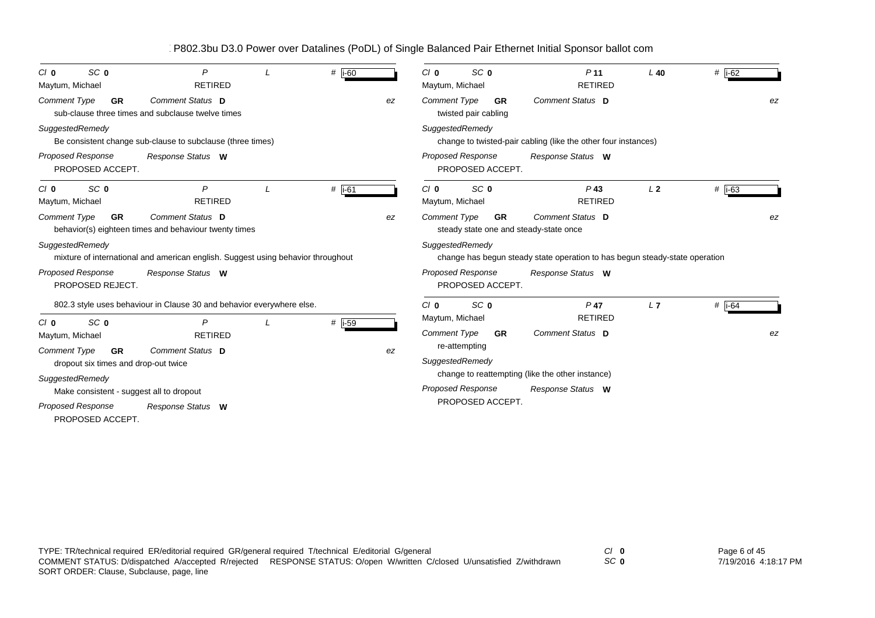| SC <sub>0</sub><br>$C/I$ 0<br>Maytum, Michael                            | P<br><b>RETIRED</b>                                                              | $#$ i-60 |    | SC <sub>0</sub><br>$C/I$ 0<br>Maytum, Michael                              | P <sub>11</sub><br><b>RETIRED</b>                                           | $L$ 40         | # $\overline{1.62}$ |
|--------------------------------------------------------------------------|----------------------------------------------------------------------------------|----------|----|----------------------------------------------------------------------------|-----------------------------------------------------------------------------|----------------|---------------------|
| <b>Comment Type</b><br><b>GR</b>                                         | Comment Status D<br>sub-clause three times and subclause twelve times            |          | ez | <b>Comment Type</b><br><b>GR</b><br>twisted pair cabling                   | Comment Status D                                                            |                | ez                  |
| SuggestedRemedy                                                          | Be consistent change sub-clause to subclause (three times)                       |          |    | SuggestedRemedy                                                            | change to twisted-pair cabling (like the other four instances)              |                |                     |
| <b>Proposed Response</b><br>PROPOSED ACCEPT.                             | Response Status W                                                                |          |    | <b>Proposed Response</b><br>PROPOSED ACCEPT.                               | Response Status W                                                           |                |                     |
| SC <sub>0</sub><br>$C/I$ 0<br>Maytum, Michael                            | P<br><b>RETIRED</b>                                                              | $#$ i-61 |    | SC <sub>0</sub><br>$C/I$ 0<br>Maytum, Michael                              | $P$ 43<br><b>RETIRED</b>                                                    | L <sub>2</sub> | $#$ i-63            |
| <b>Comment Type</b><br><b>GR</b>                                         | Comment Status D<br>behavior(s) eighteen times and behaviour twenty times        |          | ez | <b>Comment Type</b><br><b>GR</b><br>steady state one and steady-state once | Comment Status D                                                            |                | ez                  |
| SuggestedRemedy                                                          | mixture of international and american english. Suggest using behavior throughout |          |    | SuggestedRemedy                                                            | change has begun steady state operation to has begun steady-state operation |                |                     |
| <b>Proposed Response</b><br>PROPOSED REJECT.                             | Response Status W                                                                |          |    | <b>Proposed Response</b><br>PROPOSED ACCEPT.                               | Response Status W                                                           |                |                     |
|                                                                          | 802.3 style uses behaviour in Clause 30 and behavior everywhere else.            |          |    | SC <sub>0</sub><br>Cl <sub>0</sub>                                         | $P$ 47                                                                      | L7             | # $\overline{1.64}$ |
| SC <sub>0</sub><br>$C/I$ 0<br>Maytum, Michael                            | P<br><b>RETIRED</b>                                                              | # i-59   |    | Maytum, Michael<br><b>Comment Type</b><br><b>GR</b>                        | <b>RETIRED</b><br>Comment Status D                                          |                | ez                  |
| <b>Comment Type</b><br><b>GR</b><br>dropout six times and drop-out twice | Comment Status D                                                                 |          | ez | re-attempting<br>SuggestedRemedy                                           |                                                                             |                |                     |
| SuggestedRemedy                                                          |                                                                                  |          |    |                                                                            | change to reattempting (like the other instance)                            |                |                     |
| Make consistent - suggest all to dropout                                 |                                                                                  |          |    | <b>Proposed Response</b>                                                   | Response Status W                                                           |                |                     |
| Proposed Response<br>PROPOSED ACCEPT.                                    | Response Status W                                                                |          |    | PROPOSED ACCEPT.                                                           |                                                                             |                |                     |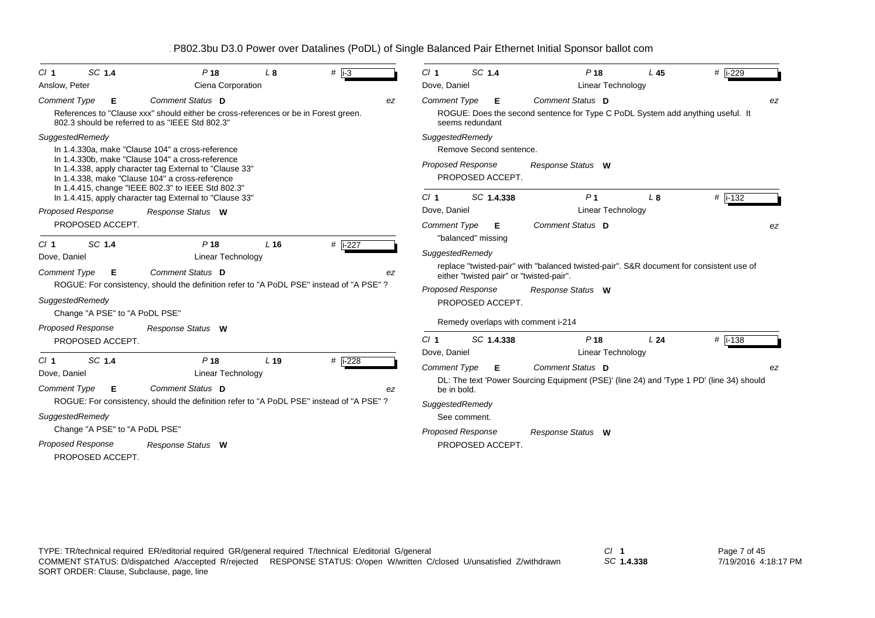| SC 1.4<br>Cl <sub>1</sub>      | P <sub>18</sub>                                                                                                                                                                                                      | L <sub>8</sub>  | $#$ i-3              | $CI$ 1                          |                    | SC 1.4                  | P <sub>18</sub>                                                                          | L <sub>45</sub> | # i-229      |
|--------------------------------|----------------------------------------------------------------------------------------------------------------------------------------------------------------------------------------------------------------------|-----------------|----------------------|---------------------------------|--------------------|-------------------------|------------------------------------------------------------------------------------------|-----------------|--------------|
| Anslow, Peter                  | Ciena Corporation                                                                                                                                                                                                    |                 |                      | Dove, Daniel                    |                    |                         | <b>Linear Technology</b>                                                                 |                 |              |
| <b>Comment Type</b><br>Е       | Comment Status D                                                                                                                                                                                                     |                 | ez                   | <b>Comment Type</b>             |                    | Е                       | Comment Status D                                                                         |                 | ez           |
|                                | References to "Clause xxx" should either be cross-references or be in Forest green.<br>802.3 should be referred to as "IEEE Std 802.3"                                                                               |                 |                      |                                 | seems redundant    |                         | ROGUE: Does the second sentence for Type C PoDL System add anything useful. It           |                 |              |
| SuggestedRemedy                |                                                                                                                                                                                                                      |                 |                      | SuggestedRemedy                 |                    |                         |                                                                                          |                 |              |
|                                | In 1.4.330a, make "Clause 104" a cross-reference                                                                                                                                                                     |                 |                      |                                 |                    | Remove Second sentence. |                                                                                          |                 |              |
|                                | In 1.4.330b, make "Clause 104" a cross-reference<br>In 1.4.338, apply character tag External to "Clause 33"<br>In 1.4.338, make "Clause 104" a cross-reference<br>In 1.4.415, change "IEEE 802.3" to IEEE Std 802.3" |                 |                      | <b>Proposed Response</b>        |                    | PROPOSED ACCEPT.        | Response Status W                                                                        |                 |              |
|                                | In 1.4.415, apply character tag External to "Clause 33"                                                                                                                                                              |                 |                      | Cl <sub>1</sub>                 |                    | SC 1.4.338              | P <sub>1</sub>                                                                           | L8              | # $ i - 132$ |
| <b>Proposed Response</b>       | Response Status W                                                                                                                                                                                                    |                 |                      | Dove, Daniel                    |                    |                         | <b>Linear Technology</b>                                                                 |                 |              |
| PROPOSED ACCEPT.               |                                                                                                                                                                                                                      |                 |                      | <b>Comment Type</b>             | "balanced" missing | Е                       | Comment Status D                                                                         |                 | ez           |
| SC 1.4<br>Cl <sub>1</sub>      | P <sub>18</sub>                                                                                                                                                                                                      | L <sub>16</sub> | # $\overline{1-227}$ | SuggestedRemedy                 |                    |                         |                                                                                          |                 |              |
| Dove, Daniel                   | Linear Technology                                                                                                                                                                                                    |                 |                      |                                 |                    |                         | replace "twisted-pair" with "balanced twisted-pair". S&R document for consistent use of  |                 |              |
| <b>Comment Type</b><br>Е       | Comment Status D                                                                                                                                                                                                     |                 | ez                   |                                 |                    |                         | either "twisted pair" or "twisted-pair".                                                 |                 |              |
|                                | ROGUE: For consistency, should the definition refer to "A PoDL PSE" instead of "A PSE" ?                                                                                                                             |                 |                      | <b>Proposed Response</b>        |                    |                         | Response Status W                                                                        |                 |              |
| SuggestedRemedy                |                                                                                                                                                                                                                      |                 |                      |                                 |                    | PROPOSED ACCEPT.        |                                                                                          |                 |              |
| Change "A PSE" to "A PoDL PSE" |                                                                                                                                                                                                                      |                 |                      |                                 |                    |                         | Remedy overlaps with comment i-214                                                       |                 |              |
| Proposed Response              | Response Status W                                                                                                                                                                                                    |                 |                      |                                 |                    |                         |                                                                                          |                 |              |
| PROPOSED ACCEPT.               |                                                                                                                                                                                                                      |                 |                      | Cl <sub>1</sub><br>Dove, Daniel |                    | SC 1.4.338              | P <sub>18</sub><br><b>Linear Technology</b>                                              | L24             | # $ i - 138$ |
| SC 1.4<br>Cl <sub>1</sub>      | P <sub>18</sub>                                                                                                                                                                                                      | L <sub>19</sub> | # i-228              | <b>Comment Type</b>             |                    | Е.                      | Comment Status D                                                                         |                 | ez           |
| Dove, Daniel                   | Linear Technology                                                                                                                                                                                                    |                 |                      |                                 |                    |                         | DL: The text 'Power Sourcing Equipment (PSE)' (line 24) and 'Type 1 PD' (line 34) should |                 |              |
| <b>Comment Type</b><br>E       | <b>Comment Status D</b>                                                                                                                                                                                              |                 | ez                   |                                 | be in bold.        |                         |                                                                                          |                 |              |
|                                | ROGUE: For consistency, should the definition refer to "A PoDL PSE" instead of "A PSE"?                                                                                                                              |                 |                      | SuggestedRemedy                 |                    |                         |                                                                                          |                 |              |
| SuggestedRemedy                |                                                                                                                                                                                                                      |                 |                      |                                 | See comment.       |                         |                                                                                          |                 |              |
| Change "A PSE" to "A PoDL PSE" |                                                                                                                                                                                                                      |                 |                      | Proposed Response               |                    |                         | Response Status W                                                                        |                 |              |
| <b>Proposed Response</b>       | Response Status W                                                                                                                                                                                                    |                 |                      |                                 |                    | PROPOSED ACCEPT.        |                                                                                          |                 |              |
| PROPOSED ACCEPT.               |                                                                                                                                                                                                                      |                 |                      |                                 |                    |                         |                                                                                          |                 |              |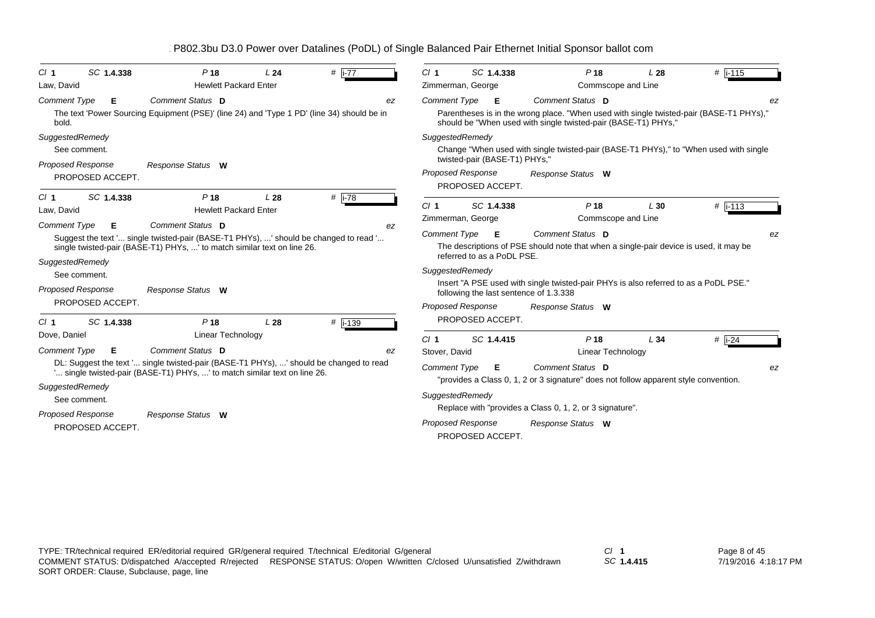| SC 1.4.338<br>Cl <sub>1</sub> | P <sub>18</sub>                                                                                                                                                     | L24             | # $\overline{1-77}$ | CI <sub>1</sub>     | SC 1.4.338                                                | P <sub>18</sub>                                                                                                                                           | L28 | #  i-115               |
|-------------------------------|---------------------------------------------------------------------------------------------------------------------------------------------------------------------|-----------------|---------------------|---------------------|-----------------------------------------------------------|-----------------------------------------------------------------------------------------------------------------------------------------------------------|-----|------------------------|
| Law, David                    | <b>Hewlett Packard Enter</b>                                                                                                                                        |                 |                     |                     | Zimmerman, George                                         | Commscope and Line                                                                                                                                        |     |                        |
| <b>Comment Type</b><br>Е      | Comment Status D                                                                                                                                                    |                 | ez                  | Comment Type        | - E                                                       | Comment Status D                                                                                                                                          |     | ez                     |
| bold.                         | The text 'Power Sourcing Equipment (PSE)' (line 24) and 'Type 1 PD' (line 34) should be in                                                                          |                 |                     |                     |                                                           | Parentheses is in the wrong place. "When used with single twisted-pair (BASE-T1 PHYs),"<br>should be "When used with single twisted-pair (BASE-T1) PHYs," |     |                        |
| SuggestedRemedy               |                                                                                                                                                                     |                 |                     |                     | SuggestedRemedy                                           |                                                                                                                                                           |     |                        |
| See comment.                  |                                                                                                                                                                     |                 |                     |                     |                                                           | Change "When used with single twisted-pair (BASE-T1 PHYs)," to "When used with single                                                                     |     |                        |
| <b>Proposed Response</b>      | Response Status W                                                                                                                                                   |                 |                     |                     | twisted-pair (BASE-T1) PHYs,"<br><b>Proposed Response</b> |                                                                                                                                                           |     |                        |
| PROPOSED ACCEPT.              |                                                                                                                                                                     |                 |                     |                     | PROPOSED ACCEPT.                                          | Response Status W                                                                                                                                         |     |                        |
| SC 1.4.338<br>Cl <sub>1</sub> | P <sub>18</sub>                                                                                                                                                     | L <sub>28</sub> | # $\vert$ i-78      |                     |                                                           |                                                                                                                                                           |     |                        |
| Law, David                    | <b>Hewlett Packard Enter</b>                                                                                                                                        |                 |                     | $CI$ 1              | SC 1.4.338                                                | P <sub>18</sub>                                                                                                                                           | L30 | # $\overline{1}$ i-113 |
| <b>Comment Type</b><br>Е      | Comment Status D                                                                                                                                                    |                 | ez                  |                     | Zimmerman, George                                         | Commscope and Line                                                                                                                                        |     |                        |
|                               | Suggest the text ' single twisted-pair (BASE-T1 PHYs), ' should be changed to read '                                                                                |                 |                     | <b>Comment Type</b> | - E                                                       | Comment Status D                                                                                                                                          |     | ez                     |
|                               | single twisted-pair (BASE-T1) PHYs, ' to match similar text on line 26.                                                                                             |                 |                     |                     | referred to as a PoDL PSE.                                | The descriptions of PSE should note that when a single-pair device is used, it may be                                                                     |     |                        |
| SuggestedRemedy               |                                                                                                                                                                     |                 |                     |                     | SuggestedRemedy                                           |                                                                                                                                                           |     |                        |
| See comment.                  |                                                                                                                                                                     |                 |                     |                     |                                                           | lnsert "A PSE used with single twisted-pair PHYs is also referred to as a PoDL PSE."                                                                      |     |                        |
| <b>Proposed Response</b>      | Response Status W                                                                                                                                                   |                 |                     |                     | following the last sentence of 1.3.338                    |                                                                                                                                                           |     |                        |
| PROPOSED ACCEPT.              |                                                                                                                                                                     |                 |                     |                     | <b>Proposed Response</b>                                  | Response Status W                                                                                                                                         |     |                        |
| SC 1.4.338<br>Cl <sub>1</sub> | P <sub>18</sub>                                                                                                                                                     | L28             | # $1-139$           |                     | PROPOSED ACCEPT.                                          |                                                                                                                                                           |     |                        |
| Dove, Daniel                  | Linear Technology                                                                                                                                                   |                 |                     | CI <sub>1</sub>     | SC 1.4.415                                                | P <sub>18</sub>                                                                                                                                           | L34 | $#$   i-24             |
| <b>Comment Type</b><br>Е      | Comment Status D                                                                                                                                                    |                 | ez                  | Stover, David       |                                                           | Linear Technology                                                                                                                                         |     |                        |
|                               | DL: Suggest the text ' single twisted-pair (BASE-T1 PHYs), ' should be changed to read<br>' single twisted-pair (BASE-T1) PHYs, ' to match similar text on line 26. |                 |                     | <b>Comment Type</b> | Е                                                         | Comment Status D<br>"provides a Class 0, 1, 2 or 3 signature" does not follow apparent style convention.                                                  |     | ez                     |
| SuggestedRemedy               |                                                                                                                                                                     |                 |                     |                     |                                                           |                                                                                                                                                           |     |                        |
| See comment.                  |                                                                                                                                                                     |                 |                     |                     | SuggestedRemedy                                           |                                                                                                                                                           |     |                        |
| <b>Proposed Response</b>      | Response Status W                                                                                                                                                   |                 |                     |                     |                                                           | Replace with "provides a Class 0, 1, 2, or 3 signature".                                                                                                  |     |                        |
| PROPOSED ACCEPT.              |                                                                                                                                                                     |                 |                     |                     | Proposed Response<br>PROPOSED ACCEPT.                     | Response Status W                                                                                                                                         |     |                        |
|                               |                                                                                                                                                                     |                 |                     |                     |                                                           |                                                                                                                                                           |     |                        |

*SC* **1.4.415**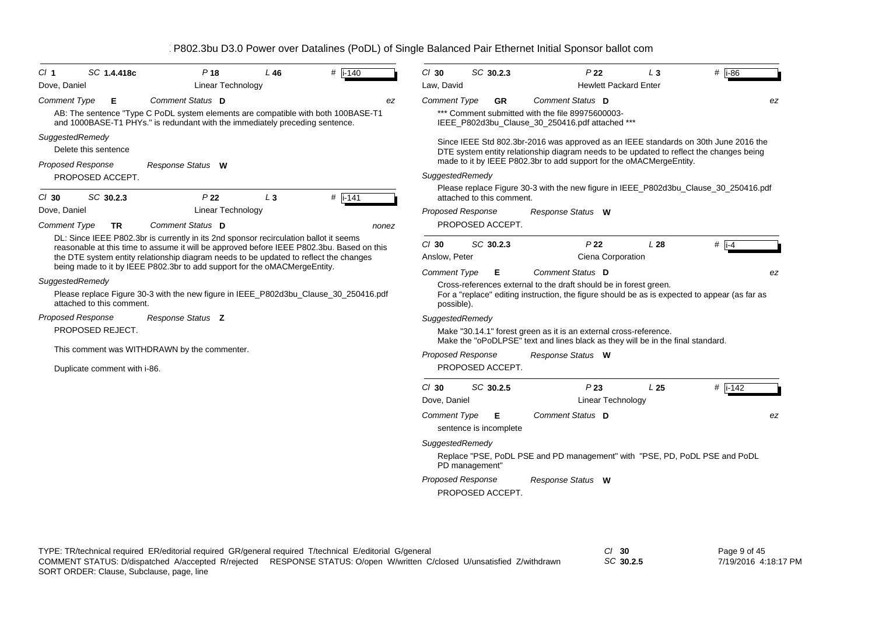| CI 1                | SC 1.4.418c                  | $P$ 18                                                                                                                                                                             | $L$ 46 | #<br>$i-140$ |       | $Cl$ 30                  | SC 30.2.3                   | P <sub>22</sub>                                                                                                                                      | $L_3$           | # $\overline{186}$  |
|---------------------|------------------------------|------------------------------------------------------------------------------------------------------------------------------------------------------------------------------------|--------|--------------|-------|--------------------------|-----------------------------|------------------------------------------------------------------------------------------------------------------------------------------------------|-----------------|---------------------|
| Dove, Daniel        |                              | <b>Linear Technology</b>                                                                                                                                                           |        |              |       | Law, David               |                             | <b>Hewlett Packard Enter</b>                                                                                                                         |                 |                     |
| <b>Comment Type</b> | Е                            | Comment Status D                                                                                                                                                                   |        |              | ez    | <b>Comment Type</b>      | <b>GR</b>                   | Comment Status D                                                                                                                                     |                 | ez                  |
|                     |                              | AB: The sentence "Type C PoDL system elements are compatible with both 100BASE-T1<br>and 1000BASE-T1 PHYs." is redundant with the immediately preceding sentence.                  |        |              |       |                          |                             | *** Comment submitted with the file 89975600003-<br>IEEE_P802d3bu_Clause_30_250416.pdf attached ***                                                  |                 |                     |
| SuggestedRemedy     |                              |                                                                                                                                                                                    |        |              |       |                          |                             | Since IEEE Std 802.3br-2016 was approved as an IEEE standards on 30th June 2016 the                                                                  |                 |                     |
|                     | Delete this sentence         |                                                                                                                                                                                    |        |              |       |                          |                             | DTE system entity relationship diagram needs to be updated to reflect the changes being                                                              |                 |                     |
|                     | <b>Proposed Response</b>     | Response Status W                                                                                                                                                                  |        |              |       |                          |                             | made to it by IEEE P802.3br to add support for the oMACMergeEntity.                                                                                  |                 |                     |
|                     | PROPOSED ACCEPT.             |                                                                                                                                                                                    |        |              |       | SuggestedRemedy          |                             |                                                                                                                                                      |                 |                     |
| $Cl$ 30             | SC 30.2.3                    | P22                                                                                                                                                                                | $L_3$  | $#$ i-141    |       |                          | attached to this comment.   | Please replace Figure 30-3 with the new figure in IEEE_P802d3bu_Clause_30_250416.pdf                                                                 |                 |                     |
| Dove, Daniel        |                              | Linear Technology                                                                                                                                                                  |        |              |       | <b>Proposed Response</b> |                             | Response Status W                                                                                                                                    |                 |                     |
| <b>Comment Type</b> | <b>TR</b>                    | Comment Status D                                                                                                                                                                   |        |              | nonez |                          | PROPOSED ACCEPT.            |                                                                                                                                                      |                 |                     |
|                     |                              | DL: Since IEEE P802.3br is currently in its 2nd sponsor recirculation ballot it seems<br>reasonable at this time to assume it will be approved before IEEE P802.3bu. Based on this |        |              |       | $CI$ 30                  | SC 30.2.3                   | P <sub>22</sub>                                                                                                                                      | L28             | # $\overline{1}$ -4 |
|                     |                              | the DTE system entity relationship diagram needs to be updated to reflect the changes                                                                                              |        |              |       | Anslow, Peter            |                             | Ciena Corporation                                                                                                                                    |                 |                     |
|                     |                              | being made to it by IEEE P802.3br to add support for the oMACMergeEntity.                                                                                                          |        |              |       | <b>Comment Type</b>      | Е                           | Comment Status D                                                                                                                                     |                 | ez                  |
| SuggestedRemedy     |                              |                                                                                                                                                                                    |        |              |       |                          |                             | Cross-references external to the draft should be in forest green.                                                                                    |                 |                     |
|                     | attached to this comment.    | Please replace Figure 30-3 with the new figure in IEEE_P802d3bu_Clause_30_250416.pdf                                                                                               |        |              |       | possible).               |                             | For a "replace" editing instruction, the figure should be as is expected to appear (as far as                                                        |                 |                     |
|                     | Proposed Response            | Response Status Z                                                                                                                                                                  |        |              |       | SuggestedRemedy          |                             |                                                                                                                                                      |                 |                     |
|                     | PROPOSED REJECT.             |                                                                                                                                                                                    |        |              |       |                          |                             | Make "30.14.1" forest green as it is an external cross-reference.<br>Make the "oPoDLPSE" text and lines black as they will be in the final standard. |                 |                     |
|                     |                              | This comment was WITHDRAWN by the commenter.                                                                                                                                       |        |              |       | <b>Proposed Response</b> |                             | Response Status W                                                                                                                                    |                 |                     |
|                     | Duplicate comment with i-86. |                                                                                                                                                                                    |        |              |       |                          | PROPOSED ACCEPT.            |                                                                                                                                                      |                 |                     |
|                     |                              |                                                                                                                                                                                    |        |              |       | $CI$ 30                  | SC 30.2.5                   | P23                                                                                                                                                  | L <sub>25</sub> | $#$ i-142           |
|                     |                              |                                                                                                                                                                                    |        |              |       | Dove, Daniel             |                             | Linear Technology                                                                                                                                    |                 |                     |
|                     |                              |                                                                                                                                                                                    |        |              |       | <b>Comment Type</b>      | Е<br>sentence is incomplete | Comment Status D                                                                                                                                     |                 | ez                  |
|                     |                              |                                                                                                                                                                                    |        |              |       | SuggestedRemedy          |                             |                                                                                                                                                      |                 |                     |
|                     |                              |                                                                                                                                                                                    |        |              |       |                          | PD management"              | Replace "PSE, PoDL PSE and PD management" with "PSE, PD, PoDL PSE and PoDL                                                                           |                 |                     |
|                     |                              |                                                                                                                                                                                    |        |              |       | <b>Proposed Response</b> |                             | Response Status W                                                                                                                                    |                 |                     |
|                     |                              |                                                                                                                                                                                    |        |              |       |                          | PROPOSED ACCEPT.            |                                                                                                                                                      |                 |                     |
|                     |                              |                                                                                                                                                                                    |        |              |       |                          |                             |                                                                                                                                                      |                 |                     |

Page 9 of 45 7/19/2016 4:18:17 PM

*SC* **30.2.5**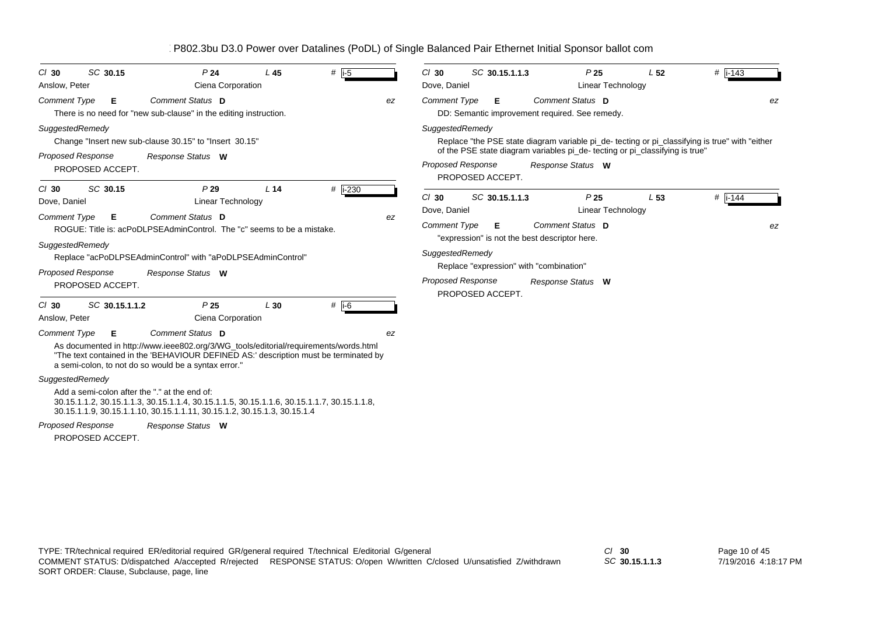| SC 30.15<br>$CI$ 30<br>Anslow, Peter                             | P <sub>24</sub><br>Ciena Corporation                                                                                                                                                                                                                     | $L$ 45          | # $i-5$             |    | $Cl$ 30<br>Dove, Daniel                        | SC 30.15.1.1.3                                                       | P <sub>25</sub><br>Linear Technology                     | L <sub>52</sub>                                                             | $#$   i-143                                                                                   |
|------------------------------------------------------------------|----------------------------------------------------------------------------------------------------------------------------------------------------------------------------------------------------------------------------------------------------------|-----------------|---------------------|----|------------------------------------------------|----------------------------------------------------------------------|----------------------------------------------------------|-----------------------------------------------------------------------------|-----------------------------------------------------------------------------------------------|
| <b>Comment Type</b><br>Е                                         | Comment Status D<br>There is no need for "new sub-clause" in the editing instruction.                                                                                                                                                                    |                 |                     | ez | <b>Comment Type</b>                            | Е<br>DD: Semantic improvement required. See remedy.                  | Comment Status D                                         |                                                                             | ez                                                                                            |
| SuggestedRemedy<br><b>Proposed Response</b><br>PROPOSED ACCEPT.  | Change "Insert new sub-clause 30.15" to "Insert 30.15"<br>Response Status W                                                                                                                                                                              |                 |                     |    | SuggestedRemedy<br><b>Proposed Response</b>    | PROPOSED ACCEPT.                                                     | Response Status W                                        | of the PSE state diagram variables pi_de-tecting or pi_classifying is true" | Replace "the PSE state diagram variable pi_de-tecting or pi_classifying is true" with "either |
| SC 30.15<br>$Cl$ 30<br>Dove, Daniel<br><b>Comment Type</b><br>Е  | P29<br>Linear Technology<br>Comment Status D<br>ROGUE: Title is: acPoDLPSEAdminControl. The "c" seems to be a mistake.                                                                                                                                   | L <sub>14</sub> | # i-230             | ez | $CI$ 30<br>Dove, Daniel<br><b>Comment Type</b> | SC 30.15.1.1.3<br>Е<br>"expression" is not the best descriptor here. | P <sub>25</sub><br>Linear Technology<br>Comment Status D | L <sub>53</sub>                                                             | # $ i - 144$<br>ez                                                                            |
| SuggestedRemedy<br><b>Proposed Response</b><br>PROPOSED ACCEPT.  | Replace "acPoDLPSEAdminControl" with "aPoDLPSEAdminControl"<br>Response Status W                                                                                                                                                                         |                 |                     |    | SuggestedRemedy<br><b>Proposed Response</b>    | Replace "expression" with "combination"<br>PROPOSED ACCEPT.          | Response Status W                                        |                                                                             |                                                                                               |
| SC 30.15.1.1.2<br>$CI$ 30<br>Anslow, Peter                       | P <sub>25</sub><br>Ciena Corporation                                                                                                                                                                                                                     | L30             | # $\overline{1}$ -6 |    |                                                |                                                                      |                                                          |                                                                             |                                                                                               |
| <b>Comment Type</b><br>Е                                         | Comment Status D<br>As documented in http://www.ieee802.org/3/WG_tools/editorial/requirements/words.html<br>"The text contained in the 'BEHAVIOUR DEFINED AS:' description must be terminated by<br>a semi-colon, to not do so would be a syntax error." |                 |                     | ez |                                                |                                                                      |                                                          |                                                                             |                                                                                               |
| SuggestedRemedy<br>Add a semi-colon after the "." at the end of: | 30.15.1.1.2, 30.15.1.1.3, 30.15.1.1.4, 30.15.1.1.5, 30.15.1.1.6, 30.15.1.1.7, 30.15.1.1.8,<br>30.15.1.1.9, 30.15.1.1.10, 30.15.1.1.11, 30.15.1.2, 30.15.1.3, 30.15.1.4                                                                                   |                 |                     |    |                                                |                                                                      |                                                          |                                                                             |                                                                                               |
| <b>Proposed Response</b>                                         | Response Status W                                                                                                                                                                                                                                        |                 |                     |    |                                                |                                                                      |                                                          |                                                                             |                                                                                               |

*SC* **30.15.1.1.3**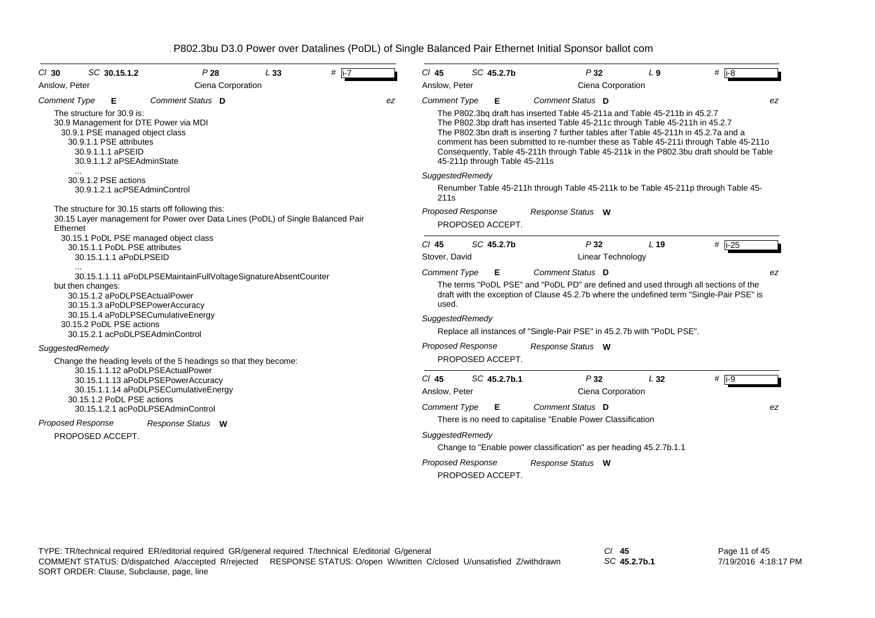| SC 30.15.1.2<br>P28<br>$CI$ 30                                                                                                                                                                                                      | L33 | # $\overline{1-7}$ |    | $CI$ 45                                         | SC 45.2.7b                                   | P32                                                                                                                                                                                                                                                                                                                                                                                                                                                        | L <sub>9</sub>  | # $\overline{18}$ |
|-------------------------------------------------------------------------------------------------------------------------------------------------------------------------------------------------------------------------------------|-----|--------------------|----|-------------------------------------------------|----------------------------------------------|------------------------------------------------------------------------------------------------------------------------------------------------------------------------------------------------------------------------------------------------------------------------------------------------------------------------------------------------------------------------------------------------------------------------------------------------------------|-----------------|-------------------|
| Ciena Corporation<br>Anslow, Peter                                                                                                                                                                                                  |     |                    |    | Anslow, Peter                                   |                                              | Ciena Corporation                                                                                                                                                                                                                                                                                                                                                                                                                                          |                 |                   |
| Comment Status D<br><b>Comment Type</b><br>Е<br>The structure for 30.9 is:<br>30.9 Management for DTE Power via MDI<br>30.9.1 PSE managed object class<br>30.9.1.1 PSE attributes<br>30.9.1.1.1 aPSEID<br>30.9.1.1.2 aPSEAdminState |     |                    | ez | <b>Comment Type</b>                             | E<br>45-211p through Table 45-211s           | Comment Status D<br>The P802.3bq draft has inserted Table 45-211a and Table 45-211b in 45.2.7<br>The P802.3bp draft has inserted Table 45-211c through Table 45-211h in 45.2.7<br>The P802.3bn draft is inserting 7 further tables after Table 45-211h in 45.2.7a and a<br>comment has been submitted to re-number these as Table 45-211i through Table 45-211o<br>Consequently, Table 45-211h through Table 45-211k in the P802.3bu draft should be Table |                 | ez                |
| 30.9.1.2 PSE actions<br>30.9.1.2.1 acPSEAdminControl<br>The structure for 30.15 starts off following this:<br>30.15 Layer management for Power over Data Lines (PoDL) of Single Balanced Pair<br>Ethernet                           |     |                    |    | SuggestedRemedy<br>211 <sub>S</sub>             | <b>Proposed Response</b><br>PROPOSED ACCEPT. | Renumber Table 45-211h through Table 45-211k to be Table 45-211p through Table 45-<br>Response Status W                                                                                                                                                                                                                                                                                                                                                    |                 |                   |
| 30.15.1 PoDL PSE managed object class<br>30.15.1.1 PoDL PSE attributes<br>30.15.1.1.1 aPoDLPSEID<br>$\cdots$<br>30.15.1.1.11 aPoDLPSEMaintainFullVoltageSignatureAbsentCounter                                                      |     |                    |    | $Cl$ 45<br>Stover, David<br><b>Comment Type</b> | SC 45.2.7b<br>Е                              | P32<br>Linear Technology<br>Comment Status D                                                                                                                                                                                                                                                                                                                                                                                                               | L <sub>19</sub> | $#$ i-25<br>ez    |
| but then changes:<br>30.15.1.2 aPoDLPSEActualPower<br>30.15.1.3 aPoDLPSEPowerAccuracy<br>30.15.1.4 aPoDLPSECumulativeEnergy<br>30.15.2 PoDL PSE actions<br>30.15.2.1 acPoDLPSEAdminControl                                          |     |                    |    | used.<br>SuggestedRemedy                        |                                              | The terms "PoDL PSE" and "PoDL PD" are defined and used through all sections of the<br>draft with the exception of Clause 45.2.7b where the undefined term "Single-Pair PSE" is<br>Replace all instances of "Single-Pair PSE" in 45.2.7b with "PoDL PSE".                                                                                                                                                                                                  |                 |                   |
| SuggestedRemedy<br>Change the heading levels of the 5 headings so that they become:                                                                                                                                                 |     |                    |    |                                                 | <b>Proposed Response</b><br>PROPOSED ACCEPT. | Response Status W                                                                                                                                                                                                                                                                                                                                                                                                                                          |                 |                   |
| 30.15.1.1.12 aPoDLPSEActualPower<br>30.15.1.1.13 aPoDLPSEPowerAccuracy<br>30.15.1.1.14 aPoDLPSECumulativeEnergy<br>30.15.1.2 PoDL PSE actions<br>30.15.1.2.1 acPoDLPSEAdminControl                                                  |     |                    |    | $Cl$ 45<br>Anslow, Peter<br><b>Comment Type</b> | SC 45.2.7b.1<br>- E                          | P32<br>Ciena Corporation<br>Comment Status D                                                                                                                                                                                                                                                                                                                                                                                                               | L32             | $#$ i-9<br>ez     |
| <b>Proposed Response</b><br>Response Status W<br>PROPOSED ACCEPT.                                                                                                                                                                   |     |                    |    | SuggestedRemedy                                 | <b>Proposed Response</b><br>PROPOSED ACCEPT. | There is no need to capitalise "Enable Power Classification<br>Change to "Enable power classification" as per heading 45.2.7b.1.1<br>Response Status W                                                                                                                                                                                                                                                                                                     |                 |                   |

*SC* **45.2.7b.1**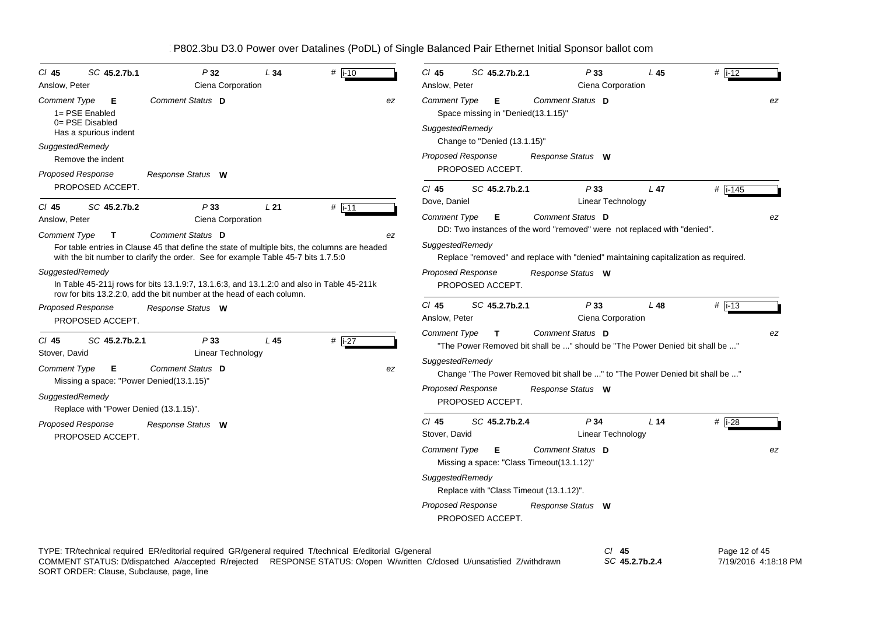| SC 45.2.7b.1<br>$CI$ 45<br>Anslow, Peter                                                                                                                                 | P32<br>Ciena Corporation                                                                                                                                                                                                                                                                                                                                                                                              | L34    | $#$ i-10            | $#$ i-12<br>$CI$ 45<br>SC 45.2.7b.2.1<br>P33<br>L45<br>Ciena Corporation<br>Anslow, Peter                                                                                                                                                                                                                                                                      |
|--------------------------------------------------------------------------------------------------------------------------------------------------------------------------|-----------------------------------------------------------------------------------------------------------------------------------------------------------------------------------------------------------------------------------------------------------------------------------------------------------------------------------------------------------------------------------------------------------------------|--------|---------------------|----------------------------------------------------------------------------------------------------------------------------------------------------------------------------------------------------------------------------------------------------------------------------------------------------------------------------------------------------------------|
| Comment Type<br>E<br>1= PSE Enabled<br>0= PSE Disabled<br>Has a spurious indent                                                                                          | Comment Status D                                                                                                                                                                                                                                                                                                                                                                                                      |        | ez                  | Comment Status D<br>Comment Type<br>- E<br>Space missing in "Denied(13.1.15)"<br>SuggestedRemedy                                                                                                                                                                                                                                                               |
| SuggestedRemedy<br>Remove the indent<br><b>Proposed Response</b>                                                                                                         | Response Status W                                                                                                                                                                                                                                                                                                                                                                                                     |        |                     | Change to "Denied (13.1.15)"<br><b>Proposed Response</b><br>Response Status W<br>PROPOSED ACCEPT.                                                                                                                                                                                                                                                              |
| PROPOSED ACCEPT.<br>SC 45.2.7b.2<br>$CI$ 45                                                                                                                              | P33                                                                                                                                                                                                                                                                                                                                                                                                                   | L21    |                     | $Cl$ 45<br>SC 45.2.7b.2.1<br>P33<br>$L$ 47<br># i-145<br>Linear Technology<br>Dove, Daniel                                                                                                                                                                                                                                                                     |
| Anslow, Peter<br><b>Comment Type</b><br>$\mathbf T$<br>SuggestedRemedy<br><b>Proposed Response</b>                                                                       | Ciena Corporation<br>Comment Status D<br>For table entries in Clause 45 that define the state of multiple bits, the columns are headed<br>with the bit number to clarify the order. See for example Table 45-7 bits 1.7.5:0<br>In Table 45-211 rows for bits 13.1.9:7, 13.1.6:3, and 13.1.2:0 and also in Table 45-211k<br>row for bits 13.2.2:0, add the bit number at the head of each column.<br>Response Status W |        | # $\sqrt{11}$<br>ez | <b>Comment Type</b><br>Comment Status D<br>E<br>DD: Two instances of the word "removed" were not replaced with "denied".<br>SuggestedRemedy<br>Replace "removed" and replace with "denied" maintaining capitalization as required.<br><b>Proposed Response</b><br>Response Status W<br>PROPOSED ACCEPT.<br>$Cl$ 45<br>SC 45.2.7b.2.1<br>P33<br>L48<br>$#$ i-13 |
| PROPOSED ACCEPT.                                                                                                                                                         |                                                                                                                                                                                                                                                                                                                                                                                                                       |        |                     | Ciena Corporation<br>Anslow, Peter                                                                                                                                                                                                                                                                                                                             |
| $CI$ 45<br>SC 45.2.7b.2.1<br>Stover, David<br>Comment Type<br>Е<br>Missing a space: "Power Denied(13.1.15)"<br>SuggestedRemedy<br>Replace with "Power Denied (13.1.15)". | P33<br>Linear Technology<br>Comment Status D                                                                                                                                                                                                                                                                                                                                                                          | $L$ 45 | # $i-27$<br>ez      | Comment Status D<br><b>Comment Type</b><br>$\mathbf{T}$<br>"The Power Removed bit shall be " should be "The Power Denied bit shall be "<br>SuggestedRemedy<br>Change "The Power Removed bit shall be " to "The Power Denied bit shall be "<br><b>Proposed Response</b><br>Response Status W<br>PROPOSED ACCEPT.                                                |
| Proposed Response<br>PROPOSED ACCEPT.                                                                                                                                    | Response Status W                                                                                                                                                                                                                                                                                                                                                                                                     |        |                     | $CI$ 45<br>SC 45.2.7b.2.4<br>P <sub>34</sub><br># $\overline{1-28}$<br>L <sub>14</sub><br>Stover, David<br>Linear Technology<br>Comment Status D<br><b>Comment Type</b><br>Е<br>Missing a space: "Class Timeout(13.1.12)"<br>SuggestedRemedy<br>Replace with "Class Timeout (13.1.12)".<br><b>Proposed Response</b><br>Response Status W<br>PROPOSED ACCEPT.   |

TYPE: TR/technical required ER/editorial required GR/general required T/technical E/editorial G/general *Cl* **45** *SC* **45.2.7b.2.4**SORT ORDER: Clause, Subclause, page, line COMMENT STATUS: D/dispatched A/accepted R/rejected RESPONSE STATUS: O/open W/written C/closed U/unsatisfied Z/withdrawn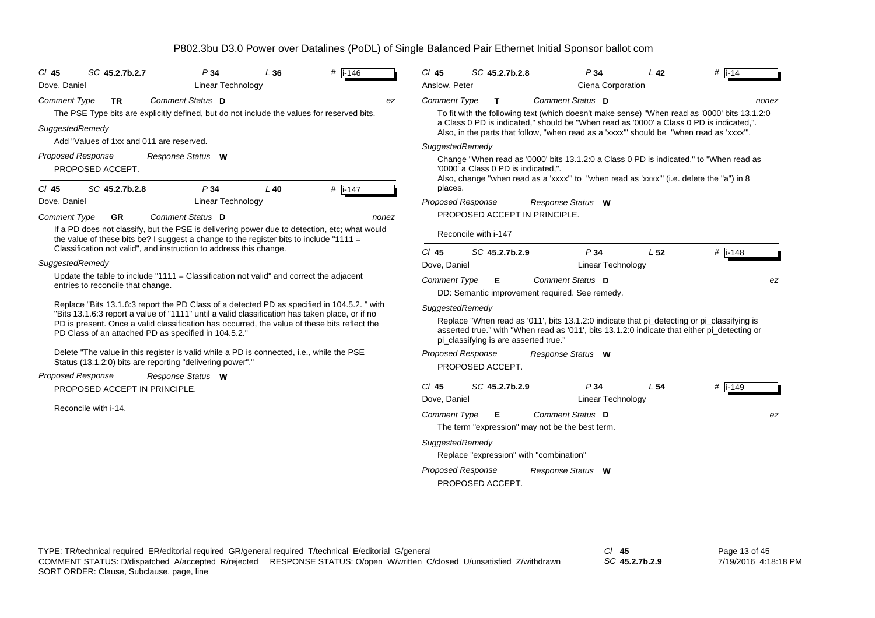| $CI$ 45<br>Dove, Daniel | SC 45.2.7b.2.7                                              | P34<br><b>Linear Technology</b>                                                                                                                                                                                                                                                                                                                       | L36    | $#$ i-146 | $Cl$ 45<br>Anslow, Peter | SC 45.2.7b.2.8                                             | P34                                                                                                                                                                                                         | L <sub>42</sub><br>Ciena Corporation        | $#$ i-14             |
|-------------------------|-------------------------------------------------------------|-------------------------------------------------------------------------------------------------------------------------------------------------------------------------------------------------------------------------------------------------------------------------------------------------------------------------------------------------------|--------|-----------|--------------------------|------------------------------------------------------------|-------------------------------------------------------------------------------------------------------------------------------------------------------------------------------------------------------------|---------------------------------------------|----------------------|
| <b>Comment Type</b>     | <b>TR</b>                                                   | Comment Status D<br>The PSE Type bits are explicitly defined, but do not include the values for reserved bits.                                                                                                                                                                                                                                        |        | ez        | <b>Comment Type</b>      | $\mathbf T$                                                | Comment Status D<br>To fit with the following text (which doesn't make sense) "When read as '0000' bits 13.1.2:0<br>a Class 0 PD is indicated," should be "When read as '0000' a Class 0 PD is indicated,". |                                             | nonez                |
|                         | SuggestedRemedy<br>Add "Values of 1xx and 011 are reserved. |                                                                                                                                                                                                                                                                                                                                                       |        |           |                          |                                                            | Also, in the parts that follow, "when read as a 'xxxx" should be "when read as 'xxxx".                                                                                                                      |                                             |                      |
|                         | <b>Proposed Response</b><br>PROPOSED ACCEPT.                | Response Status W                                                                                                                                                                                                                                                                                                                                     |        |           | SuggestedRemedy          | '0000' a Class 0 PD is indicated,".                        | Change "When read as '0000' bits 13.1.2:0 a Class 0 PD is indicated," to "When read as<br>Also, change "when read as a 'xxxx" to "when read as 'xxxx" (i.e. delete the "a") in 8                            |                                             |                      |
| $CI$ 45                 | SC 45.2.7b.2.8                                              | P34                                                                                                                                                                                                                                                                                                                                                   | $L$ 40 | $#$ i-147 | places.                  |                                                            |                                                                                                                                                                                                             |                                             |                      |
| Dove, Daniel            |                                                             | Linear Technology                                                                                                                                                                                                                                                                                                                                     |        |           |                          | <b>Proposed Response</b>                                   | Response Status W                                                                                                                                                                                           |                                             |                      |
| <b>Comment Type</b>     | <b>GR</b>                                                   | Comment Status D                                                                                                                                                                                                                                                                                                                                      |        | nonez     |                          | PROPOSED ACCEPT IN PRINCIPLE.                              |                                                                                                                                                                                                             |                                             |                      |
|                         |                                                             | If a PD does not classify, but the PSE is delivering power due to detection, etc; what would<br>the value of these bits be? I suggest a change to the register bits to include "1111 =                                                                                                                                                                |        |           |                          | Reconcile with i-147                                       |                                                                                                                                                                                                             |                                             |                      |
|                         |                                                             | Classification not valid", and instruction to address this change.                                                                                                                                                                                                                                                                                    |        |           | $Cl$ 45                  | SC 45.2.7b.2.9                                             | P34                                                                                                                                                                                                         | L <sub>52</sub>                             | # $i - 148$          |
|                         | SuggestedRemedy                                             |                                                                                                                                                                                                                                                                                                                                                       |        |           | Dove, Daniel             |                                                            |                                                                                                                                                                                                             | <b>Linear Technology</b>                    |                      |
|                         | entries to reconcile that change.                           | Update the table to include " $1111 =$ Classification not valid" and correct the adjacent                                                                                                                                                                                                                                                             |        |           | <b>Comment Type</b>      | Е                                                          | Comment Status D<br>DD: Semantic improvement required. See remedy.                                                                                                                                          |                                             | ez                   |
|                         |                                                             | Replace "Bits 13.1.6:3 report the PD Class of a detected PD as specified in 104.5.2. " with<br>"Bits 13.1.6:3 report a value of "1111" until a valid classification has taken place, or if no<br>PD is present. Once a valid classification has occurred, the value of these bits reflect the<br>PD Class of an attached PD as specified in 104.5.2." |        |           |                          | SuggestedRemedy<br>pi classifying is are asserted true."   | Replace "When read as '011', bits 13.1.2:0 indicate that pi_detecting or pi_classifying is<br>asserted true." with "When read as '011', bits 13.1.2:0 indicate that either pi_detecting or                  |                                             |                      |
|                         |                                                             | Delete "The value in this register is valid while a PD is connected, i.e., while the PSE<br>Status (13.1.2:0) bits are reporting "delivering power"."                                                                                                                                                                                                 |        |           |                          | <b>Proposed Response</b><br>PROPOSED ACCEPT.               | Response Status W                                                                                                                                                                                           |                                             |                      |
|                         | <b>Proposed Response</b>                                    | Response Status W                                                                                                                                                                                                                                                                                                                                     |        |           |                          |                                                            |                                                                                                                                                                                                             |                                             |                      |
|                         | PROPOSED ACCEPT IN PRINCIPLE.                               |                                                                                                                                                                                                                                                                                                                                                       |        |           | $CI$ 45<br>Dove, Daniel  | SC 45.2.7b.2.9                                             | P34                                                                                                                                                                                                         | L <sub>54</sub><br><b>Linear Technology</b> | # $\overline{1.149}$ |
|                         | Reconcile with i-14.                                        |                                                                                                                                                                                                                                                                                                                                                       |        |           | <b>Comment Type</b>      | Е                                                          | Comment Status D<br>The term "expression" may not be the best term.                                                                                                                                         |                                             | ez                   |
|                         |                                                             |                                                                                                                                                                                                                                                                                                                                                       |        |           |                          | SuggestedRemedy<br>Replace "expression" with "combination" |                                                                                                                                                                                                             |                                             |                      |
|                         |                                                             |                                                                                                                                                                                                                                                                                                                                                       |        |           |                          | <b>Proposed Response</b><br>PROPOSED ACCEPT.               | Response Status W                                                                                                                                                                                           |                                             |                      |
|                         |                                                             |                                                                                                                                                                                                                                                                                                                                                       |        |           |                          |                                                            |                                                                                                                                                                                                             |                                             |                      |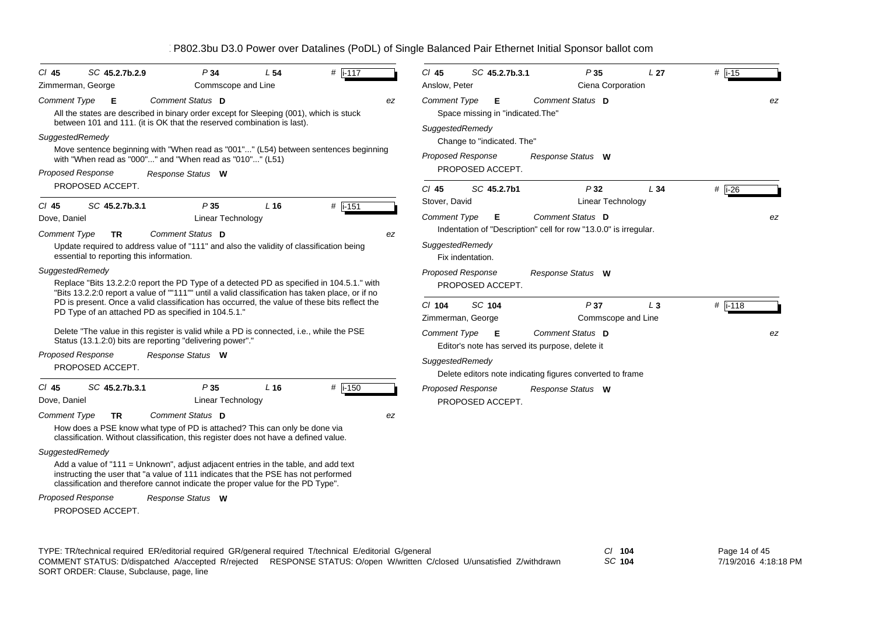| CI 45                           | SC 45.2.7b.2.9                           | P34                                                                                                                                                                                                                                                         | L <sub>54</sub> | $#$ i-117        |    | $CI$ 45                         | SC 45.2.7b.3.1                                       | P35                                                              | L <sub>27</sub> | $#$ i-15               |    |
|---------------------------------|------------------------------------------|-------------------------------------------------------------------------------------------------------------------------------------------------------------------------------------------------------------------------------------------------------------|-----------------|------------------|----|---------------------------------|------------------------------------------------------|------------------------------------------------------------------|-----------------|------------------------|----|
| Zimmerman, George               |                                          | Commscope and Line                                                                                                                                                                                                                                          |                 |                  |    | Anslow, Peter                   |                                                      | Ciena Corporation                                                |                 |                        |    |
| Comment Type<br>SuggestedRemedy | Е                                        | Comment Status D<br>All the states are described in binary order except for Sleeping (001), which is stuck<br>between 101 and 111. (it is OK that the reserved combination is last).                                                                        |                 |                  | ez | Comment Type<br>SuggestedRemedy | Е<br>Space missing in "indicated. The"               | Comment Status D                                                 |                 |                        | ez |
|                                 |                                          | Move sentence beginning with "When read as "001"" (L54) between sentences beginning                                                                                                                                                                         |                 |                  |    |                                 | Change to "indicated. The"                           |                                                                  |                 |                        |    |
|                                 |                                          | with "When read as "000"" and "When read as "010"" (L51)                                                                                                                                                                                                    |                 |                  |    |                                 | <b>Proposed Response</b>                             | Response Status W                                                |                 |                        |    |
| <b>Proposed Response</b>        |                                          | Response Status W                                                                                                                                                                                                                                           |                 |                  |    |                                 | PROPOSED ACCEPT.                                     |                                                                  |                 |                        |    |
|                                 | PROPOSED ACCEPT.                         |                                                                                                                                                                                                                                                             |                 |                  |    | $Cl$ 45                         | SC 45.2.7b1                                          | P32                                                              | L34             | # $\overline{1-26}$    |    |
| $CI$ 45                         | SC 45.2.7b.3.1                           | P35                                                                                                                                                                                                                                                         | $L$ 16          | # $\sqrt{1-151}$ |    | Stover, David                   |                                                      | <b>Linear Technology</b>                                         |                 |                        |    |
| Dove, Daniel                    |                                          | <b>Linear Technology</b>                                                                                                                                                                                                                                    |                 |                  |    | <b>Comment Type</b>             | Е                                                    | Comment Status D                                                 |                 |                        | ez |
| Comment Type                    | TR.                                      | Comment Status D                                                                                                                                                                                                                                            |                 |                  | ez |                                 |                                                      | Indentation of "Description" cell for row "13.0.0" is irregular. |                 |                        |    |
|                                 | essential to reporting this information. | Update required to address value of "111" and also the validity of classification being                                                                                                                                                                     |                 |                  |    | SuggestedRemedy                 | Fix indentation.                                     |                                                                  |                 |                        |    |
| SuggestedRemedy                 |                                          |                                                                                                                                                                                                                                                             |                 |                  |    |                                 | Proposed Response                                    | Response Status W                                                |                 |                        |    |
|                                 |                                          | Replace "Bits 13.2.2:0 report the PD Type of a detected PD as specified in 104.5.1." with<br>"Bits 13.2.2:0 report a value of ""111"" until a valid classification has taken place, or if no                                                                |                 |                  |    |                                 | PROPOSED ACCEPT.                                     |                                                                  |                 |                        |    |
|                                 |                                          | PD is present. Once a valid classification has occurred, the value of these bits reflect the<br>PD Type of an attached PD as specified in 104.5.1."                                                                                                         |                 |                  |    | $Cl$ 104                        | SC 104<br>Zimmerman, George                          | P37<br>Commscope and Line                                        | $L_3$           | # $\overline{1}$ i-118 |    |
|                                 |                                          | Delete "The value in this register is valid while a PD is connected, i.e., while the PSE<br>Status (13.1.2:0) bits are reporting "delivering power"."                                                                                                       |                 |                  |    | <b>Comment Type</b>             | E<br>Editor's note has served its purpose, delete it | Comment Status D                                                 |                 |                        | ez |
| <b>Proposed Response</b>        |                                          | Response Status W                                                                                                                                                                                                                                           |                 |                  |    | SuggestedRemedy                 |                                                      |                                                                  |                 |                        |    |
|                                 | PROPOSED ACCEPT.                         |                                                                                                                                                                                                                                                             |                 |                  |    |                                 |                                                      | Delete editors note indicating figures converted to frame        |                 |                        |    |
| $CI$ 45<br>Dove, Daniel         | SC 45.2.7b.3.1                           | P35<br>Linear Technology                                                                                                                                                                                                                                    | L <sub>16</sub> | $#$ i-150        |    |                                 | Proposed Response<br>PROPOSED ACCEPT.                | Response Status W                                                |                 |                        |    |
| <b>Comment Type</b>             | TR                                       | Comment Status D                                                                                                                                                                                                                                            |                 |                  | ez |                                 |                                                      |                                                                  |                 |                        |    |
|                                 |                                          | How does a PSE know what type of PD is attached? This can only be done via<br>classification. Without classification, this register does not have a defined value.                                                                                          |                 |                  |    |                                 |                                                      |                                                                  |                 |                        |    |
| SuggestedRemedy                 |                                          |                                                                                                                                                                                                                                                             |                 |                  |    |                                 |                                                      |                                                                  |                 |                        |    |
|                                 |                                          | Add a value of "111 = Unknown", adjust adjacent entries in the table, and add text<br>instructing the user that "a value of 111 indicates that the PSE has not performed<br>classification and therefore cannot indicate the proper value for the PD Type". |                 |                  |    |                                 |                                                      |                                                                  |                 |                        |    |
| <b>Proposed Response</b>        |                                          | Response Status W                                                                                                                                                                                                                                           |                 |                  |    |                                 |                                                      |                                                                  |                 |                        |    |
|                                 | PROPOSED ACCEPT.                         |                                                                                                                                                                                                                                                             |                 |                  |    |                                 |                                                      |                                                                  |                 |                        |    |
|                                 |                                          |                                                                                                                                                                                                                                                             |                 |                  |    |                                 |                                                      |                                                                  |                 |                        |    |

TYPE: TR/technical required ER/editorial required GR/general required T/technical E/editorial G/general *Cl* **104** SORT ORDER: Clause, Subclause, page, line COMMENT STATUS: D/dispatched A/accepted R/rejected RESPONSE STATUS: O/open W/written C/closed U/unsatisfied Z/withdrawn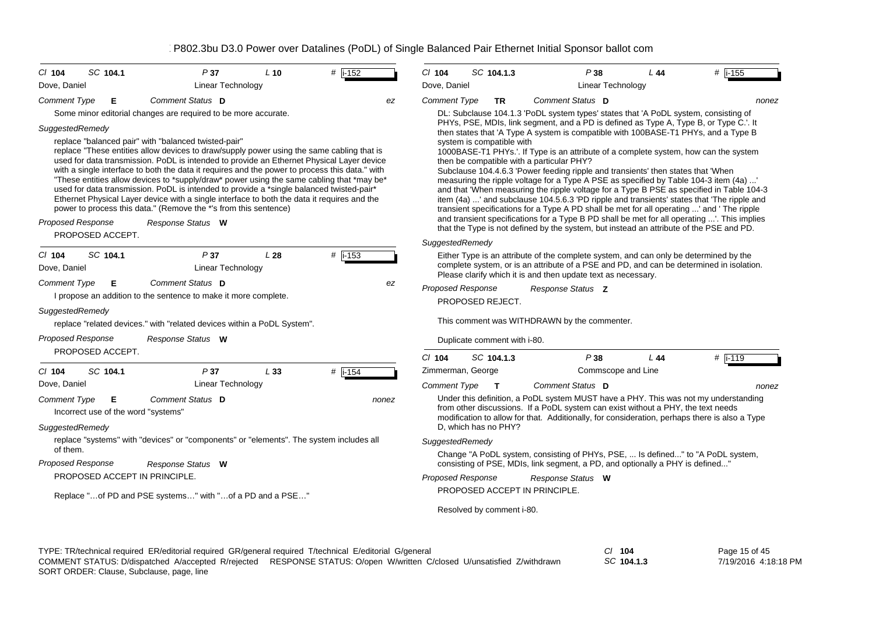| SC 104.1<br>$CI$ 104                                                                    | P37                                                                                                                                                                                                                                                                                                                                                                                                                                                                                                                                                                                                                                                                                                                                                                                                        | $L$ 10 | $#$ i-152 | $Cl$ 104                 | SC 104.1.3                                       | P38                                                                                                                                                                                                                                                                                                                                                                                                                                                                                                                                                                                                                                                                                                                                                                                                                                                                                                                                                                                                                                                                                                                                                            | L44 | # i-155   |
|-----------------------------------------------------------------------------------------|------------------------------------------------------------------------------------------------------------------------------------------------------------------------------------------------------------------------------------------------------------------------------------------------------------------------------------------------------------------------------------------------------------------------------------------------------------------------------------------------------------------------------------------------------------------------------------------------------------------------------------------------------------------------------------------------------------------------------------------------------------------------------------------------------------|--------|-----------|--------------------------|--------------------------------------------------|----------------------------------------------------------------------------------------------------------------------------------------------------------------------------------------------------------------------------------------------------------------------------------------------------------------------------------------------------------------------------------------------------------------------------------------------------------------------------------------------------------------------------------------------------------------------------------------------------------------------------------------------------------------------------------------------------------------------------------------------------------------------------------------------------------------------------------------------------------------------------------------------------------------------------------------------------------------------------------------------------------------------------------------------------------------------------------------------------------------------------------------------------------------|-----|-----------|
| Dove, Daniel                                                                            | <b>Linear Technology</b>                                                                                                                                                                                                                                                                                                                                                                                                                                                                                                                                                                                                                                                                                                                                                                                   |        |           | Dove, Daniel             |                                                  | <b>Linear Technology</b>                                                                                                                                                                                                                                                                                                                                                                                                                                                                                                                                                                                                                                                                                                                                                                                                                                                                                                                                                                                                                                                                                                                                       |     |           |
| <b>Comment Type</b><br>Е                                                                | Comment Status D                                                                                                                                                                                                                                                                                                                                                                                                                                                                                                                                                                                                                                                                                                                                                                                           |        | ez        | <b>Comment Type</b>      | TR.                                              | Comment Status D                                                                                                                                                                                                                                                                                                                                                                                                                                                                                                                                                                                                                                                                                                                                                                                                                                                                                                                                                                                                                                                                                                                                               |     | nonez     |
| SuggestedRemedy<br><b>Proposed Response</b><br>PROPOSED ACCEPT.<br>SC 104.1<br>$CI$ 104 | Some minor editorial changes are required to be more accurate.<br>replace "balanced pair" with "balanced twisted-pair"<br>replace "These entities allow devices to draw/supply power using the same cabling that is<br>used for data transmission. PoDL is intended to provide an Ethernet Physical Layer device<br>with a single interface to both the data it requires and the power to process this data." with<br>"These entities allow devices to *supply/draw* power using the same cabling that *may be*<br>used for data transmission. PoDL is intended to provide a *single balanced twisted-pair*<br>Ethernet Physical Layer device with a single interface to both the data it requires and the<br>power to process this data." (Remove the *'s from this sentence)<br>Response Status W<br>P37 | L28    | $#$ i-153 | SuggestedRemedy          | system is compatible with                        | DL: Subclause 104.1.3 'PoDL system types' states that 'A PoDL system, consisting of<br>PHYs, PSE, MDIs, link segment, and a PD is defined as Type A, Type B, or Type C.'. It<br>then states that 'A Type A system is compatible with 100BASE-T1 PHYs, and a Type B<br>1000BASE-T1 PHYs.'. If Type is an attribute of a complete system, how can the system<br>then be compatible with a particular PHY?<br>Subclause 104.4.6.3 'Power feeding ripple and transients' then states that 'When<br>measuring the ripple voltage for a Type A PSE as specified by Table 104-3 item (4a) '<br>and that 'When measuring the ripple voltage for a Type B PSE as specified in Table 104-3<br>item (4a) ' and subclause 104.5.6.3 'PD ripple and transients' states that 'The ripple and<br>transient specifications for a Type A PD shall be met for all operating ' and 'The ripple<br>and transient specifications for a Type B PD shall be met for all operating '. This implies<br>that the Type is not defined by the system, but instead an attribute of the PSE and PD.<br>Either Type is an attribute of the complete system, and can only be determined by the |     |           |
| Dove, Daniel                                                                            | <b>Linear Technology</b>                                                                                                                                                                                                                                                                                                                                                                                                                                                                                                                                                                                                                                                                                                                                                                                   |        |           |                          |                                                  | complete system, or is an attribute of a PSE and PD, and can be determined in isolation.<br>Please clarify which it is and then update text as necessary.                                                                                                                                                                                                                                                                                                                                                                                                                                                                                                                                                                                                                                                                                                                                                                                                                                                                                                                                                                                                      |     |           |
| <b>Comment Type</b><br>Е<br>SuggestedRemedy<br><b>Proposed Response</b>                 | Comment Status D<br>I propose an addition to the sentence to make it more complete.<br>replace "related devices." with "related devices within a PoDL System".<br>Response Status W                                                                                                                                                                                                                                                                                                                                                                                                                                                                                                                                                                                                                        |        | ez        | <b>Proposed Response</b> | PROPOSED REJECT.<br>Duplicate comment with i-80. | Response Status Z<br>This comment was WITHDRAWN by the commenter.                                                                                                                                                                                                                                                                                                                                                                                                                                                                                                                                                                                                                                                                                                                                                                                                                                                                                                                                                                                                                                                                                              |     |           |
| PROPOSED ACCEPT.                                                                        |                                                                                                                                                                                                                                                                                                                                                                                                                                                                                                                                                                                                                                                                                                                                                                                                            |        |           | $Cl$ 104                 | SC 104.1.3                                       | P38                                                                                                                                                                                                                                                                                                                                                                                                                                                                                                                                                                                                                                                                                                                                                                                                                                                                                                                                                                                                                                                                                                                                                            | L44 | $#$ i-119 |
| SC 104.1<br>$Cl$ 104                                                                    | P37                                                                                                                                                                                                                                                                                                                                                                                                                                                                                                                                                                                                                                                                                                                                                                                                        | L33    | $#$ i-154 | Zimmerman, George        |                                                  | Commscope and Line                                                                                                                                                                                                                                                                                                                                                                                                                                                                                                                                                                                                                                                                                                                                                                                                                                                                                                                                                                                                                                                                                                                                             |     |           |
| Dove, Daniel                                                                            | <b>Linear Technology</b>                                                                                                                                                                                                                                                                                                                                                                                                                                                                                                                                                                                                                                                                                                                                                                                   |        |           | <b>Comment Type</b>      | $\mathbf{T}$                                     | Comment Status D                                                                                                                                                                                                                                                                                                                                                                                                                                                                                                                                                                                                                                                                                                                                                                                                                                                                                                                                                                                                                                                                                                                                               |     | nonez     |
| Comment Type<br>Е<br>Incorrect use of the word "systems"<br>SuggestedRemedy             | Comment Status D                                                                                                                                                                                                                                                                                                                                                                                                                                                                                                                                                                                                                                                                                                                                                                                           |        | nonez     |                          | D. which has no PHY?                             | Under this definition, a PoDL system MUST have a PHY. This was not my understanding<br>from other discussions. If a PoDL system can exist without a PHY, the text needs<br>modification to allow for that. Additionally, for consideration, perhaps there is also a Type                                                                                                                                                                                                                                                                                                                                                                                                                                                                                                                                                                                                                                                                                                                                                                                                                                                                                       |     |           |
|                                                                                         | replace "systems" with "devices" or "components" or "elements". The system includes all                                                                                                                                                                                                                                                                                                                                                                                                                                                                                                                                                                                                                                                                                                                    |        |           | SuggestedRemedy          |                                                  |                                                                                                                                                                                                                                                                                                                                                                                                                                                                                                                                                                                                                                                                                                                                                                                                                                                                                                                                                                                                                                                                                                                                                                |     |           |
| of them.<br>Proposed Response                                                           | Response Status W                                                                                                                                                                                                                                                                                                                                                                                                                                                                                                                                                                                                                                                                                                                                                                                          |        |           |                          |                                                  | Change "A PoDL system, consisting of PHYs, PSE,  Is defined" to "A PoDL system,<br>consisting of PSE, MDIs, link segment, a PD, and optionally a PHY is defined"                                                                                                                                                                                                                                                                                                                                                                                                                                                                                                                                                                                                                                                                                                                                                                                                                                                                                                                                                                                               |     |           |
| PROPOSED ACCEPT IN PRINCIPLE.                                                           |                                                                                                                                                                                                                                                                                                                                                                                                                                                                                                                                                                                                                                                                                                                                                                                                            |        |           | <b>Proposed Response</b> |                                                  | Response Status W                                                                                                                                                                                                                                                                                                                                                                                                                                                                                                                                                                                                                                                                                                                                                                                                                                                                                                                                                                                                                                                                                                                                              |     |           |
|                                                                                         | Replace " of PD and PSE systems" with " of a PD and a PSE"                                                                                                                                                                                                                                                                                                                                                                                                                                                                                                                                                                                                                                                                                                                                                 |        |           |                          | PROPOSED ACCEPT IN PRINCIPLE.                    |                                                                                                                                                                                                                                                                                                                                                                                                                                                                                                                                                                                                                                                                                                                                                                                                                                                                                                                                                                                                                                                                                                                                                                |     |           |
|                                                                                         |                                                                                                                                                                                                                                                                                                                                                                                                                                                                                                                                                                                                                                                                                                                                                                                                            |        |           |                          |                                                  |                                                                                                                                                                                                                                                                                                                                                                                                                                                                                                                                                                                                                                                                                                                                                                                                                                                                                                                                                                                                                                                                                                                                                                |     |           |

TYPE: TR/technical required ER/editorial required GR/general required T/technical E/editorial G/general *Cl* **104** *SC* **104.1.3** SORT ORDER: Clause, Subclause, page, line COMMENT STATUS: D/dispatched A/accepted R/rejected RESPONSE STATUS: O/open W/written C/closed U/unsatisfied Z/withdrawn

Page 15 of 45 7/19/2016 4:18:18 PM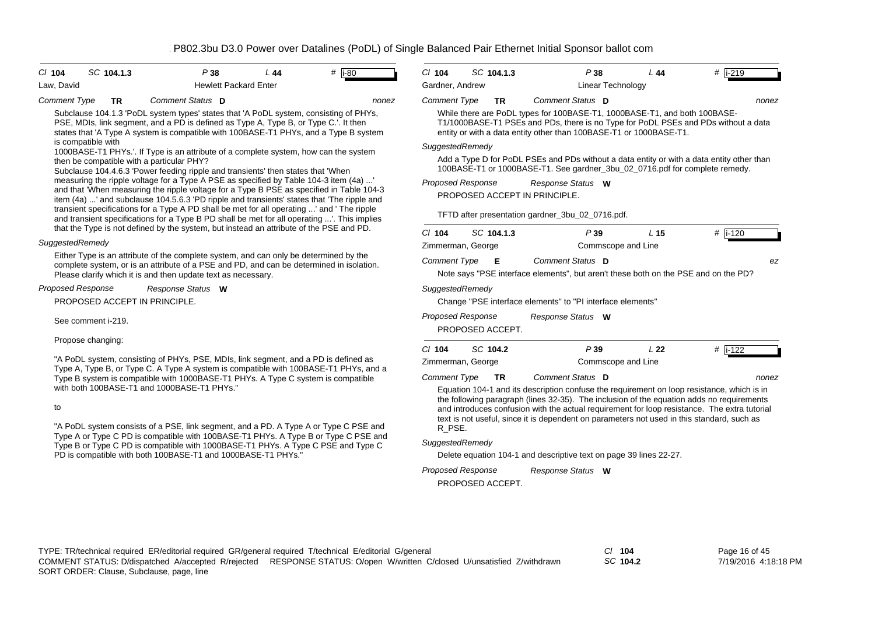| $Cl$ 104            |                    | SC 104.1.3 | P38                                                                                                                                                                                                                                                                   | L44 | # $\overline{1}$ -80 | $Cl$ 104                 | SC 104.1.3       | P38                                                                                                                                                                                                                                   | L44             | $\#$ i-219       |
|---------------------|--------------------|------------|-----------------------------------------------------------------------------------------------------------------------------------------------------------------------------------------------------------------------------------------------------------------------|-----|----------------------|--------------------------|------------------|---------------------------------------------------------------------------------------------------------------------------------------------------------------------------------------------------------------------------------------|-----------------|------------------|
| Law, David          |                    |            | <b>Hewlett Packard Enter</b>                                                                                                                                                                                                                                          |     |                      | Gardner, Andrew          |                  | Linear Technology                                                                                                                                                                                                                     |                 |                  |
| <b>Comment Type</b> |                    | <b>TR</b>  | Comment Status D                                                                                                                                                                                                                                                      |     | nonez                | Comment Type             | <b>TR</b>        | Comment Status D                                                                                                                                                                                                                      |                 | nonez            |
|                     |                    |            | Subclause 104.1.3 'PoDL system types' states that 'A PoDL system, consisting of PHYs,<br>PSE, MDIs, link segment, and a PD is defined as Type A, Type B, or Type C.'. It then<br>states that 'A Type A system is compatible with 100BASE-T1 PHYs, and a Type B system |     |                      |                          |                  | While there are PoDL types for 100BASE-T1, 1000BASE-T1, and both 100BASE-<br>T1/1000BASE-T1 PSEs and PDs, there is no Type for PoDL PSEs and PDs without a data<br>entity or with a data entity other than 100BASE-T1 or 1000BASE-T1. |                 |                  |
|                     | is compatible with |            | 1000BASE-T1 PHYs.'. If Type is an attribute of a complete system, how can the system                                                                                                                                                                                  |     |                      | SuggestedRemedy          |                  |                                                                                                                                                                                                                                       |                 |                  |
|                     |                    |            | then be compatible with a particular PHY?<br>Subclause 104.4.6.3 'Power feeding ripple and transients' then states that 'When                                                                                                                                         |     |                      |                          |                  | Add a Type D for PoDL PSEs and PDs without a data entity or with a data entity other than<br>100BASE-T1 or 1000BASE-T1. See gardner_3bu_02_0716.pdf for complete remedy.                                                              |                 |                  |
|                     |                    |            | measuring the ripple voltage for a Type A PSE as specified by Table 104-3 item (4a) '<br>and that 'When measuring the ripple voltage for a Type B PSE as specified in Table 104-3                                                                                     |     |                      | <b>Proposed Response</b> |                  | Response Status W                                                                                                                                                                                                                     |                 |                  |
|                     |                    |            | item (4a) ' and subclause 104.5.6.3 'PD ripple and transients' states that 'The ripple and                                                                                                                                                                            |     |                      |                          |                  | PROPOSED ACCEPT IN PRINCIPLE.                                                                                                                                                                                                         |                 |                  |
|                     |                    |            | transient specifications for a Type A PD shall be met for all operating ' and ' The ripple<br>and transient specifications for a Type B PD shall be met for all operating '. This implies                                                                             |     |                      |                          |                  | TFTD after presentation gardner_3bu_02_0716.pdf.                                                                                                                                                                                      |                 |                  |
|                     |                    |            | that the Type is not defined by the system, but instead an attribute of the PSE and PD.                                                                                                                                                                               |     |                      | $Cl$ 104                 | SC 104.1.3       | P39                                                                                                                                                                                                                                   | L <sub>15</sub> | $\#$ i-120       |
| SuggestedRemedy     |                    |            |                                                                                                                                                                                                                                                                       |     |                      | Zimmerman, George        |                  | Commscope and Line                                                                                                                                                                                                                    |                 |                  |
|                     |                    |            | Either Type is an attribute of the complete system, and can only be determined by the<br>complete system, or is an attribute of a PSE and PD, and can be determined in isolation.<br>Please clarify which it is and then update text as necessary.                    |     |                      | <b>Comment Type</b>      | E                | Comment Status D<br>Note says "PSE interface elements", but aren't these both on the PSE and on the PD?                                                                                                                               |                 | ez               |
| Proposed Response   |                    |            | Response Status W                                                                                                                                                                                                                                                     |     |                      | SuggestedRemedy          |                  |                                                                                                                                                                                                                                       |                 |                  |
|                     |                    |            | PROPOSED ACCEPT IN PRINCIPLE.                                                                                                                                                                                                                                         |     |                      |                          |                  | Change "PSE interface elements" to "PI interface elements"                                                                                                                                                                            |                 |                  |
|                     | See comment i-219. |            |                                                                                                                                                                                                                                                                       |     |                      | <b>Proposed Response</b> | PROPOSED ACCEPT. | Response Status W                                                                                                                                                                                                                     |                 |                  |
|                     | Propose changing:  |            |                                                                                                                                                                                                                                                                       |     |                      | $Cl$ 104                 | SC 104.2         | P39                                                                                                                                                                                                                                   | L <sub>22</sub> | # $\sqrt{1-122}$ |
|                     |                    |            | "A PoDL system, consisting of PHYs, PSE, MDIs, link segment, and a PD is defined as                                                                                                                                                                                   |     |                      | Zimmerman, George        |                  | Commscope and Line                                                                                                                                                                                                                    |                 |                  |
|                     |                    |            | Type A, Type B, or Type C. A Type A system is compatible with 100BASE-T1 PHYs, and a                                                                                                                                                                                  |     |                      | <b>Comment Type</b>      | <b>TR</b>        | Comment Status D                                                                                                                                                                                                                      |                 |                  |
|                     |                    |            | Type B system is compatible with 1000BASE-T1 PHYs. A Type C system is compatible<br>with both 100BASE-T1 and 1000BASE-T1 PHYs."                                                                                                                                       |     |                      |                          |                  | Equation 104-1 and its description confuse the requirement on loop resistance, which is in                                                                                                                                            |                 | nonez            |
|                     |                    |            |                                                                                                                                                                                                                                                                       |     |                      |                          |                  | the following paragraph (lines 32-35). The inclusion of the equation adds no requirements                                                                                                                                             |                 |                  |
| to                  |                    |            |                                                                                                                                                                                                                                                                       |     |                      |                          |                  | and introduces confusion with the actual requirement for loop resistance. The extra tutorial<br>text is not useful, since it is dependent on parameters not used in this standard, such as                                            |                 |                  |
|                     |                    |            | "A PoDL system consists of a PSE, link segment, and a PD. A Type A or Type C PSE and                                                                                                                                                                                  |     |                      | R PSE.                   |                  |                                                                                                                                                                                                                                       |                 |                  |
|                     |                    |            | Type A or Type C PD is compatible with 100BASE-T1 PHYs. A Type B or Type C PSE and<br>Type B or Type C PD is compatible with 1000BASE-T1 PHYs. A Type C PSE and Type C                                                                                                |     |                      | SuggestedRemedy          |                  |                                                                                                                                                                                                                                       |                 |                  |
|                     |                    |            | PD is compatible with both 100BASE-T1 and 1000BASE-T1 PHYs."                                                                                                                                                                                                          |     |                      |                          |                  | Delete equation 104-1 and descriptive text on page 39 lines 22-27.                                                                                                                                                                    |                 |                  |
|                     |                    |            |                                                                                                                                                                                                                                                                       |     |                      | Proposed Response        |                  | Response Status W                                                                                                                                                                                                                     |                 |                  |
|                     |                    |            |                                                                                                                                                                                                                                                                       |     |                      |                          |                  |                                                                                                                                                                                                                                       |                 |                  |

*SC* **104.2**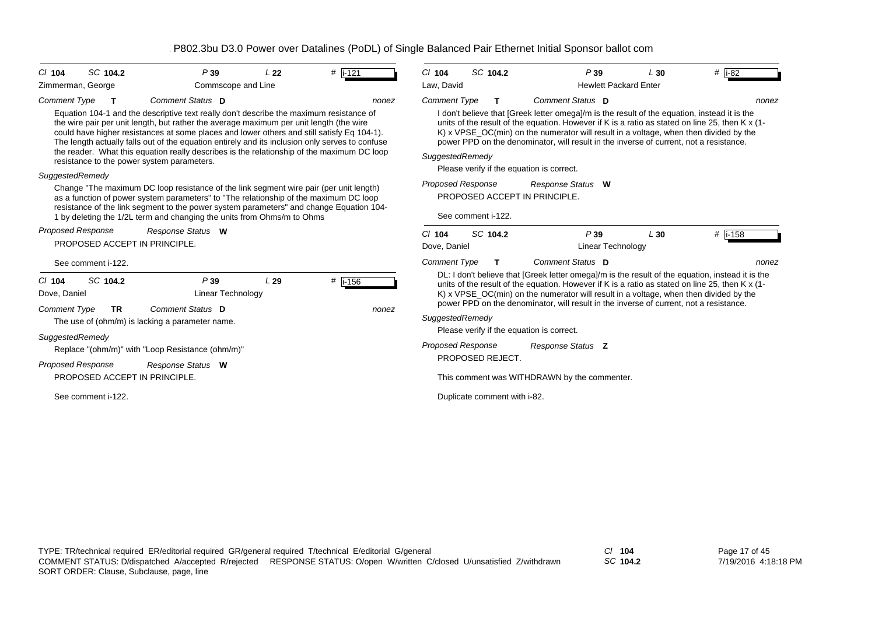| SC 104.2<br>P39<br>$#$ i-121<br>$CI$ 104<br>L <sub>22</sub><br>Zimmerman, George<br>Commscope and Line                                                                                                                                                                                                                                                                                                                                                                                                                                                                                                                                                                                                                                                                                                                                                                                                                                                                         | SC 104.2<br>P39<br>$#$   i-82<br>$Cl$ 104<br>L30<br>Law, David<br><b>Hewlett Packard Enter</b>                                                                                                                                                                                                                                                                                                                                                                                                                                                                                                             |  |  |  |  |  |  |
|--------------------------------------------------------------------------------------------------------------------------------------------------------------------------------------------------------------------------------------------------------------------------------------------------------------------------------------------------------------------------------------------------------------------------------------------------------------------------------------------------------------------------------------------------------------------------------------------------------------------------------------------------------------------------------------------------------------------------------------------------------------------------------------------------------------------------------------------------------------------------------------------------------------------------------------------------------------------------------|------------------------------------------------------------------------------------------------------------------------------------------------------------------------------------------------------------------------------------------------------------------------------------------------------------------------------------------------------------------------------------------------------------------------------------------------------------------------------------------------------------------------------------------------------------------------------------------------------------|--|--|--|--|--|--|
| Comment Status D<br><b>Comment Type</b><br>$\mathbf{T}$<br>nonez<br>Equation 104-1 and the descriptive text really don't describe the maximum resistance of<br>the wire pair per unit length, but rather the average maximum per unit length (the wire<br>could have higher resistances at some places and lower others and still satisfy Eq 104-1).<br>The length actually falls out of the equation entirely and its inclusion only serves to confuse<br>the reader. What this equation really describes is the relationship of the maximum DC loop<br>resistance to the power system parameters.<br>SuggestedRemedy<br>Change "The maximum DC loop resistance of the link segment wire pair (per unit length)<br>as a function of power system parameters" to "The relationship of the maximum DC loop<br>resistance of the link segment to the power system parameters" and change Equation 104-<br>1 by deleting the 1/2L term and changing the units from Ohms/m to Ohms | Comment Status D<br><b>Comment Type</b><br>т<br>I don't believe that [Greek letter omega]/m is the result of the equation, instead it is the<br>units of the result of the equation. However if K is a ratio as stated on line 25, then K x (1-<br>K) x VPSE_OC(min) on the numerator will result in a voltage, when then divided by the<br>power PPD on the denominator, will result in the inverse of current, not a resistance.<br>SuggestedRemedy<br>Please verify if the equation is correct.<br><b>Proposed Response</b><br>Response Status W<br>PROPOSED ACCEPT IN PRINCIPLE.<br>See comment i-122. |  |  |  |  |  |  |
| Proposed Response<br>Response Status W<br>PROPOSED ACCEPT IN PRINCIPLE.<br>See comment i-122.                                                                                                                                                                                                                                                                                                                                                                                                                                                                                                                                                                                                                                                                                                                                                                                                                                                                                  | SC 104.2<br>P39<br>$#$ i-158<br>$Cl$ 104<br>L30<br>Dove, Daniel<br><b>Linear Technology</b><br><b>Comment Type</b><br>Comment Status D<br>T.<br>nonez                                                                                                                                                                                                                                                                                                                                                                                                                                                      |  |  |  |  |  |  |
| $#$ i-156<br>SC 104.2<br>P39<br>L29<br>$CI$ 104<br>Dove, Daniel<br><b>Linear Technology</b><br>Comment Status D<br><b>Comment Type</b><br><b>TR</b><br>nonez<br>The use of (ohm/m) is lacking a parameter name.                                                                                                                                                                                                                                                                                                                                                                                                                                                                                                                                                                                                                                                                                                                                                                | DL: I don't believe that [Greek letter omega]/m is the result of the equation, instead it is the<br>units of the result of the equation. However if K is a ratio as stated on line 25, then K x (1-<br>K) x VPSE_OC(min) on the numerator will result in a voltage, when then divided by the<br>power PPD on the denominator, will result in the inverse of current, not a resistance.<br>SuggestedRemedy<br>Please verify if the equation is correct.                                                                                                                                                     |  |  |  |  |  |  |
| SuggestedRemedy<br>Replace "(ohm/m)" with "Loop Resistance (ohm/m)"<br>Proposed Response<br>Response Status W<br>PROPOSED ACCEPT IN PRINCIPLE.                                                                                                                                                                                                                                                                                                                                                                                                                                                                                                                                                                                                                                                                                                                                                                                                                                 | <b>Proposed Response</b><br>Response Status Z<br>PROPOSED REJECT.<br>This comment was WITHDRAWN by the commenter.                                                                                                                                                                                                                                                                                                                                                                                                                                                                                          |  |  |  |  |  |  |
| See comment i-122.                                                                                                                                                                                                                                                                                                                                                                                                                                                                                                                                                                                                                                                                                                                                                                                                                                                                                                                                                             | Duplicate comment with i-82.                                                                                                                                                                                                                                                                                                                                                                                                                                                                                                                                                                               |  |  |  |  |  |  |

*SC* **104.2**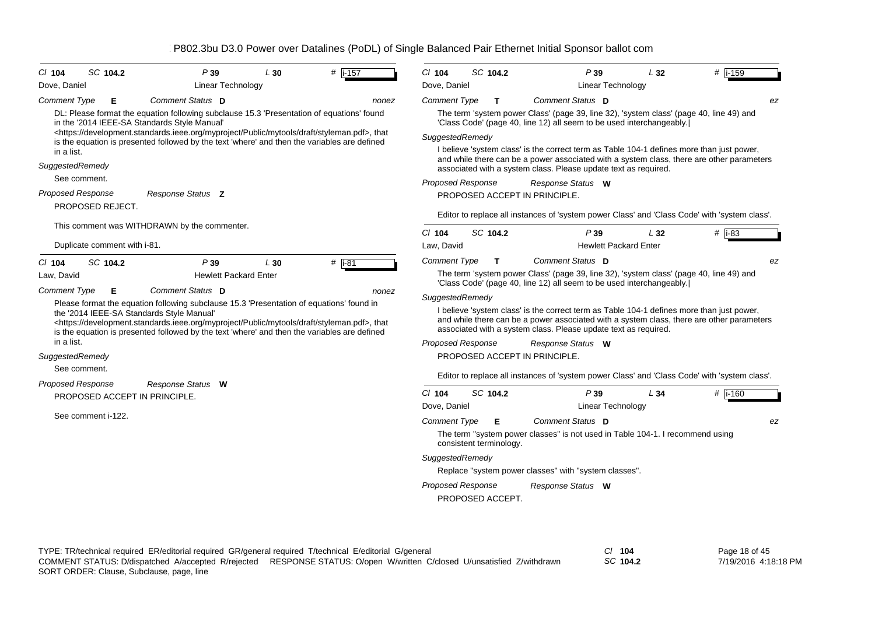| SC 104.2<br># $\sqrt{1-157}$<br>P39<br>$Cl$ 104<br>L30                                                                                                                                                                                                                                                                                                                                                                                                                                                                                                                                                                                                           | SC 104.2<br>$Cl$ 104                                                                                                                                                                                                                                                                                                                                                                                                                                                                                                                                                                                                                                                         | P39                                          | L32 | $#$ i-159     |
|------------------------------------------------------------------------------------------------------------------------------------------------------------------------------------------------------------------------------------------------------------------------------------------------------------------------------------------------------------------------------------------------------------------------------------------------------------------------------------------------------------------------------------------------------------------------------------------------------------------------------------------------------------------|------------------------------------------------------------------------------------------------------------------------------------------------------------------------------------------------------------------------------------------------------------------------------------------------------------------------------------------------------------------------------------------------------------------------------------------------------------------------------------------------------------------------------------------------------------------------------------------------------------------------------------------------------------------------------|----------------------------------------------|-----|---------------|
| Dove, Daniel<br><b>Linear Technology</b>                                                                                                                                                                                                                                                                                                                                                                                                                                                                                                                                                                                                                         | Dove, Daniel                                                                                                                                                                                                                                                                                                                                                                                                                                                                                                                                                                                                                                                                 | <b>Linear Technology</b>                     |     |               |
| Comment Status D<br><b>Comment Type</b><br>Е<br>nonez                                                                                                                                                                                                                                                                                                                                                                                                                                                                                                                                                                                                            | <b>Comment Type</b><br>$\mathbf{T}$                                                                                                                                                                                                                                                                                                                                                                                                                                                                                                                                                                                                                                          | Comment Status D                             |     | ez            |
| DL: Please format the equation following subclause 15.3 'Presentation of equations' found<br>in the '2014 IEEE-SA Standards Style Manual'<br><https: development.standards.ieee.org="" draft="" myproject="" mytools="" public="" styleman.pdf="">, that<br/>is the equation is presented followed by the text 'where' and then the variables are defined</https:>                                                                                                                                                                                                                                                                                               | The term 'system power Class' (page 39, line 32), 'system class' (page 40, line 49) and<br>'Class Code' (page 40, line 12) all seem to be used interchangeably.<br>SuggestedRemedy                                                                                                                                                                                                                                                                                                                                                                                                                                                                                           |                                              |     |               |
| in a list.<br>SuggestedRemedy<br>See comment.                                                                                                                                                                                                                                                                                                                                                                                                                                                                                                                                                                                                                    | I believe 'system class' is the correct term as Table 104-1 defines more than just power,<br>and while there can be a power associated with a system class, there are other parameters<br>associated with a system class. Please update text as required.                                                                                                                                                                                                                                                                                                                                                                                                                    |                                              |     |               |
| <b>Proposed Response</b><br>Response Status Z<br>PROPOSED REJECT.                                                                                                                                                                                                                                                                                                                                                                                                                                                                                                                                                                                                | <b>Proposed Response</b><br>PROPOSED ACCEPT IN PRINCIPLE.                                                                                                                                                                                                                                                                                                                                                                                                                                                                                                                                                                                                                    | Response Status W                            |     |               |
| This comment was WITHDRAWN by the commenter.                                                                                                                                                                                                                                                                                                                                                                                                                                                                                                                                                                                                                     | Editor to replace all instances of 'system power Class' and 'Class Code' with 'system class'.                                                                                                                                                                                                                                                                                                                                                                                                                                                                                                                                                                                |                                              |     |               |
| Duplicate comment with i-81.                                                                                                                                                                                                                                                                                                                                                                                                                                                                                                                                                                                                                                     | $Cl$ 104<br>SC 104.2<br>Law, David                                                                                                                                                                                                                                                                                                                                                                                                                                                                                                                                                                                                                                           | P39<br><b>Hewlett Packard Enter</b>          | L32 | # i-83        |
| $#$ i-81<br>SC 104.2<br>P39<br>L30<br>$Cl$ 104<br>Law, David<br><b>Hewlett Packard Enter</b><br>Comment Status D<br><b>Comment Type</b><br>Е<br>nonez<br>Please format the equation following subclause 15.3 'Presentation of equations' found in<br>the '2014 IEEE-SA Standards Style Manual'<br><https: development.standards.ieee.org="" draft="" myproject="" mytools="" public="" styleman.pdf="">, that<br/>is the equation is presented followed by the text 'where' and then the variables are defined<br/>in a list.<br/>SuggestedRemedy<br/>See comment.<br/><b>Proposed Response</b><br/>Response Status W<br/>PROPOSED ACCEPT IN PRINCIPLE.</https:> | <b>Comment Type</b><br>$\mathbf{T}$<br>The term 'system power Class' (page 39, line 32), 'system class' (page 40, line 49) and<br>'Class Code' (page 40, line 12) all seem to be used interchangeably.<br>SuggestedRemedy<br>I believe 'system class' is the correct term as Table 104-1 defines more than just power,<br>and while there can be a power associated with a system class, there are other parameters<br>associated with a system class. Please update text as required.<br><b>Proposed Response</b><br>PROPOSED ACCEPT IN PRINCIPLE.<br>Editor to replace all instances of 'system power Class' and 'Class Code' with 'system class'.<br>SC 104.2<br>$CI$ 104 | Comment Status D<br>Response Status W<br>P39 | L34 | ez<br># i-160 |
| See comment i-122.                                                                                                                                                                                                                                                                                                                                                                                                                                                                                                                                                                                                                                               | Dove, Daniel<br><b>Comment Type</b><br>Е<br>The term "system power classes" is not used in Table 104-1. I recommend using<br>consistent terminology.<br>SuggestedRemedy<br>Replace "system power classes" with "system classes".                                                                                                                                                                                                                                                                                                                                                                                                                                             | Linear Technology<br>Comment Status D        |     | ez            |
|                                                                                                                                                                                                                                                                                                                                                                                                                                                                                                                                                                                                                                                                  | Proposed Response<br>PROPOSED ACCEPT.                                                                                                                                                                                                                                                                                                                                                                                                                                                                                                                                                                                                                                        | Response Status W                            |     |               |

Page 18 of 45 7/19/2016 4:18:18 PM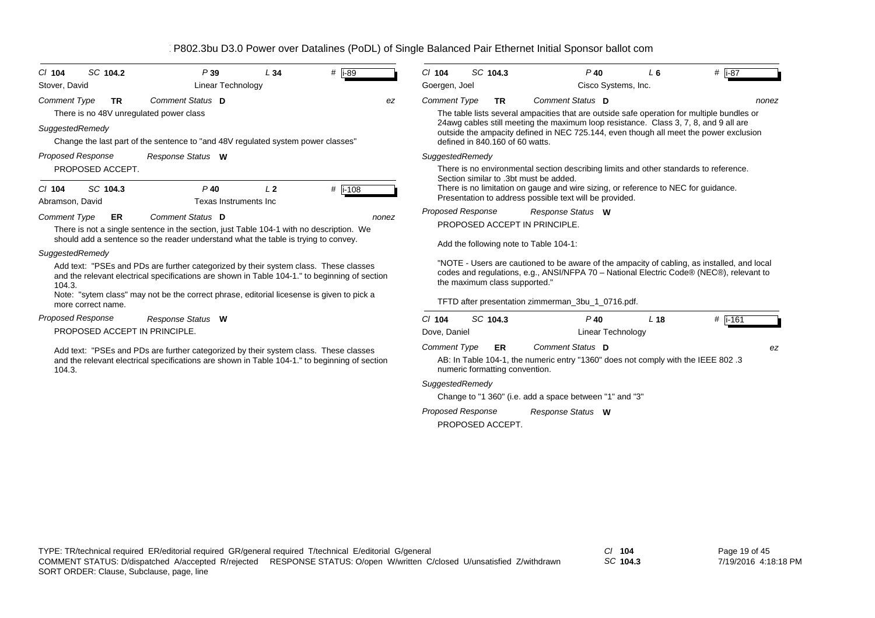| SC 104.2<br>$Cl$ 104                                                                           | P39                                                                                                                                                                                                                                                                                | L34            | #   i-89         |       | $Cl$ 104                               | SC 104.3                                     | $P$ 40                                                                                                                                                                                                                                                                                           | L6              | # $\overline{1}$ -87 |
|------------------------------------------------------------------------------------------------|------------------------------------------------------------------------------------------------------------------------------------------------------------------------------------------------------------------------------------------------------------------------------------|----------------|------------------|-------|----------------------------------------|----------------------------------------------|--------------------------------------------------------------------------------------------------------------------------------------------------------------------------------------------------------------------------------------------------------------------------------------------------|-----------------|----------------------|
| Stover, David                                                                                  | Linear Technology                                                                                                                                                                                                                                                                  |                |                  |       | Goergen, Joel                          |                                              | Cisco Systems, Inc.                                                                                                                                                                                                                                                                              |                 |                      |
| <b>Comment Type</b><br><b>TR</b><br>There is no 48V unregulated power class<br>SuggestedRemedy | Comment Status D<br>Change the last part of the sentence to "and 48V regulated system power classes"                                                                                                                                                                               |                |                  | ez    | <b>Comment Type</b>                    | <b>TR</b><br>defined in 840.160 of 60 watts. | Comment Status D<br>The table lists several ampacities that are outside safe operation for multiple bundles or<br>24 awg cables still meeting the maximum loop resistance. Class 3, 7, 8, and 9 all are<br>outside the ampacity defined in NEC 725.144, even though all meet the power exclusion |                 | nonez                |
| <b>Proposed Response</b>                                                                       | Response Status W                                                                                                                                                                                                                                                                  |                |                  |       | SuggestedRemedy                        |                                              |                                                                                                                                                                                                                                                                                                  |                 |                      |
| PROPOSED ACCEPT.<br>SC 104.3<br>$CI$ 104<br>Abramson, David                                    | $P$ 40<br>Texas Instruments Inc                                                                                                                                                                                                                                                    | L <sub>2</sub> | # $\sqrt{1-108}$ |       |                                        |                                              | There is no environmental section describing limits and other standards to reference.<br>Section similar to .3bt must be added.<br>There is no limitation on gauge and wire sizing, or reference to NEC for guidance.<br>Presentation to address possible text will be provided.                 |                 |                      |
| <b>Comment Type</b><br>ER                                                                      | Comment Status D<br>There is not a single sentence in the section, just Table 104-1 with no description. We<br>should add a sentence so the reader understand what the table is trying to convey.                                                                                  |                |                  | nonez | Proposed Response                      |                                              | Response Status W<br>PROPOSED ACCEPT IN PRINCIPLE.<br>Add the following note to Table 104-1:                                                                                                                                                                                                     |                 |                      |
| SuggestedRemedy<br>104.3.<br>more correct name.                                                | Add text: "PSEs and PDs are further categorized by their system class. These classes<br>and the relevant electrical specifications are shown in Table 104-1." to beginning of section<br>Note: "sytem class" may not be the correct phrase, editorial licesense is given to pick a |                |                  |       |                                        |                                              | "NOTE - Users are cautioned to be aware of the ampacity of cabling, as installed, and local<br>codes and regulations, e.g., ANSI/NFPA 70 - National Electric Code® (NEC®), relevant to<br>the maximum class supported."<br>TFTD after presentation zimmerman_3bu_1_0716.pdf.                     |                 |                      |
| <b>Proposed Response</b>                                                                       | Response Status W                                                                                                                                                                                                                                                                  |                |                  |       | $CI$ 104                               | SC 104.3                                     | $P$ 40                                                                                                                                                                                                                                                                                           | L <sub>18</sub> | #  i-161             |
| PROPOSED ACCEPT IN PRINCIPLE.                                                                  |                                                                                                                                                                                                                                                                                    |                |                  |       | Dove, Daniel                           |                                              | <b>Linear Technology</b>                                                                                                                                                                                                                                                                         |                 |                      |
| 104.3.                                                                                         | Add text: "PSEs and PDs are further categorized by their system class. These classes<br>and the relevant electrical specifications are shown in Table 104-1." to beginning of section                                                                                              |                |                  |       | <b>Comment Type</b><br>SuggestedRemedy | ER                                           | Comment Status D<br>AB: In Table 104-1, the numeric entry "1360" does not comply with the IEEE 802.3<br>numeric formatting convention.<br>Change to "1 360" (i.e. add a space between "1" and "3"                                                                                                |                 | ez                   |

*Response Status* **W** *Proposed Response*

PROPOSED ACCEPT.

*SC* **104.3**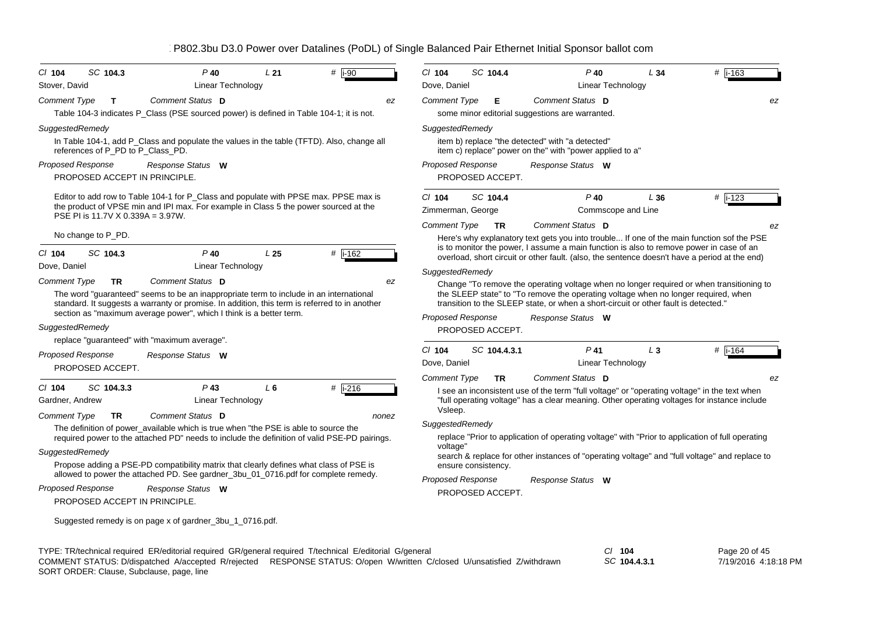| $CI$ 104<br>Stover, David | SC 104.3                                                  | $P$ 40<br>Linear Technology                                                                                                                                                                                                                                                        | L21             | # $\overline{1-90}$                                                                                     | $Cl$ 104<br>Dove, Daniel      | SC 104.4            | $P$ 40                                                                                                                                                                                                                                                                                | L34<br>Linear Technology  | # i-163                                                                                       |
|---------------------------|-----------------------------------------------------------|------------------------------------------------------------------------------------------------------------------------------------------------------------------------------------------------------------------------------------------------------------------------------------|-----------------|---------------------------------------------------------------------------------------------------------|-------------------------------|---------------------|---------------------------------------------------------------------------------------------------------------------------------------------------------------------------------------------------------------------------------------------------------------------------------------|---------------------------|-----------------------------------------------------------------------------------------------|
| <b>Comment Type</b>       | $\mathbf{T}$                                              | Comment Status D                                                                                                                                                                                                                                                                   |                 | ez                                                                                                      | <b>Comment Type</b>           | Е                   | Comment Status D                                                                                                                                                                                                                                                                      |                           | ez                                                                                            |
|                           |                                                           | Table 104-3 indicates P Class (PSE sourced power) is defined in Table 104-1; it is not.                                                                                                                                                                                            |                 |                                                                                                         |                               |                     | some minor editorial suggestions are warranted.                                                                                                                                                                                                                                       |                           |                                                                                               |
| SuggestedRemedy           |                                                           |                                                                                                                                                                                                                                                                                    |                 |                                                                                                         | SuggestedRemedy               |                     |                                                                                                                                                                                                                                                                                       |                           |                                                                                               |
|                           | references of P_PD to P_Class_PD.                         | In Table 104-1, add P_Class and populate the values in the table (TFTD). Also, change all                                                                                                                                                                                          |                 |                                                                                                         |                               |                     | item b) replace "the detected" with "a detected"<br>item c) replace" power on the" with "power applied to a"                                                                                                                                                                          |                           |                                                                                               |
| Proposed Response         |                                                           | Response Status W                                                                                                                                                                                                                                                                  |                 |                                                                                                         | <b>Proposed Response</b>      |                     | Response Status W                                                                                                                                                                                                                                                                     |                           |                                                                                               |
|                           | PROPOSED ACCEPT IN PRINCIPLE.                             |                                                                                                                                                                                                                                                                                    |                 |                                                                                                         |                               | PROPOSED ACCEPT.    |                                                                                                                                                                                                                                                                                       |                           |                                                                                               |
|                           | PSE PI is 11.7V X 0.339A = 3.97W.                         | Editor to add row to Table 104-1 for P_Class and populate with PPSE max. PPSE max is<br>the product of VPSE min and IPI max. For example in Class 5 the power sourced at the                                                                                                       |                 |                                                                                                         | $CI$ 104<br>Zimmerman, George | SC 104.4            | $P$ 40                                                                                                                                                                                                                                                                                | L36<br>Commscope and Line | $#$ i-123                                                                                     |
|                           |                                                           |                                                                                                                                                                                                                                                                                    |                 |                                                                                                         | <b>Comment Type</b>           | <b>TR</b>           | Comment Status D                                                                                                                                                                                                                                                                      |                           | ez                                                                                            |
| $CI$ 104                  | No change to P_PD.<br>SC 104.3                            | $P$ 40                                                                                                                                                                                                                                                                             | L <sub>25</sub> | # i-162                                                                                                 |                               |                     | Here's why explanatory text gets you into trouble If one of the main function sof the PSE<br>is to monitor the power, I assume a main function is also to remove power in case of an<br>overload, short circuit or other fault. (also, the sentence doesn't have a period at the end) |                           |                                                                                               |
| Dove, Daniel              |                                                           | Linear Technology                                                                                                                                                                                                                                                                  |                 |                                                                                                         | SuggestedRemedy               |                     |                                                                                                                                                                                                                                                                                       |                           |                                                                                               |
| <b>Comment Type</b>       | <b>TR</b>                                                 | Comment Status D<br>The word "guaranteed" seems to be an inappropriate term to include in an international<br>standard. It suggests a warranty or promise. In addition, this term is referred to in another<br>section as "maximum average power", which I think is a better term. |                 | ez                                                                                                      | <b>Proposed Response</b>      |                     | the SLEEP state" to "To remove the operating voltage when no longer required, when<br>transition to the SLEEP state, or when a short-circuit or other fault is detected."<br>Response Status W                                                                                        |                           | Change "To remove the operating voltage when no longer required or when transitioning to      |
| SuggestedRemedy           |                                                           |                                                                                                                                                                                                                                                                                    |                 |                                                                                                         |                               | PROPOSED ACCEPT.    |                                                                                                                                                                                                                                                                                       |                           |                                                                                               |
|                           |                                                           | replace "guaranteed" with "maximum average".                                                                                                                                                                                                                                       |                 |                                                                                                         | $Cl$ 104                      | SC 104.4.3.1        | $P$ 41                                                                                                                                                                                                                                                                                | $L_3$                     | $#$ i-164                                                                                     |
|                           | <b>Proposed Response</b><br>PROPOSED ACCEPT.              | Response Status W                                                                                                                                                                                                                                                                  |                 |                                                                                                         | Dove, Daniel                  |                     | Linear Technology                                                                                                                                                                                                                                                                     |                           |                                                                                               |
| $Cl$ 104                  | SC 104.3.3                                                | $P$ 43                                                                                                                                                                                                                                                                             | L <sub>6</sub>  | $#$ i-216                                                                                               | <b>Comment Type</b>           | <b>TR</b>           | Comment Status D                                                                                                                                                                                                                                                                      |                           | ez                                                                                            |
| Gardner, Andrew           |                                                           | Linear Technology                                                                                                                                                                                                                                                                  |                 |                                                                                                         |                               |                     | I see an inconsistent use of the term "full voltage" or "operating voltage" in the text when<br>"full operating voltage" has a clear meaning. Other operating voltages for instance include                                                                                           |                           |                                                                                               |
| <b>Comment Type</b>       | TR                                                        | Comment Status D                                                                                                                                                                                                                                                                   |                 | nonez                                                                                                   | Vsleep.                       |                     |                                                                                                                                                                                                                                                                                       |                           |                                                                                               |
|                           |                                                           | The definition of power_available which is true when "the PSE is able to source the                                                                                                                                                                                                |                 |                                                                                                         | SuggestedRemedy               |                     |                                                                                                                                                                                                                                                                                       |                           |                                                                                               |
|                           |                                                           | required power to the attached PD" needs to include the definition of valid PSE-PD pairings.                                                                                                                                                                                       |                 |                                                                                                         |                               |                     | replace "Prior to application of operating voltage" with "Prior to application of full operating                                                                                                                                                                                      |                           |                                                                                               |
| SuggestedRemedy           |                                                           | Propose adding a PSE-PD compatibility matrix that clearly defines what class of PSE is                                                                                                                                                                                             |                 |                                                                                                         | voltage"                      | ensure consistency. |                                                                                                                                                                                                                                                                                       |                           | search & replace for other instances of "operating voltage" and "full voltage" and replace to |
|                           |                                                           | allowed to power the attached PD. See gardner_3bu_01_0716.pdf for complete remedy.                                                                                                                                                                                                 |                 |                                                                                                         | Proposed Response             |                     | Response Status W                                                                                                                                                                                                                                                                     |                           |                                                                                               |
|                           | <b>Proposed Response</b><br>PROPOSED ACCEPT IN PRINCIPLE. | Response Status W                                                                                                                                                                                                                                                                  |                 |                                                                                                         |                               | PROPOSED ACCEPT.    |                                                                                                                                                                                                                                                                                       |                           |                                                                                               |
|                           |                                                           | Suggested remedy is on page x of gardner_3bu_1_0716.pdf.                                                                                                                                                                                                                           |                 |                                                                                                         |                               |                     |                                                                                                                                                                                                                                                                                       |                           |                                                                                               |
|                           |                                                           |                                                                                                                                                                                                                                                                                    |                 | TYPE: TR/technical required ER/editorial required GR/general required T/technical E/editorial G/general |                               |                     |                                                                                                                                                                                                                                                                                       | $CI$ 104                  | Page 20 of 45                                                                                 |

*SC* **104.4.3.1** SORT ORDER: Clause, Subclause, page, line COMMENT STATUS: D/dispatched A/accepted R/rejected RESPONSE STATUS: O/open W/written C/closed U/unsatisfied Z/withdrawn

7/19/2016 4:18:18 PM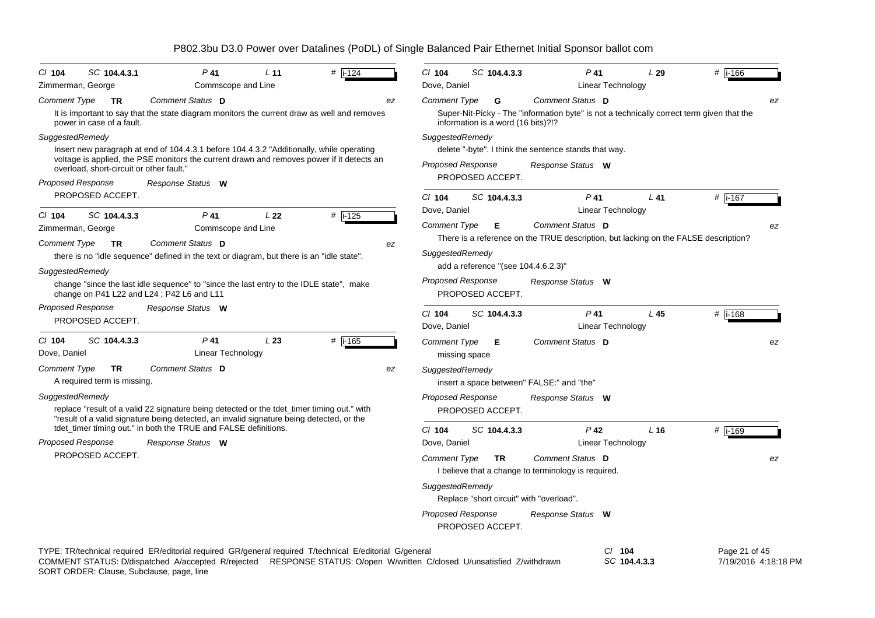| SC 104.4.3.1<br>$P$ 41<br>$#$ i-124<br>$CI$ 104<br>L <sub>11</sub><br>Zimmerman, George<br>Commscope and Line                                                                                                                                                                   | C/ 104<br># i-166<br>SC 104.4.3.3<br>$P$ 41<br>L29<br>Dove, Daniel<br>Linear Technology                                                                                                                                           |
|---------------------------------------------------------------------------------------------------------------------------------------------------------------------------------------------------------------------------------------------------------------------------------|-----------------------------------------------------------------------------------------------------------------------------------------------------------------------------------------------------------------------------------|
| Comment Status D<br><b>Comment Type</b><br><b>TR</b><br>ez<br>It is important to say that the state diagram monitors the current draw as well and removes<br>power in case of a fault.                                                                                          | Comment Status D<br><b>Comment Type</b><br>G<br>ez<br>Super-Nit-Picky - The "information byte" is not a technically correct term given that the<br>information is a word (16 bits)?!?                                             |
| SuggestedRemedy<br>Insert new paragraph at end of 104.4.3.1 before 104.4.3.2 "Additionally, while operating<br>voltage is applied, the PSE monitors the current drawn and removes power if it detects an<br>overload, short-circuit or other fault."                            | SuggestedRemedy<br>delete "-byte". I think the sentence stands that way.<br><b>Proposed Response</b><br>Response Status W<br>PROPOSED ACCEPT.                                                                                     |
| Proposed Response<br>Response Status W<br>PROPOSED ACCEPT.                                                                                                                                                                                                                      | # i-167<br>$Cl$ 104<br>SC 104.4.3.3<br>$P$ 41<br>$L$ 41                                                                                                                                                                           |
| SC 104.4.3.3<br>$P$ 41<br>L22<br>$#$ i-125<br>$CI$ 104<br>Zimmerman, George<br>Commscope and Line<br>Comment Status D<br><b>Comment Type</b><br><b>TR</b><br>ez<br>there is no "idle sequence" defined in the text or diagram, but there is an "idle state".<br>SuggestedRemedy | Dove, Daniel<br>Linear Technology<br>Comment Type<br>Comment Status D<br>Е<br>ez<br>There is a reference on the TRUE description, but lacking on the FALSE description?<br>SuggestedRemedy<br>add a reference "(see 104.4.6.2.3)" |
| change "since the last idle sequence" to "since the last entry to the IDLE state", make<br>change on P41 L22 and L24; P42 L6 and L11                                                                                                                                            | <b>Proposed Response</b><br>Response Status W<br>PROPOSED ACCEPT.                                                                                                                                                                 |
| Proposed Response<br>Response Status W<br>PROPOSED ACCEPT.                                                                                                                                                                                                                      | $Cl$ 104<br>SC 104.4.3.3<br>$P$ 41<br>L45<br># i-168<br>Dove, Daniel<br>Linear Technology                                                                                                                                         |
| $CI$ 104<br>SC 104.4.3.3<br>P 41<br>L23<br># $\overline{1.165}$<br>Linear Technology<br>Dove, Daniel                                                                                                                                                                            | Comment Status D<br><b>Comment Type</b><br>Е<br>ez<br>missing space                                                                                                                                                               |
| Comment Status D<br>Comment Type<br><b>TR</b><br>ez<br>A required term is missing.<br>SuggestedRemedy<br>replace "result of a valid 22 signature being detected or the tdet_timer timing out." with                                                                             | SuggestedRemedy<br>insert a space between" FALSE:" and "the"<br><b>Proposed Response</b><br>Response Status W<br>PROPOSED ACCEPT.                                                                                                 |
| "result of a valid signature being detected, an invalid signature being detected, or the<br>tdet_timer timing out." in both the TRUE and FALSE definitions.<br>Proposed Response<br>Response Status W                                                                           | $Cl$ 104<br>$P$ 42<br>SC 104.4.3.3<br>$L$ 16<br>#  i-169<br>Dove, Daniel<br>Linear Technology                                                                                                                                     |
| PROPOSED ACCEPT.                                                                                                                                                                                                                                                                | Comment Status D<br><b>Comment Type</b><br><b>TR</b><br>ez<br>I believe that a change to terminology is required.                                                                                                                 |
|                                                                                                                                                                                                                                                                                 | SuggestedRemedy<br>Replace "short circuit" with "overload".                                                                                                                                                                       |
|                                                                                                                                                                                                                                                                                 | <b>Proposed Response</b><br>Response Status W<br>PROPOSED ACCEPT.                                                                                                                                                                 |
| TYPE: TR/technical required ER/editorial required GR/general required T/technical E/editorial G/general<br>COMMENT STATUS: D/dispatched A/accepted R/rejected RESPONSE STATUS: O/open W/written C/closed U/unsatisfied Z/withdrawn                                              | Page 21 of 45<br>$CI$ 104<br>SC 104.4.3.3<br>7/19/2016 4:18:18 PM                                                                                                                                                                 |

SORT ORDER: Clause, Subclause, page, line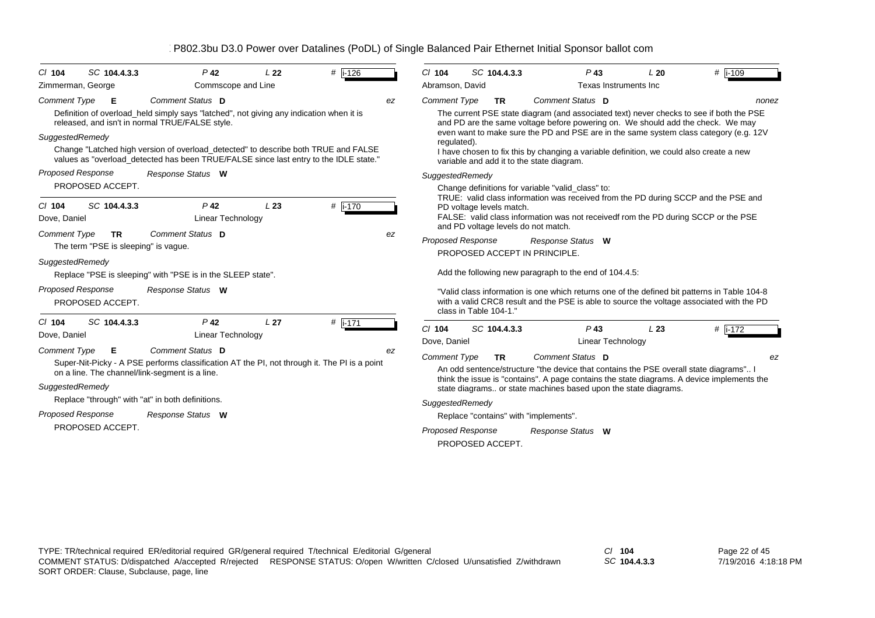| $Cl$ 104                 | SC 104.4.3.3                         | $P$ 42                                                                                                                                                                      | L <sub>22</sub> | #  i-126  |    | $Cl$ 104                                     | SC 104.4.3.3                                           | $P$ 43                   | L20                                                             | #  i-109                                                                                                                                                                                  |
|--------------------------|--------------------------------------|-----------------------------------------------------------------------------------------------------------------------------------------------------------------------------|-----------------|-----------|----|----------------------------------------------|--------------------------------------------------------|--------------------------|-----------------------------------------------------------------|-------------------------------------------------------------------------------------------------------------------------------------------------------------------------------------------|
| Zimmerman, George        |                                      | Commscope and Line                                                                                                                                                          |                 |           |    | Abramson, David                              |                                                        | Texas Instruments Inc.   |                                                                 |                                                                                                                                                                                           |
| <b>Comment Type</b>      | Е                                    | Comment Status D                                                                                                                                                            |                 |           | ez | <b>Comment Type</b>                          | <b>TR</b>                                              | Comment Status D         |                                                                 | nonez                                                                                                                                                                                     |
|                          |                                      | Definition of overload_held simply says "latched", not giving any indication when it is<br>released, and isn't in normal TRUE/FALSE style.                                  |                 |           |    |                                              |                                                        |                          |                                                                 | The current PSE state diagram (and associated text) never checks to see if both the PSE<br>and PD are the same voltage before powering on. We should add the check. We may                |
| SuggestedRemedy          |                                      |                                                                                                                                                                             |                 |           |    | regulated).                                  |                                                        |                          |                                                                 | even want to make sure the PD and PSE are in the same system class category (e.g. 12V                                                                                                     |
|                          |                                      | Change "Latched high version of overload_detected" to describe both TRUE and FALSE<br>values as "overload_detected has been TRUE/FALSE since last entry to the IDLE state." |                 |           |    |                                              | variable and add it to the state diagram.              |                          |                                                                 | I have chosen to fix this by changing a variable definition, we could also create a new                                                                                                   |
| <b>Proposed Response</b> |                                      | Response Status W                                                                                                                                                           |                 |           |    | SuggestedRemedy                              |                                                        |                          |                                                                 |                                                                                                                                                                                           |
|                          | PROPOSED ACCEPT.                     |                                                                                                                                                                             |                 |           |    |                                              | Change definitions for variable "valid class" to:      |                          |                                                                 |                                                                                                                                                                                           |
| $Cl$ 104                 | SC 104.4.3.3                         | P <sub>42</sub>                                                                                                                                                             | L23             | # i-170   |    |                                              | PD voltage levels match.                               |                          |                                                                 | TRUE: valid class information was received from the PD during SCCP and the PSE and                                                                                                        |
| Dove, Daniel             |                                      | Linear Technology                                                                                                                                                           |                 |           |    |                                              |                                                        |                          |                                                                 | FALSE: valid class information was not receivedf rom the PD during SCCP or the PSE                                                                                                        |
| <b>Comment Type</b>      | TR.                                  | Comment Status D                                                                                                                                                            |                 |           | ez | <b>Proposed Response</b>                     | and PD voltage levels do not match.                    | Response Status W        |                                                                 |                                                                                                                                                                                           |
|                          | The term "PSE is sleeping" is vague. |                                                                                                                                                                             |                 |           |    |                                              | PROPOSED ACCEPT IN PRINCIPLE.                          |                          |                                                                 |                                                                                                                                                                                           |
| SuggestedRemedy          |                                      |                                                                                                                                                                             |                 |           |    |                                              |                                                        |                          |                                                                 |                                                                                                                                                                                           |
|                          |                                      | Replace "PSE is sleeping" with "PSE is in the SLEEP state".                                                                                                                 |                 |           |    |                                              | Add the following new paragraph to the end of 104.4.5: |                          |                                                                 |                                                                                                                                                                                           |
| <b>Proposed Response</b> | PROPOSED ACCEPT.                     | Response Status W                                                                                                                                                           |                 |           |    |                                              | class in Table 104-1."                                 |                          |                                                                 | "Valid class information is one which returns one of the defined bit patterns in Table 104-8<br>with a valid CRC8 result and the PSE is able to source the voltage associated with the PD |
| $Cl$ 104                 | SC 104.4.3.3                         | P <sub>42</sub>                                                                                                                                                             | L <sub>27</sub> | # $i-171$ |    | $Cl$ 104                                     | SC 104.4.3.3                                           | $P$ 43                   | L23                                                             |                                                                                                                                                                                           |
| Dove, Daniel             |                                      | <b>Linear Technology</b>                                                                                                                                                    |                 |           |    | Dove, Daniel                                 |                                                        | <b>Linear Technology</b> |                                                                 | $#$ i-172                                                                                                                                                                                 |
| <b>Comment Type</b>      | Е                                    | Comment Status D                                                                                                                                                            |                 |           | ez |                                              |                                                        | Comment Status D         |                                                                 |                                                                                                                                                                                           |
|                          |                                      | Super-Nit-Picky - A PSE performs classification AT the PI, not through it. The PI is a point                                                                                |                 |           |    | <b>Comment Type</b>                          | TR.                                                    |                          |                                                                 | ez<br>An odd sentence/structure "the device that contains the PSE overall state diagrams" I                                                                                               |
|                          |                                      | on a line. The channel/link-segment is a line.                                                                                                                              |                 |           |    |                                              |                                                        |                          |                                                                 | think the issue is "contains". A page contains the state diagrams. A device implements the                                                                                                |
| SuggestedRemedy          |                                      |                                                                                                                                                                             |                 |           |    |                                              |                                                        |                          | state diagrams or state machines based upon the state diagrams. |                                                                                                                                                                                           |
|                          |                                      | Replace "through" with "at" in both definitions.                                                                                                                            |                 |           |    | SuggestedRemedy                              |                                                        |                          |                                                                 |                                                                                                                                                                                           |
| <b>Proposed Response</b> |                                      | Response Status W                                                                                                                                                           |                 |           |    |                                              | Replace "contains" with "implements".                  |                          |                                                                 |                                                                                                                                                                                           |
|                          | PROPOSED ACCEPT.                     |                                                                                                                                                                             |                 |           |    | <b>Proposed Response</b><br>PROPOSED ACCEPT. |                                                        | Response Status W        |                                                                 |                                                                                                                                                                                           |

*SC* **104.4.3.3**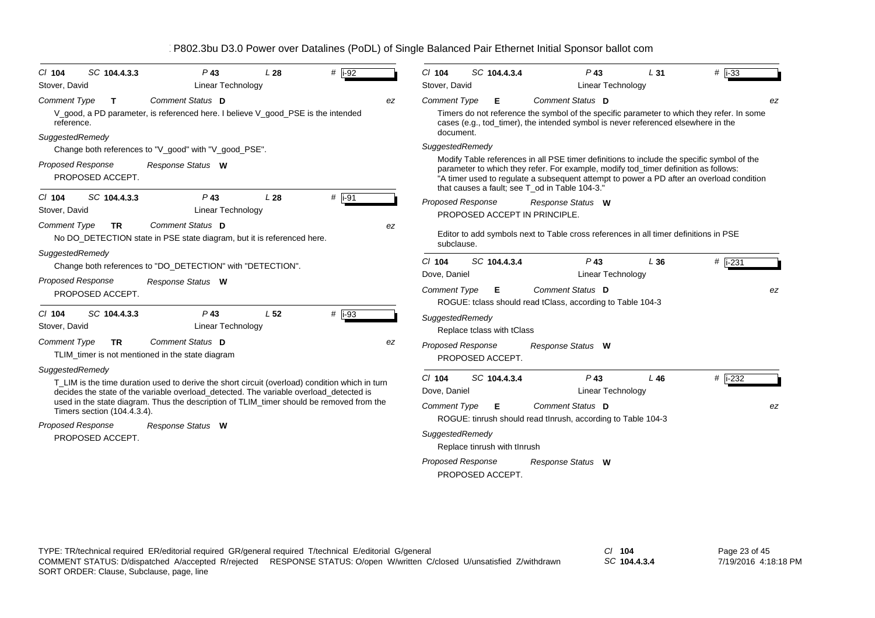| SC 104.4.3.3<br>$\#$   i-92<br>$Cl$ 104<br>$P$ 43<br>L28                                                                                                                                 | SC 104.4.3.4<br>$#$  i-33<br>$Cl$ 104<br>$P$ 43<br>L31                                                                                                                                                                                                                                                                          |
|------------------------------------------------------------------------------------------------------------------------------------------------------------------------------------------|---------------------------------------------------------------------------------------------------------------------------------------------------------------------------------------------------------------------------------------------------------------------------------------------------------------------------------|
| <b>Linear Technology</b><br>Stover, David                                                                                                                                                | Stover, David<br>Linear Technology                                                                                                                                                                                                                                                                                              |
| Comment Status D<br><b>Comment Type</b><br>T<br>ez                                                                                                                                       | Comment Status D<br><b>Comment Type</b><br>E.<br>ez                                                                                                                                                                                                                                                                             |
| V_good, a PD parameter, is referenced here. I believe V_good_PSE is the intended<br>reference.                                                                                           | Timers do not reference the symbol of the specific parameter to which they refer. In some<br>cases (e.g., tod timer), the intended symbol is never referenced elsewhere in the                                                                                                                                                  |
| SuggestedRemedy                                                                                                                                                                          | document.                                                                                                                                                                                                                                                                                                                       |
| Change both references to "V_good" with "V_good_PSE".                                                                                                                                    | SuggestedRemedy                                                                                                                                                                                                                                                                                                                 |
| <b>Proposed Response</b><br>Response Status W<br>PROPOSED ACCEPT.                                                                                                                        | Modify Table references in all PSE timer definitions to include the specific symbol of the<br>parameter to which they refer. For example, modify tod_timer definition as follows:<br>"A timer used to regulate a subsequent attempt to power a PD after an overload condition<br>that causes a fault; see T od in Table 104-3." |
| $#$ i-91<br>SC 104.4.3.3<br>$P$ 43<br>L28<br>$Cl$ 104                                                                                                                                    | Proposed Response<br>Response Status W                                                                                                                                                                                                                                                                                          |
| Linear Technology<br>Stover, David                                                                                                                                                       | PROPOSED ACCEPT IN PRINCIPLE.                                                                                                                                                                                                                                                                                                   |
| <b>Comment Type</b><br>Comment Status D<br><b>TR</b><br>ez<br>No DO_DETECTION state in PSE state diagram, but it is referenced here.                                                     | Editor to add symbols next to Table cross references in all timer definitions in PSE<br>subclause.                                                                                                                                                                                                                              |
| SuggestedRemedy                                                                                                                                                                          | SC 104.4.3.4<br>$Cl$ 104<br>$P$ 43<br>L36                                                                                                                                                                                                                                                                                       |
| Change both references to "DO_DETECTION" with "DETECTION".                                                                                                                               | #  i-231<br>Dove, Daniel<br><b>Linear Technology</b>                                                                                                                                                                                                                                                                            |
| <b>Proposed Response</b><br>Response Status W                                                                                                                                            |                                                                                                                                                                                                                                                                                                                                 |
| PROPOSED ACCEPT.                                                                                                                                                                         | <b>Comment Type</b><br>Comment Status D<br>E.<br>ez<br>ROGUE: tclass should read tClass, according to Table 104-3                                                                                                                                                                                                               |
| $P$ 43<br>L <sub>52</sub><br>$#$ i-93<br>SC 104.4.3.3<br>$CI$ 104                                                                                                                        |                                                                                                                                                                                                                                                                                                                                 |
| Stover, David<br>Linear Technology                                                                                                                                                       | SuggestedRemedy<br>Replace tclass with tClass                                                                                                                                                                                                                                                                                   |
| Comment Status D<br><b>Comment Type</b><br>TR.<br>ez                                                                                                                                     | Proposed Response<br>Response Status W                                                                                                                                                                                                                                                                                          |
| TLIM_timer is not mentioned in the state diagram                                                                                                                                         | PROPOSED ACCEPT.                                                                                                                                                                                                                                                                                                                |
| SuggestedRemedy                                                                                                                                                                          |                                                                                                                                                                                                                                                                                                                                 |
| T LIM is the time duration used to derive the short circuit (overload) condition which in turn<br>decides the state of the variable overload_detected. The variable overload_detected is | $P$ 43<br># i-232<br>$Cl$ 104<br>SC 104.4.3.4<br>L 46<br>Dove, Daniel<br><b>Linear Technology</b>                                                                                                                                                                                                                               |
| used in the state diagram. Thus the description of TLIM_timer should be removed from the                                                                                                 | Comment Status D                                                                                                                                                                                                                                                                                                                |
| Timers section (104.4.3.4).                                                                                                                                                              | <b>Comment Type</b><br>E.<br>ez<br>ROGUE: tinrush should read tinrush, according to Table 104-3                                                                                                                                                                                                                                 |
| <b>Proposed Response</b><br>Response Status W                                                                                                                                            |                                                                                                                                                                                                                                                                                                                                 |
| PROPOSED ACCEPT.                                                                                                                                                                         | SuggestedRemedy<br>Replace tinrush with tInrush                                                                                                                                                                                                                                                                                 |
|                                                                                                                                                                                          | <b>Proposed Response</b><br>Response Status W                                                                                                                                                                                                                                                                                   |

PROPOSED ACCEPT.

*SC* **104.4.3.4**

Page 23 of 45 7/19/2016 4:18:18 PM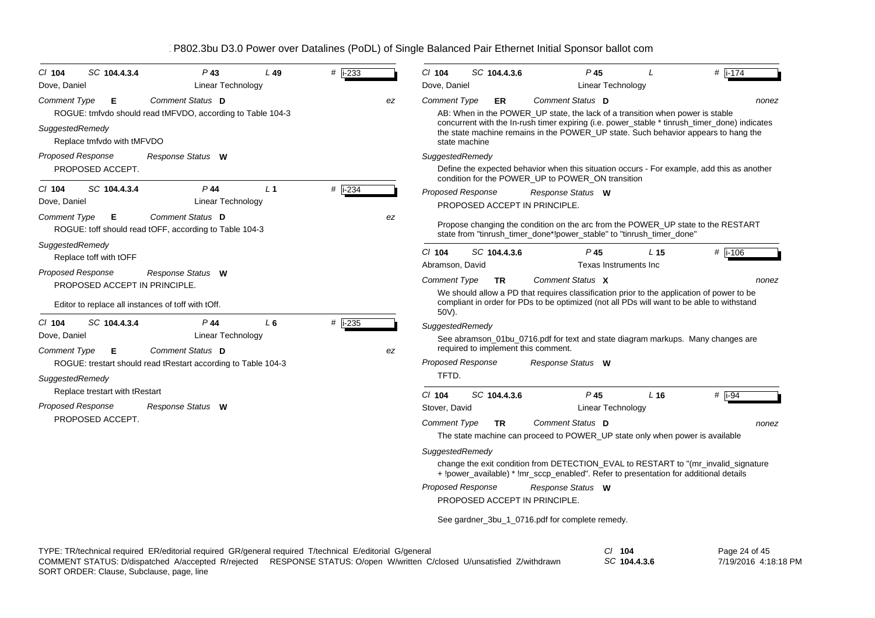| SC 104.4.3.4<br>$P$ 43<br>$Cl$ 104<br>$L$ 49                                                                | #   i-233 | # $\overline{1174}$<br>$Cl$ 104<br>SC 104.4.3.6<br>$P$ 45                                                                                                                                                                                                                             |
|-------------------------------------------------------------------------------------------------------------|-----------|---------------------------------------------------------------------------------------------------------------------------------------------------------------------------------------------------------------------------------------------------------------------------------------|
| Dove, Daniel<br>Linear Technology                                                                           |           | Dove, Daniel<br><b>Linear Technology</b>                                                                                                                                                                                                                                              |
| Comment Status D<br>Comment Type<br>Е                                                                       | ez        | Comment Status D<br><b>Comment Type</b><br>ER<br>nonez                                                                                                                                                                                                                                |
| ROGUE: tmfvdo should read tMFVDO, according to Table 104-3<br>SuggestedRemedy<br>Replace tmfvdo with tMFVDO |           | AB: When in the POWER UP state, the lack of a transition when power is stable<br>concurrent with the In-rush timer expiring (i.e. power_stable * tinrush_timer_done) indicates<br>the state machine remains in the POWER_UP state. Such behavior appears to hang the<br>state machine |
| <b>Proposed Response</b><br>Response Status W                                                               |           | SuggestedRemedy                                                                                                                                                                                                                                                                       |
| PROPOSED ACCEPT.                                                                                            |           | Define the expected behavior when this situation occurs - For example, add this as another<br>condition for the POWER_UP to POWER_ON transition                                                                                                                                       |
| L <sub>1</sub><br>$P$ 44<br>$CI$ 104<br>SC 104.4.3.4<br>Dove, Daniel<br>Linear Technology                   | # i-234   | <b>Proposed Response</b><br>Response Status W<br>PROPOSED ACCEPT IN PRINCIPLE                                                                                                                                                                                                         |
| Comment Status D<br><b>Comment Type</b><br>Е<br>ROGUE: toff should read tOFF, according to Table 104-3      | ez        | Propose changing the condition on the arc from the POWER_UP state to the RESTART<br>state from "tinrush_timer_done*!power_stable" to "tinrush_timer_done"                                                                                                                             |
| SuggestedRemedy                                                                                             |           | # i-106<br>$Cl$ 104<br>SC 104.4.3.6<br>$P$ 45<br>L 15                                                                                                                                                                                                                                 |
| Replace toff with tOFF                                                                                      |           | Abramson, David<br>Texas Instruments Inc                                                                                                                                                                                                                                              |
| Proposed Response<br>Response Status W<br>PROPOSED ACCEPT IN PRINCIPLE.                                     |           | Comment Status X<br><b>Comment Type</b><br><b>TR</b><br>nonez                                                                                                                                                                                                                         |
| Editor to replace all instances of toff with tOff.                                                          |           | We should allow a PD that requires classification prior to the application of power to be<br>compliant in order for PDs to be optimized (not all PDs will want to be able to withstand<br>50V).                                                                                       |
| SC 104.4.3.4<br>$P$ 44<br>$L_6$<br>$CI$ 104                                                                 | $#$ i-235 | SuggestedRemedy                                                                                                                                                                                                                                                                       |
| Dove, Daniel<br><b>Linear Technology</b><br>Comment Status D<br><b>Comment Type</b><br>Е                    | ez        | See abramson_01bu_0716.pdf for text and state diagram markups. Many changes are<br>required to implement this comment.                                                                                                                                                                |
| ROGUE: trestart should read tRestart according to Table 104-3                                               |           | Proposed Response<br>Response Status W                                                                                                                                                                                                                                                |
| SuggestedRemedy                                                                                             |           | TFTD.                                                                                                                                                                                                                                                                                 |
| Replace trestart with tRestart                                                                              |           | SC 104.4.3.6<br>P <sub>45</sub><br>L <sub>16</sub><br>$Cl$ 104<br># $\overline{1-94}$                                                                                                                                                                                                 |
| <b>Proposed Response</b><br>Response Status W                                                               |           | Stover, David<br>Linear Technology                                                                                                                                                                                                                                                    |
| PROPOSED ACCEPT.                                                                                            |           | Comment Status D<br><b>Comment Type</b><br>TR.<br>nonez                                                                                                                                                                                                                               |
|                                                                                                             |           | The state machine can proceed to POWER_UP state only when power is available                                                                                                                                                                                                          |
|                                                                                                             |           | SuggestedRemedy                                                                                                                                                                                                                                                                       |
|                                                                                                             |           | change the exit condition from DETECTION_EVAL to RESTART to "(mr_invalid_signature<br>+ !power_available) * !mr_sccp_enabled". Refer to presentation for additional details                                                                                                           |
|                                                                                                             |           | Proposed Response<br>Response Status W                                                                                                                                                                                                                                                |
|                                                                                                             |           | PROPOSED ACCEPT IN PRINCIPLE.                                                                                                                                                                                                                                                         |
|                                                                                                             |           | See gardner_3bu_1_0716.pdf for complete remedy.                                                                                                                                                                                                                                       |

| TYPE: TR/technical required ER/editorial required GR/general required T/technical E/editorial G/general |                                                                                                                         | 104          | Page 24 of 45        |
|---------------------------------------------------------------------------------------------------------|-------------------------------------------------------------------------------------------------------------------------|--------------|----------------------|
|                                                                                                         | COMMENT STATUS: D/dispatched A/accepted R/rejected RESPONSE STATUS: O/open W/written C/closed U/unsatisfied Z/withdrawn | SC 104.4.3.6 | 7/19/2016 4:18:18 PM |
| SORT ORDER: Clause, Subclause, page, line                                                               |                                                                                                                         |              |                      |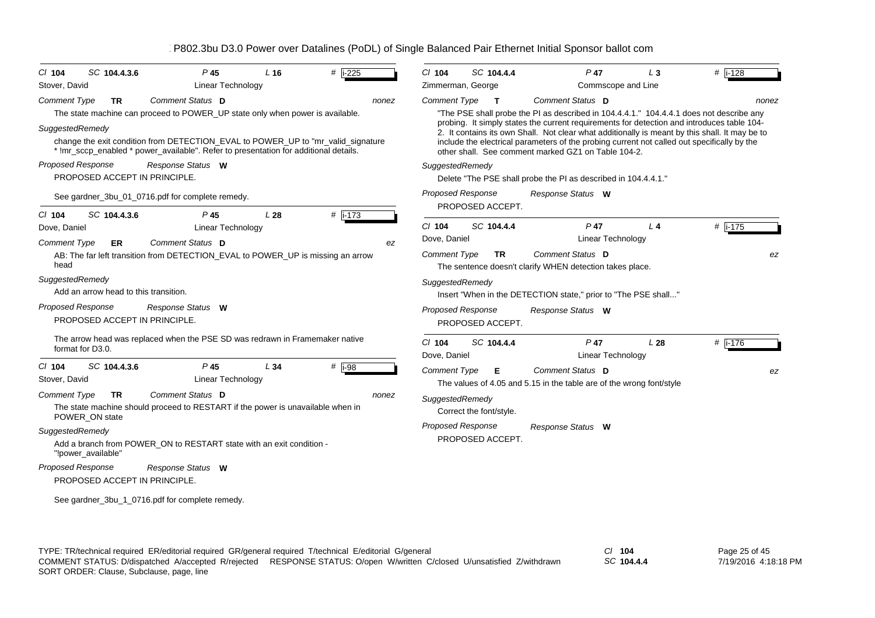| SC 104.4.3.6<br>$CI$ 104                           | $P$ 45                                                                                                                                                                    | L <sub>16</sub> | $#$ i-225  | $CI$ 104                 | SC 104.4.4              | $P$ 47                                                                                                                                                                                       | L <sub>3</sub>  | $#$ i-128 |
|----------------------------------------------------|---------------------------------------------------------------------------------------------------------------------------------------------------------------------------|-----------------|------------|--------------------------|-------------------------|----------------------------------------------------------------------------------------------------------------------------------------------------------------------------------------------|-----------------|-----------|
| Stover, David                                      | Linear Technology                                                                                                                                                         |                 |            | Zimmerman, George        |                         | Commscope and Line                                                                                                                                                                           |                 |           |
| <b>Comment Type</b><br><b>TR</b>                   | Comment Status D                                                                                                                                                          |                 | nonez      | <b>Comment Type</b>      | $\mathbf{T}$            | Comment Status D                                                                                                                                                                             |                 | nonez     |
|                                                    | The state machine can proceed to POWER_UP state only when power is available.                                                                                             |                 |            |                          |                         | "The PSE shall probe the PI as described in 104.4.4.1." 104.4.4.1 does not describe any                                                                                                      |                 |           |
| SuggestedRemedy                                    |                                                                                                                                                                           |                 |            |                          |                         | probing. It simply states the current requirements for detection and introduces table 104-<br>2. It contains its own Shall. Not clear what additionally is meant by this shall. It may be to |                 |           |
|                                                    | change the exit condition from DETECTION_EVAL to POWER_UP to "mr_valid_signature"<br>* !mr_sccp_enabled * power_available". Refer to presentation for additional details. |                 |            |                          |                         | include the electrical parameters of the probing current not called out specifically by the<br>other shall. See comment marked GZ1 on Table 104-2.                                           |                 |           |
| Proposed Response                                  | Response Status W                                                                                                                                                         |                 |            | SuggestedRemedy          |                         |                                                                                                                                                                                              |                 |           |
| PROPOSED ACCEPT IN PRINCIPLE.                      |                                                                                                                                                                           |                 |            |                          |                         | Delete "The PSE shall probe the PI as described in 104.4.4.1."                                                                                                                               |                 |           |
|                                                    | See gardner_3bu_01_0716.pdf for complete remedy.                                                                                                                          |                 |            | <b>Proposed Response</b> | PROPOSED ACCEPT.        | Response Status W                                                                                                                                                                            |                 |           |
| SC 104.4.3.6<br>$CI$ 104                           | $P$ 45                                                                                                                                                                    | L28             | $#$ i-173  |                          |                         |                                                                                                                                                                                              |                 |           |
| Dove, Daniel                                       | Linear Technology                                                                                                                                                         |                 |            | $Cl$ 104                 | SC 104.4.4              | $P$ 47                                                                                                                                                                                       | $L_4$           | # i-175   |
| <b>Comment Type</b><br>ER.                         | Comment Status D                                                                                                                                                          |                 | ez         | Dove, Daniel             |                         | Linear Technology                                                                                                                                                                            |                 |           |
| head                                               | AB: The far left transition from DETECTION_EVAL to POWER_UP is missing an arrow                                                                                           |                 |            | <b>Comment Type</b>      | <b>TR</b>               | Comment Status D<br>The sentence doesn't clarify WHEN detection takes place.                                                                                                                 |                 | ez        |
| SuggestedRemedy                                    |                                                                                                                                                                           |                 |            | SuggestedRemedy          |                         |                                                                                                                                                                                              |                 |           |
| Add an arrow head to this transition.              |                                                                                                                                                                           |                 |            |                          |                         | Insert "When in the DETECTION state," prior to "The PSE shall"                                                                                                                               |                 |           |
| Proposed Response<br>PROPOSED ACCEPT IN PRINCIPLE. | Response Status W                                                                                                                                                         |                 |            | <b>Proposed Response</b> |                         | Response Status W                                                                                                                                                                            |                 |           |
|                                                    |                                                                                                                                                                           |                 |            |                          | PROPOSED ACCEPT.        |                                                                                                                                                                                              |                 |           |
| format for D3.0.                                   | The arrow head was replaced when the PSE SD was redrawn in Framemaker native                                                                                              |                 |            | $Cl$ 104                 | SC 104.4.4              | $P$ 47                                                                                                                                                                                       | L <sub>28</sub> | #  i-176  |
|                                                    |                                                                                                                                                                           |                 |            | Dove, Daniel             |                         | Linear Technology                                                                                                                                                                            |                 |           |
| $Cl$ 104<br>SC 104.4.3.6<br>Stover, David          | $P$ 45<br><b>Linear Technology</b>                                                                                                                                        | L34             | $#$   i-98 | <b>Comment Type</b>      | Е                       | Comment Status D<br>The values of 4.05 and 5.15 in the table are of the wrong font/style                                                                                                     |                 | ez        |
| <b>Comment Type</b><br><b>TR</b>                   | Comment Status D                                                                                                                                                          |                 | nonez      | SuggestedRemedy          |                         |                                                                                                                                                                                              |                 |           |
| POWER_ON state                                     | The state machine should proceed to RESTART if the power is unavailable when in                                                                                           |                 |            |                          | Correct the font/style. |                                                                                                                                                                                              |                 |           |
| SuggestedRemedy                                    |                                                                                                                                                                           |                 |            | Proposed Response        |                         | Response Status W                                                                                                                                                                            |                 |           |
| "!power_available"                                 | Add a branch from POWER ON to RESTART state with an exit condition -                                                                                                      |                 |            |                          | PROPOSED ACCEPT.        |                                                                                                                                                                                              |                 |           |
| Proposed Response                                  | Response Status W                                                                                                                                                         |                 |            |                          |                         |                                                                                                                                                                                              |                 |           |
| PROPOSED ACCEPT IN PRINCIPLE.                      |                                                                                                                                                                           |                 |            |                          |                         |                                                                                                                                                                                              |                 |           |
|                                                    | See gardner_3bu_1_0716.pdf for complete remedy.                                                                                                                           |                 |            |                          |                         |                                                                                                                                                                                              |                 |           |

*SC* **104.4.4**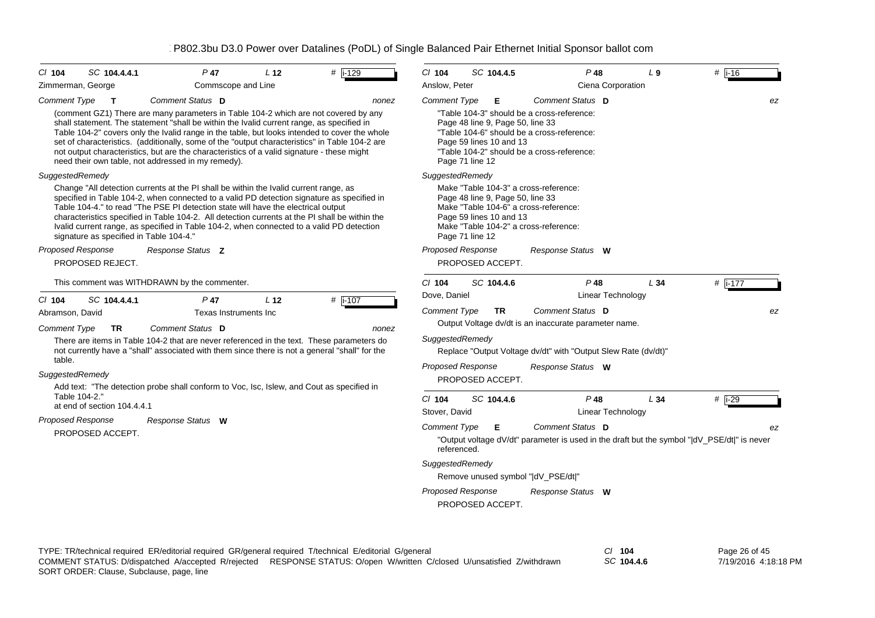| CI 104<br>SC 104.4.4.1<br>Zimmerman, George                                                                                                                                                                                                   | $P$ 47<br>Commscope and Line                 | L <sub>12</sub> | # i-129                                                                                                                                                                                                                                                                                   | $Cl$ 104<br>Anslow, Peter                   | SC 104.4.5                                                  |                                                                                                                                        | $P$ 48<br>Ciena Corporation | L <sub>9</sub>                                                                              | $#$ i-16      |    |
|-----------------------------------------------------------------------------------------------------------------------------------------------------------------------------------------------------------------------------------------------|----------------------------------------------|-----------------|-------------------------------------------------------------------------------------------------------------------------------------------------------------------------------------------------------------------------------------------------------------------------------------------|---------------------------------------------|-------------------------------------------------------------|----------------------------------------------------------------------------------------------------------------------------------------|-----------------------------|---------------------------------------------------------------------------------------------|---------------|----|
| <b>Comment Type</b><br>T                                                                                                                                                                                                                      | Comment Status D                             |                 | nonez                                                                                                                                                                                                                                                                                     | <b>Comment Type</b>                         | Е                                                           | Comment Status D                                                                                                                       |                             |                                                                                             |               | ez |
| shall statement. The statement "shall be within the Ivalid current range, as specified in<br>not output characteristics, but are the characteristics of a valid signature - these might<br>need their own table, not addressed in my remedy). |                                              |                 | (comment GZ1) There are many parameters in Table 104-2 which are not covered by any<br>Table 104-2" covers only the Ivalid range in the table, but looks intended to cover the whole<br>set of characteristics. (additionally, some of the "output characteristics" in Table 104-2 are    | Page 71 line 12                             | Page 48 line 9, Page 50, line 33<br>Page 59 lines 10 and 13 | "Table 104-3" should be a cross-reference:<br>"Table 104-6" should be a cross-reference:<br>"Table 104-2" should be a cross-reference: |                             |                                                                                             |               |    |
| SuggestedRemedy                                                                                                                                                                                                                               |                                              |                 |                                                                                                                                                                                                                                                                                           | SuggestedRemedy                             |                                                             |                                                                                                                                        |                             |                                                                                             |               |    |
| Change "All detection currents at the PI shall be within the Ivalid current range, as<br>Table 104-4." to read "The PSE PI detection state will have the electrical output<br>signature as specified in Table 104-4."                         |                                              |                 | specified in Table 104-2, when connected to a valid PD detection signature as specified in<br>characteristics specified in Table 104-2. All detection currents at the PI shall be within the<br>Ivalid current range, as specified in Table 104-2, when connected to a valid PD detection | Page 71 line 12                             | Page 48 line 9, Page 50, line 33<br>Page 59 lines 10 and 13 | Make "Table 104-3" a cross-reference:<br>Make "Table 104-6" a cross-reference:<br>Make "Table 104-2" a cross-reference:                |                             |                                                                                             |               |    |
| <b>Proposed Response</b><br>PROPOSED REJECT.                                                                                                                                                                                                  | Response Status <b>Z</b>                     |                 |                                                                                                                                                                                                                                                                                           | <b>Proposed Response</b>                    | PROPOSED ACCEPT.                                            | Response Status W                                                                                                                      |                             |                                                                                             |               |    |
|                                                                                                                                                                                                                                               | This comment was WITHDRAWN by the commenter. |                 |                                                                                                                                                                                                                                                                                           | $Cl$ 104                                    | SC 104.4.6                                                  |                                                                                                                                        | P 48                        | L34                                                                                         | # $i-177$     |    |
| SC 104.4.4.1<br>CI 104                                                                                                                                                                                                                        | $P$ 47                                       | L <sub>12</sub> | # $\sqrt{1-107}$                                                                                                                                                                                                                                                                          | Dove, Daniel                                |                                                             |                                                                                                                                        | Linear Technology           |                                                                                             |               |    |
| Abramson, David                                                                                                                                                                                                                               | Texas Instruments Inc                        |                 |                                                                                                                                                                                                                                                                                           | <b>Comment Type</b>                         | <b>TR</b>                                                   | Comment Status D<br>Output Voltage dv/dt is an inaccurate parameter name.                                                              |                             |                                                                                             |               | ez |
| <b>Comment Type</b><br>TR<br>table.                                                                                                                                                                                                           | Comment Status D                             |                 | nonez<br>There are items in Table 104-2 that are never referenced in the text. These parameters do<br>not currently have a "shall" associated with them since there is not a general "shall" for the                                                                                      | SuggestedRemedy<br><b>Proposed Response</b> |                                                             | Replace "Output Voltage dv/dt" with "Output Slew Rate (dv/dt)"<br>Response Status W                                                    |                             |                                                                                             |               |    |
| <b>SuggestedRemedy</b><br>Table 104-2."                                                                                                                                                                                                       |                                              |                 | Add text: "The detection probe shall conform to Voc, Isc, Islew, and Cout as specified in                                                                                                                                                                                                 | $CI$ 104                                    | PROPOSED ACCEPT.<br>SC 104.4.6                              |                                                                                                                                        | P 48                        | L34                                                                                         | # $i-29$      |    |
| at end of section 104.4.4.1                                                                                                                                                                                                                   |                                              |                 |                                                                                                                                                                                                                                                                                           | Stover, David                               |                                                             |                                                                                                                                        | Linear Technology           |                                                                                             |               |    |
| Proposed Response<br>PROPOSED ACCEPT.                                                                                                                                                                                                         | Response Status W                            |                 |                                                                                                                                                                                                                                                                                           | <b>Comment Type</b><br>referenced.          | Е                                                           | Comment Status D                                                                                                                       |                             | "Output voltage dV/dt" parameter is used in the draft but the symbol " dV_PSE/dt " is never |               | ez |
|                                                                                                                                                                                                                                               |                                              |                 |                                                                                                                                                                                                                                                                                           | SuggestedRemedy                             |                                                             |                                                                                                                                        |                             |                                                                                             |               |    |
|                                                                                                                                                                                                                                               |                                              |                 |                                                                                                                                                                                                                                                                                           |                                             |                                                             | Remove unused symbol " dV_PSE/dt "                                                                                                     |                             |                                                                                             |               |    |
|                                                                                                                                                                                                                                               |                                              |                 |                                                                                                                                                                                                                                                                                           | <b>Proposed Response</b>                    | PROPOSED ACCEPT.                                            | Response Status W                                                                                                                      |                             |                                                                                             |               |    |
|                                                                                                                                                                                                                                               |                                              |                 | TYPE: TR/technical required ER/editorial required GR/general required T/technical E/editorial G/general                                                                                                                                                                                   |                                             |                                                             |                                                                                                                                        | $CI$ 104                    |                                                                                             | Page 26 of 45 |    |

SORT ORDER: Clause, Subclause, page, line COMMENT STATUS: D/dispatched A/accepted R/rejected RESPONSE STATUS: O/open W/written C/closed U/unsatisfied Z/withdrawn

*SC* **104.4.6**

Page 26 of 45 7/19/2016 4:18:18 PM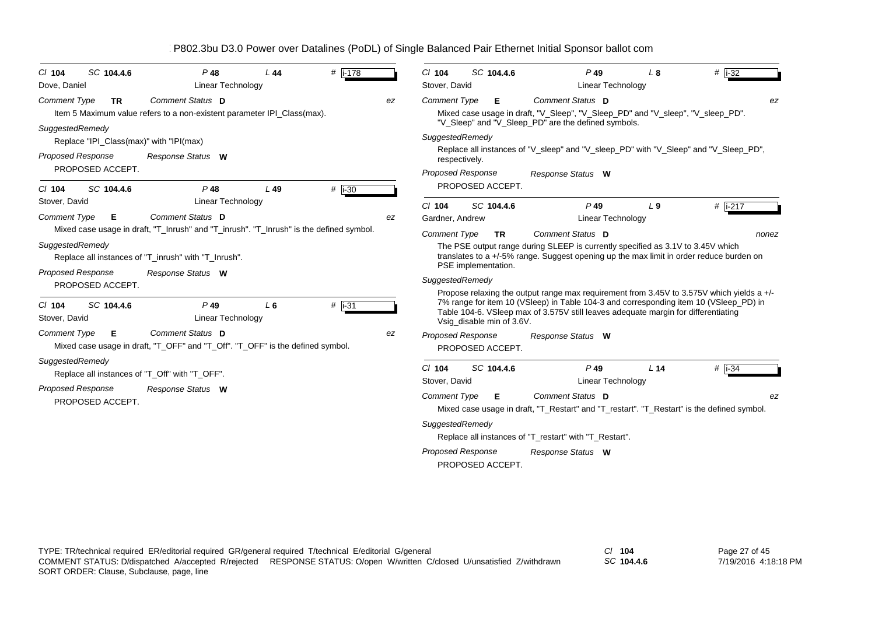| $CI$ 104                 | SC 104.4.6 | $P$ 48                                                                                             | L 44 | #   i-178 |    | $Cl$ 104                  | SC 104.4.6                | $P$ 49                                                                                                                                                                                                                                                                     | $L_{\rm 8}$     | # $\overline{1\cdot 32}$ |
|--------------------------|------------|----------------------------------------------------------------------------------------------------|------|-----------|----|---------------------------|---------------------------|----------------------------------------------------------------------------------------------------------------------------------------------------------------------------------------------------------------------------------------------------------------------------|-----------------|--------------------------|
| Dove, Daniel             |            | Linear Technology                                                                                  |      |           |    | Stover, David             |                           | Linear Technology                                                                                                                                                                                                                                                          |                 |                          |
| <b>Comment Type</b>      | <b>TR</b>  | Comment Status D                                                                                   |      |           | ez | <b>Comment Type</b>       | Е                         | Comment Status D                                                                                                                                                                                                                                                           |                 | ez                       |
|                          |            | Item 5 Maximum value refers to a non-existent parameter IPI_Class(max).                            |      |           |    |                           |                           | Mixed case usage in draft, "V_Sleep", "V_Sleep_PD" and "V_sleep", "V_sleep_PD".<br>"V_Sleep" and "V_Sleep_PD" are the defined symbols.                                                                                                                                     |                 |                          |
| SuggestedRemedy          |            | Replace "IPI_Class(max)" with "IPI(max)                                                            |      |           |    | SuggestedRemedy           |                           |                                                                                                                                                                                                                                                                            |                 |                          |
| <b>Proposed Response</b> |            | Response Status W                                                                                  |      |           |    | respectively.             |                           | Replace all instances of "V_sleep" and "V_sleep_PD" with "V_Sleep" and "V_Sleep_PD",                                                                                                                                                                                       |                 |                          |
| PROPOSED ACCEPT.         |            |                                                                                                    |      |           |    | <b>Proposed Response</b>  |                           | Response Status W                                                                                                                                                                                                                                                          |                 |                          |
| $CI$ 104                 | SC 104.4.6 | $P$ 48                                                                                             | L49  | $#$ i-30  |    |                           | PROPOSED ACCEPT.          |                                                                                                                                                                                                                                                                            |                 |                          |
| Stover, David            |            | Linear Technology                                                                                  |      |           |    | $Cl$ 104                  | SC 104.4.6                | $P$ 49                                                                                                                                                                                                                                                                     | L <sub>9</sub>  | $#$ i-217                |
| <b>Comment Type</b>      | Е.         | <b>Comment Status D</b>                                                                            |      |           | ez | Gardner, Andrew           |                           | <b>Linear Technology</b>                                                                                                                                                                                                                                                   |                 |                          |
|                          |            | Mixed case usage in draft, "T_Inrush" and "T_inrush". "T_Inrush" is the defined symbol.            |      |           |    | <b>Comment Type</b>       | TR.                       | Comment Status D                                                                                                                                                                                                                                                           |                 | nonez                    |
| SuggestedRemedy          |            |                                                                                                    |      |           |    |                           |                           | The PSE output range during SLEEP is currently specified as 3.1V to 3.45V which                                                                                                                                                                                            |                 |                          |
|                          |            | Replace all instances of "T_inrush" with "T_Inrush".                                               |      |           |    |                           |                           | translates to a +/-5% range. Suggest opening up the max limit in order reduce burden on                                                                                                                                                                                    |                 |                          |
| <b>Proposed Response</b> |            | Response Status W                                                                                  |      |           |    |                           | PSE implementation.       |                                                                                                                                                                                                                                                                            |                 |                          |
| PROPOSED ACCEPT.         |            |                                                                                                    |      |           |    | SuggestedRemedy           |                           |                                                                                                                                                                                                                                                                            |                 |                          |
| C/104<br>Stover, David   | SC 104.4.6 | $P$ 49<br><b>Linear Technology</b>                                                                 | L6   | $#$ i-31  |    |                           | Vsig_disable min of 3.6V. | Propose relaxing the output range max requirement from 3.45V to 3.575V which yields a $+/-$<br>7% range for item 10 (VSleep) in Table 104-3 and corresponding item 10 (VSleep PD) in<br>Table 104-6. VSleep max of 3.575V still leaves adequate margin for differentiating |                 |                          |
| <b>Comment Type</b>      | -E         | Comment Status D<br>Mixed case usage in draft, "T_OFF" and "T_Off". "T_OFF" is the defined symbol. |      |           | ez | <b>Proposed Response</b>  | PROPOSED ACCEPT.          | Response Status W                                                                                                                                                                                                                                                          |                 |                          |
| SuggestedRemedy          |            | Replace all instances of "T_Off" with "T_OFF".                                                     |      |           |    | $Cl$ 104<br>Stover, David | SC 104.4.6                | $P$ 49<br>Linear Technology                                                                                                                                                                                                                                                | L <sub>14</sub> | $#$ i-34                 |
| <b>Proposed Response</b> |            | Response Status W                                                                                  |      |           |    |                           |                           |                                                                                                                                                                                                                                                                            |                 |                          |
| PROPOSED ACCEPT.         |            |                                                                                                    |      |           |    | <b>Comment Type</b>       | Е                         | Comment Status D<br>Mixed case usage in draft, "T_Restart" and "T_restart". "T_Restart" is the defined symbol.                                                                                                                                                             |                 | ez                       |
|                          |            |                                                                                                    |      |           |    | SuggestedRemedy           |                           |                                                                                                                                                                                                                                                                            |                 |                          |
|                          |            |                                                                                                    |      |           |    |                           |                           | Replace all instances of "T restart" with "T Restart".                                                                                                                                                                                                                     |                 |                          |
|                          |            |                                                                                                    |      |           |    | <b>Proposed Response</b>  | PROPOSED ACCEPT.          | Response Status W                                                                                                                                                                                                                                                          |                 |                          |

*SC* **104.4.6**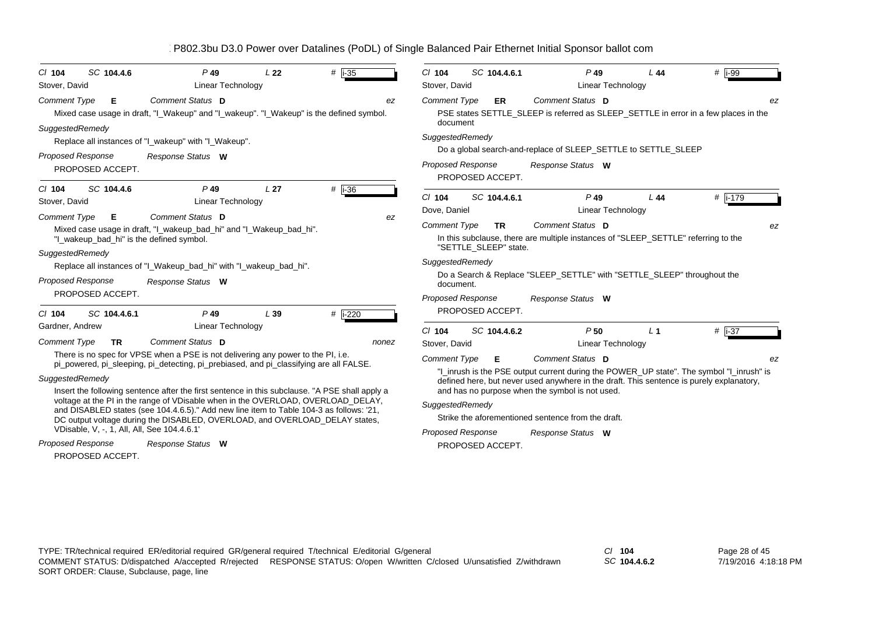| SC 104.4.6<br>$CI$ 104<br>Stover, David                                                 | $P$ 49<br><b>Linear Technology</b>                                                                          | L22             | # $ -35 $ | $Cl$ 104<br>SC 104.4.6.1<br>Stover, David                 | $P$ 49<br><b>Linear Technology</b>                                                                                                          | L44            | $#$   i-99 |
|-----------------------------------------------------------------------------------------|-------------------------------------------------------------------------------------------------------------|-----------------|-----------|-----------------------------------------------------------|---------------------------------------------------------------------------------------------------------------------------------------------|----------------|------------|
| <b>Comment Type</b><br>Е                                                                | Comment Status D<br>Mixed case usage in draft, "I_Wakeup" and "I_wakeup". "I_Wakeup" is the defined symbol. |                 | ez        | <b>Comment Type</b><br><b>ER</b><br>document              | Comment Status D<br>PSE states SETTLE_SLEEP is referred as SLEEP_SETTLE in error in a few places in the                                     |                | ez         |
| SuggestedRemedy                                                                         | Replace all instances of "I_wakeup" with "I_Wakeup".                                                        |                 |           | SuggestedRemedy                                           |                                                                                                                                             |                |            |
|                                                                                         |                                                                                                             |                 |           |                                                           | Do a global search-and-replace of SLEEP_SETTLE to SETTLE_SLEEP                                                                              |                |            |
| <b>Proposed Response</b><br>PROPOSED ACCEPT.                                            | Response Status W                                                                                           |                 |           | <b>Proposed Response</b><br>PROPOSED ACCEPT.              | Response Status W                                                                                                                           |                |            |
| SC 104.4.6<br>$CI$ 104<br>Stover, David                                                 | $P$ 49<br>Linear Technology                                                                                 | L <sub>27</sub> | # $i-36$  | SC 104.4.6.1<br>$Cl$ 104<br>Dove, Daniel                  | $P$ 49<br>Linear Technology                                                                                                                 | L44            | # i-179    |
| <b>Comment Type</b><br>Е<br>"I wakeup bad hi" is the defined symbol.<br>SuggestedRemedy | Comment Status D<br>Mixed case usage in draft, "I_wakeup_bad_hi" and "I_Wakeup_bad_hi".                     |                 | ez        | <b>Comment Type</b><br><b>TR</b><br>"SETTLE SLEEP" state. | Comment Status D<br>In this subclause, there are multiple instances of "SLEEP_SETTLE" referring to the                                      |                | ez         |
|                                                                                         | Replace all instances of "I_Wakeup_bad_hi" with "I_wakeup_bad_hi".                                          |                 |           | SuggestedRemedy                                           |                                                                                                                                             |                |            |
| <b>Proposed Response</b>                                                                | Response Status W                                                                                           |                 |           | document.                                                 | Do a Search & Replace "SLEEP_SETTLE" with "SETTLE_SLEEP" throughout the                                                                     |                |            |
| PROPOSED ACCEPT.                                                                        |                                                                                                             |                 |           | <b>Proposed Response</b>                                  | Response Status W                                                                                                                           |                |            |
| SC 104.4.6.1<br>$Cl$ 104                                                                | $P$ 49                                                                                                      | L39             | $#$ i-220 | PROPOSED ACCEPT.                                          |                                                                                                                                             |                |            |
| Gardner, Andrew                                                                         | <b>Linear Technology</b>                                                                                    |                 |           | $Cl$ 104<br>SC 104.4.6.2                                  | P <sub>50</sub>                                                                                                                             | L <sub>1</sub> | $#$ i-37   |
| <b>Comment Type</b><br><b>TR</b>                                                        | Comment Status D                                                                                            |                 | nonez     | Stover, David                                             | Linear Technology                                                                                                                           |                |            |
|                                                                                         | There is no spec for VPSE when a PSE is not delivering any power to the PI, i.e.                            |                 |           | <b>Comment Type</b><br>Е                                  | Comment Status D                                                                                                                            |                | ez         |
|                                                                                         | pi_powered, pi_sleeping, pi_detecting, pi_prebiased, and pi_classifying are all FALSE.                      |                 |           |                                                           | "I_inrush is the PSE output current during the POWER_UP state". The symbol "I_inrush" is                                                    |                |            |
| SuggestedRemedy                                                                         | Insert the following sentence after the first sentence in this subclause. "A PSE shall apply a              |                 |           |                                                           | defined here, but never used anywhere in the draft. This sentence is purely explanatory,<br>and has no purpose when the symbol is not used. |                |            |
|                                                                                         | voltage at the PI in the range of VDisable when in the OVERLOAD, OVERLOAD DELAY,                            |                 |           | SuggestedRemedy                                           |                                                                                                                                             |                |            |
|                                                                                         | and DISABLED states (see 104.4.6.5)." Add new line item to Table 104-3 as follows: '21,                     |                 |           |                                                           | Strike the aforementioned sentence from the draft.                                                                                          |                |            |
| VDisable, V, -, 1, All, All, See 104.4.6.1'                                             | DC output voltage during the DISABLED, OVERLOAD, and OVERLOAD_DELAY states,                                 |                 |           | <b>Proposed Response</b>                                  | Response Status W                                                                                                                           |                |            |
| <b>Proposed Response</b>                                                                | Response Status W                                                                                           |                 |           | PROPOSED ACCEPT.                                          |                                                                                                                                             |                |            |
| PROPOSED ACCEPT.                                                                        |                                                                                                             |                 |           |                                                           |                                                                                                                                             |                |            |

*SC* **104.4.6.2**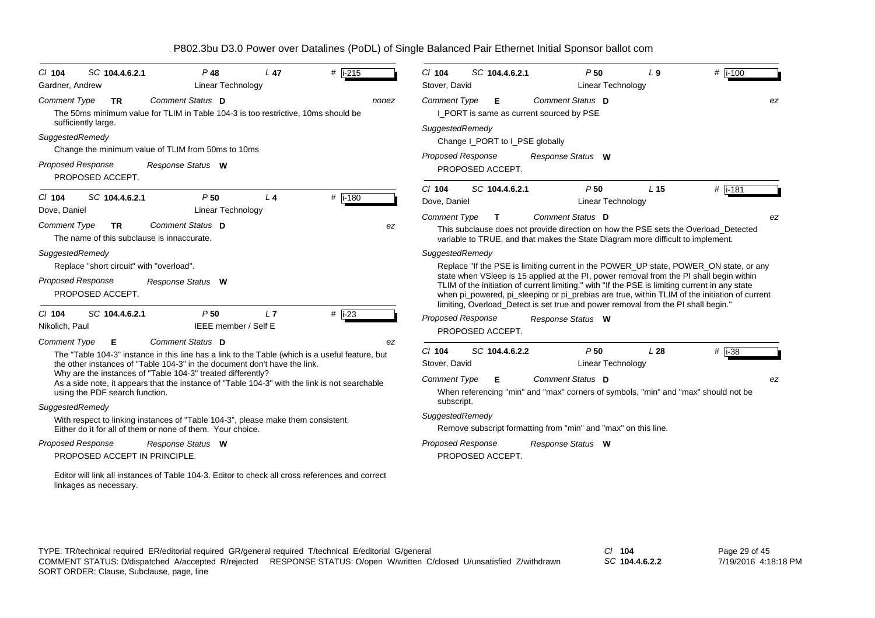| $Cl$ 104<br>Gardner, Andrew                                                                    | SC 104.4.6.2.1                                                                                                                                                                                                                                                                                                                                                                      | $P$ 48<br><b>Linear Technology</b>                                       | L 47  | $#$ i-215           | $Cl$ 104<br>Stover, David                                          | SC 104.4.6.2.1                                                                                                                   |                   | P50<br>Linear Technology                            | L <sub>9</sub>                                                                                                                                                                          | $#$ i-100                                                                                                                                                                                                                                                                                                                                                                                                                                                                                       |
|------------------------------------------------------------------------------------------------|-------------------------------------------------------------------------------------------------------------------------------------------------------------------------------------------------------------------------------------------------------------------------------------------------------------------------------------------------------------------------------------|--------------------------------------------------------------------------|-------|---------------------|--------------------------------------------------------------------|----------------------------------------------------------------------------------------------------------------------------------|-------------------|-----------------------------------------------------|-----------------------------------------------------------------------------------------------------------------------------------------------------------------------------------------|-------------------------------------------------------------------------------------------------------------------------------------------------------------------------------------------------------------------------------------------------------------------------------------------------------------------------------------------------------------------------------------------------------------------------------------------------------------------------------------------------|
| <b>Comment Type</b><br>SuggestedRemedy<br><b>Proposed Response</b>                             | <b>TR</b><br>The 50ms minimum value for TLIM in Table 104-3 is too restrictive, 10ms should be<br>sufficiently large.<br>Change the minimum value of TLIM from 50ms to 10ms<br>PROPOSED ACCEPT.                                                                                                                                                                                     | Comment Status D<br>Response Status W                                    |       | nonez               | <b>Comment Type</b><br>SuggestedRemedy                             | Е<br>I_PORT is same as current sourced by PSE<br>Change I_PORT to I_PSE globally<br><b>Proposed Response</b><br>PROPOSED ACCEPT. | Response Status W | Comment Status D                                    |                                                                                                                                                                                         | ez                                                                                                                                                                                                                                                                                                                                                                                                                                                                                              |
| $CI$ 104<br>Dove, Daniel<br><b>Comment Type</b><br>SuggestedRemedy<br><b>Proposed Response</b> | SC 104.4.6.2.1<br>TR.<br>The name of this subclause is innaccurate.<br>Replace "short circuit" with "overload".<br>PROPOSED ACCEPT.                                                                                                                                                                                                                                                 | P50<br><b>Linear Technology</b><br>Comment Status D<br>Response Status W | $L$ 4 | #  i-180<br>ez      | $Cl$ 104<br>Dove, Daniel<br><b>Comment Type</b><br>SuggestedRemedy | SC 104.4.6.2.1<br>T.                                                                                                             |                   | P50<br><b>Linear Technology</b><br>Comment Status D | L <sub>15</sub><br>variable to TRUE, and that makes the State Diagram more difficult to implement.<br>limiting, Overload_Detect is set true and power removal from the PI shall begin." | # $i - 181$<br>ez<br>This subclause does not provide direction on how the PSE sets the Overload_Detected<br>Replace "If the PSE is limiting current in the POWER_UP state, POWER_ON state, or any<br>state when VSIeep is 15 applied at the PI, power removal from the PI shall begin within<br>TLIM of the initiation of current limiting." with "If the PSE is limiting current in any state<br>when pi_powered, pi_sleeping or pi_prebias are true, within TLIM of the initiation of current |
| $Cl$ 104<br>Nikolich, Paul                                                                     | SC 104.4.6.2.1                                                                                                                                                                                                                                                                                                                                                                      | P50<br>IEEE member / Self E                                              | L7    | # $\overline{1-23}$ | <b>Proposed Response</b>                                           | PROPOSED ACCEPT.                                                                                                                 | Response Status W |                                                     |                                                                                                                                                                                         |                                                                                                                                                                                                                                                                                                                                                                                                                                                                                                 |
| <b>Comment Type</b><br>SuggestedRemedy                                                         | Е<br>The "Table 104-3" instance in this line has a link to the Table (which is a useful feature, but<br>the other instances of "Table 104-3" in the document don't have the link.<br>Why are the instances of "Table 104-3" treated differently?<br>As a side note, it appears that the instance of "Table 104-3" with the link is not searchable<br>using the PDF search function. | Comment Status D                                                         |       | ez                  | $CI$ 104<br>Stover, David<br><b>Comment Type</b><br>subscript.     | SC 104.4.6.2.2<br>Е                                                                                                              |                   | P50<br>Linear Technology<br>Comment Status D        | L28                                                                                                                                                                                     | $#$ i-38<br>ez<br>When referencing "min" and "max" corners of symbols, "min" and "max" should not be                                                                                                                                                                                                                                                                                                                                                                                            |
| <b>Proposed Response</b>                                                                       | With respect to linking instances of "Table 104-3", please make them consistent.<br>Either do it for all of them or none of them. Your choice.<br>PROPOSED ACCEPT IN PRINCIPLE.                                                                                                                                                                                                     | Response Status W                                                        |       |                     | SuggestedRemedy<br><b>Proposed Response</b>                        | Remove subscript formatting from "min" and "max" on this line.<br>PROPOSED ACCEPT.                                               | Response Status W |                                                     |                                                                                                                                                                                         |                                                                                                                                                                                                                                                                                                                                                                                                                                                                                                 |
|                                                                                                | Editor will link all instances of Table 104-3. Editor to check all cross references and correct<br>linkages as necessary.                                                                                                                                                                                                                                                           |                                                                          |       |                     |                                                                    |                                                                                                                                  |                   |                                                     |                                                                                                                                                                                         |                                                                                                                                                                                                                                                                                                                                                                                                                                                                                                 |

*SC* **104.4.6.2.2**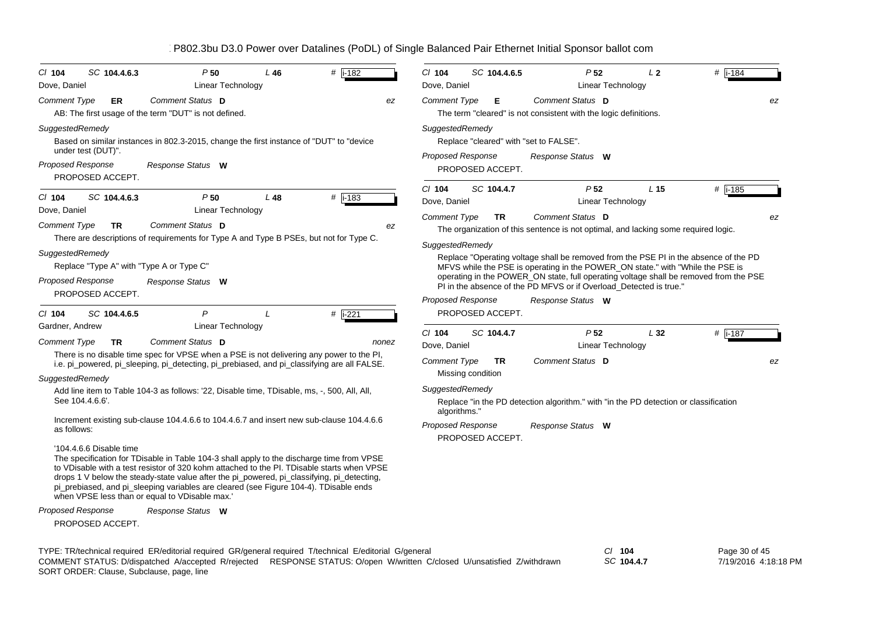| $CI$ 104<br>Dove, Daniel                                                                                    | SC 104.4.6.3              | P50<br><b>Linear Technology</b>                                                                                                         | L46 | $#$ i-182                                                                                                                                                                                                                                                                             | CI 104<br>Dove, Daniel                          | SC 104.4.6.5                   | P <sub>52</sub><br>Linear Technology                                                                                                                                                                                                                                                                                                  | L <sub>2</sub>  | $#$ i-184      |
|-------------------------------------------------------------------------------------------------------------|---------------------------|-----------------------------------------------------------------------------------------------------------------------------------------|-----|---------------------------------------------------------------------------------------------------------------------------------------------------------------------------------------------------------------------------------------------------------------------------------------|-------------------------------------------------|--------------------------------|---------------------------------------------------------------------------------------------------------------------------------------------------------------------------------------------------------------------------------------------------------------------------------------------------------------------------------------|-----------------|----------------|
| <b>Comment Type</b>                                                                                         | ER                        | Comment Status D<br>AB: The first usage of the term "DUT" is not defined.                                                               |     | ez                                                                                                                                                                                                                                                                                    | <b>Comment Type</b>                             | Е                              | Comment Status D<br>The term "cleared" is not consistent with the logic definitions.                                                                                                                                                                                                                                                  |                 | ez             |
| SuggestedRemedy<br>under test (DUT)".                                                                       |                           | Based on similar instances in 802.3-2015, change the first instance of "DUT" to "device                                                 |     |                                                                                                                                                                                                                                                                                       | SuggestedRemedy<br><b>Proposed Response</b>     |                                | Replace "cleared" with "set to FALSE".<br>Response Status W                                                                                                                                                                                                                                                                           |                 |                |
| Proposed Response<br>PROPOSED ACCEPT.                                                                       |                           | Response Status W                                                                                                                       |     |                                                                                                                                                                                                                                                                                       |                                                 | PROPOSED ACCEPT.               |                                                                                                                                                                                                                                                                                                                                       |                 |                |
| $Cl$ 104<br>Dove, Daniel<br><b>Comment Type</b>                                                             | SC 104.4.6.3<br><b>TR</b> | P50<br>Linear Technology<br>Comment Status D                                                                                            | L48 | #  i-183<br>ez                                                                                                                                                                                                                                                                        | $CI$ 104<br>Dove, Daniel<br><b>Comment Type</b> | SC 104.4.7<br><b>TR</b>        | P <sub>52</sub><br>Linear Technology<br>Comment Status D                                                                                                                                                                                                                                                                              | L <sub>15</sub> | #  i-185<br>ez |
|                                                                                                             |                           |                                                                                                                                         |     | There are descriptions of requirements for Type A and Type B PSEs, but not for Type C.                                                                                                                                                                                                | SuggestedRemedy                                 |                                | The organization of this sentence is not optimal, and lacking some required logic.                                                                                                                                                                                                                                                    |                 |                |
| SuggestedRemedy<br>Replace "Type A" with "Type A or Type C"<br><b>Proposed Response</b><br>PROPOSED ACCEPT. |                           | Response Status W                                                                                                                       |     |                                                                                                                                                                                                                                                                                       |                                                 |                                | Replace "Operating voltage shall be removed from the PSE PI in the absence of the PD<br>MFVS while the PSE is operating in the POWER_ON state." with "While the PSE is<br>operating in the POWER ON state, full operating voltage shall be removed from the PSE<br>PI in the absence of the PD MFVS or if Overload_Detected is true." |                 |                |
| $Cl$ 104                                                                                                    | SC 104.4.6.5              | $\mathsf{P}$                                                                                                                            | L   | # $\sqrt{1-221}$                                                                                                                                                                                                                                                                      | <b>Proposed Response</b>                        | PROPOSED ACCEPT.               | Response Status W                                                                                                                                                                                                                                                                                                                     |                 |                |
| Gardner, Andrew<br><b>Comment Type</b>                                                                      | <b>TR</b>                 | Linear Technology<br>Comment Status D                                                                                                   |     | nonez                                                                                                                                                                                                                                                                                 | CI 104                                          | SC 104.4.7                     | P <sub>52</sub>                                                                                                                                                                                                                                                                                                                       | L32             | #  i-187       |
|                                                                                                             |                           |                                                                                                                                         |     | There is no disable time spec for VPSE when a PSE is not delivering any power to the PI,<br>i.e. pi_powered, pi_sleeping, pi_detecting, pi_prebiased, and pi_classifying are all FALSE.                                                                                               | Dove, Daniel<br><b>Comment Type</b>             | <b>TR</b><br>Missing condition | Linear Technology<br>Comment Status D                                                                                                                                                                                                                                                                                                 |                 | ez             |
| SuggestedRemedy<br>See 104.4.6.6'.                                                                          |                           | Add line item to Table 104-3 as follows: '22, Disable time, TDisable, ms, -, 500, All, All,                                             |     |                                                                                                                                                                                                                                                                                       | SuggestedRemedy<br>algorithms."                 |                                | Replace "in the PD detection algorithm." with "in the PD detection or classification                                                                                                                                                                                                                                                  |                 |                |
| as follows:                                                                                                 |                           |                                                                                                                                         |     | Increment existing sub-clause 104.4.6.6 to 104.4.6.7 and insert new sub-clause 104.4.6.6                                                                                                                                                                                              | <b>Proposed Response</b>                        | PROPOSED ACCEPT.               | Response Status W                                                                                                                                                                                                                                                                                                                     |                 |                |
| '104.4.6.6 Disable time                                                                                     |                           | pi_prebiased, and pi_sleeping variables are cleared (see Figure 104-4). TDisable ends<br>when VPSE less than or equal to VDisable max.' |     | The specification for TDisable in Table 104-3 shall apply to the discharge time from VPSE<br>to VDisable with a test resistor of 320 kohm attached to the PI. TDisable starts when VPSE<br>drops 1 V below the steady-state value after the pi_powered, pi_classifying, pi_detecting, |                                                 |                                |                                                                                                                                                                                                                                                                                                                                       |                 |                |
| <b>Proposed Response</b>                                                                                    |                           | Response Status W                                                                                                                       |     |                                                                                                                                                                                                                                                                                       |                                                 |                                |                                                                                                                                                                                                                                                                                                                                       |                 |                |
| PROPOSED ACCEPT.                                                                                            |                           |                                                                                                                                         |     |                                                                                                                                                                                                                                                                                       |                                                 |                                |                                                                                                                                                                                                                                                                                                                                       |                 |                |
|                                                                                                             |                           |                                                                                                                                         |     | TYPE: TR/technical required ER/editorial required GR/general required T/technical E/editorial G/general                                                                                                                                                                               |                                                 |                                |                                                                                                                                                                                                                                                                                                                                       | $Cl$ 104        | Page 30 of 45  |

SORT ORDER: Clause, Subclause, page, line COMMENT STATUS: D/dispatched A/accepted R/rejected RESPONSE STATUS: O/open W/written C/closed U/unsatisfied Z/withdrawn *SC* **104.4.7**

7/19/2016 4:18:18 PM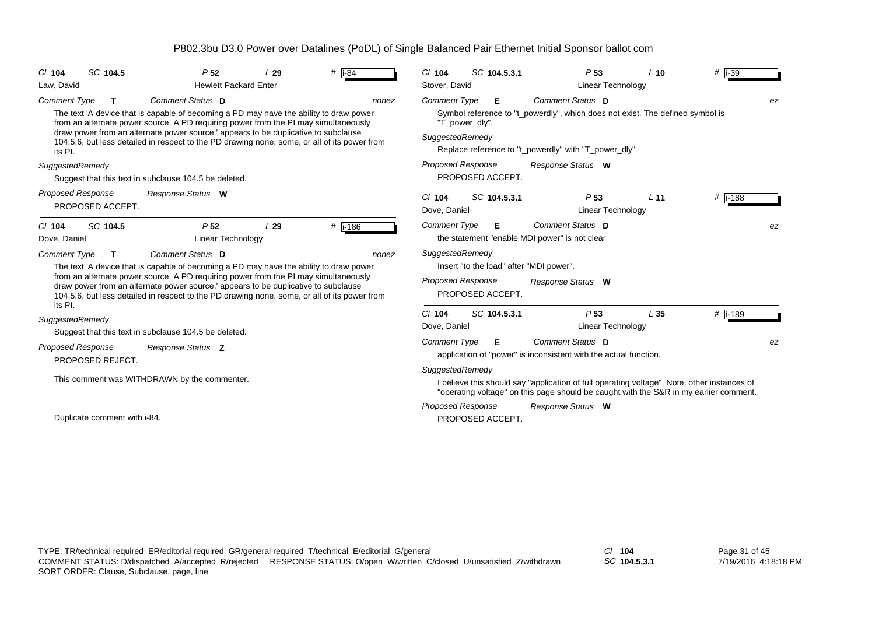| SC 104.5<br>$Cl$ 104<br>Law, David           | P <sub>52</sub><br><b>Hewlett Packard Enter</b>                                                                                                                                                                                                                                                                                                                                         | L29 | # $\overline{184}$ | SC 104.5.3.1<br>$CI$ 104<br>Stover, David                                                                  | P <sub>53</sub><br><b>Linear Technology</b>                                                                                                                                          | $L$ 10          | $#$ i-39 |
|----------------------------------------------|-----------------------------------------------------------------------------------------------------------------------------------------------------------------------------------------------------------------------------------------------------------------------------------------------------------------------------------------------------------------------------------------|-----|--------------------|------------------------------------------------------------------------------------------------------------|--------------------------------------------------------------------------------------------------------------------------------------------------------------------------------------|-----------------|----------|
| <b>Comment Type</b><br>т<br>its PI.          | Comment Status D<br>The text 'A device that is capable of becoming a PD may have the ability to draw power<br>from an alternate power source. A PD requiring power from the PI may simultaneously<br>draw power from an alternate power source.' appears to be duplicative to subclause<br>104.5.6, but less detailed in respect to the PD drawing none, some, or all of its power from |     | nonez              | <b>Comment Type</b><br>Е<br>"T_power_dly".<br>SuggestedRemedy                                              | Comment Status D<br>Symbol reference to "t_powerdly", which does not exist. The defined symbol is<br>Replace reference to "t_powerdly" with "T_power_dly"                            |                 | ez       |
| SuggestedRemedy                              | Suggest that this text in subclause 104.5 be deleted.                                                                                                                                                                                                                                                                                                                                   |     |                    | Proposed Response<br>PROPOSED ACCEPT.                                                                      | Response Status W                                                                                                                                                                    |                 |          |
| <b>Proposed Response</b><br>PROPOSED ACCEPT. | Response Status W                                                                                                                                                                                                                                                                                                                                                                       |     |                    | SC 104.5.3.1<br>$Cl$ 104<br>Dove, Daniel                                                                   | P <sub>53</sub><br>Linear Technology                                                                                                                                                 | L <sub>11</sub> | #  i-188 |
| SC 104.5<br>$Cl$ 104<br>Dove, Daniel         | P <sub>52</sub><br>Linear Technology                                                                                                                                                                                                                                                                                                                                                    | L29 | #  i-186           | <b>Comment Type</b><br>Е                                                                                   | Comment Status D<br>the statement "enable MDI power" is not clear                                                                                                                    |                 | ez       |
| <b>Comment Type</b><br>$\mathbf T$           | Comment Status D<br>The text 'A device that is capable of becoming a PD may have the ability to draw power<br>from an alternate power source. A PD requiring power from the PI may simultaneously<br>draw power from an alternate power source.' appears to be duplicative to subclause<br>104.5.6, but less detailed in respect to the PD drawing none, some, or all of its power from |     | nonez              | SuggestedRemedy<br>Insert "to the load" after "MDI power".<br><b>Proposed Response</b><br>PROPOSED ACCEPT. | Response Status W                                                                                                                                                                    |                 |          |
| its PI.<br>SuggestedRemedy                   | Suggest that this text in subclause 104.5 be deleted.                                                                                                                                                                                                                                                                                                                                   |     |                    | SC 104.5.3.1<br>$Cl$ 104<br>Dove, Daniel                                                                   | P <sub>53</sub><br><b>Linear Technology</b>                                                                                                                                          | L <sub>35</sub> | # i-189  |
| <b>Proposed Response</b><br>PROPOSED REJECT. | Response Status Z                                                                                                                                                                                                                                                                                                                                                                       |     |                    | <b>Comment Type</b><br>Е                                                                                   | Comment Status D<br>application of "power" is inconsistent with the actual function.                                                                                                 |                 | ez       |
|                                              | This comment was WITHDRAWN by the commenter.                                                                                                                                                                                                                                                                                                                                            |     |                    | SuggestedRemedy                                                                                            | I believe this should say "application of full operating voltage". Note, other instances of<br>"operating voltage" on this page should be caught with the S&R in my earlier comment. |                 |          |
| Duplicate comment with i-84.                 |                                                                                                                                                                                                                                                                                                                                                                                         |     |                    | <b>Proposed Response</b><br>PROPOSED ACCEPT.                                                               | Response Status W                                                                                                                                                                    |                 |          |

*SC* **104.5.3.1**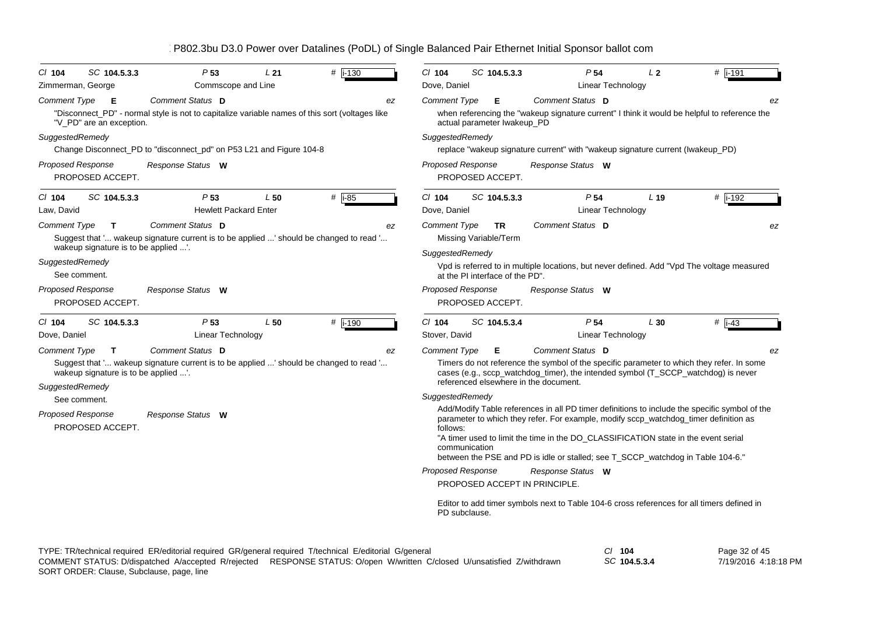| B802.3bu D3.0 Power over Datalines (PoDL) of Single Balanced Pair Ethernet Initial Sponsor ballot com |  |  |
|-------------------------------------------------------------------------------------------------------|--|--|
|                                                                                                       |  |  |

| $Cl$ 104<br>SC 104.5.3.3<br>Zimmerman, George                                                  | P <sub>53</sub><br>Commscope and Line                                                                              | L21                         | $\#$ i-130          | $Cl$ 104<br>Dove, Daniel                                                                                                                                                                                                                                                                                                                                       | SC 104.5.3.3                                   | P <sub>54</sub><br>Linear Technology                                                                                                                                                               | L <sub>2</sub>  | $#$ i-191             |
|------------------------------------------------------------------------------------------------|--------------------------------------------------------------------------------------------------------------------|-----------------------------|---------------------|----------------------------------------------------------------------------------------------------------------------------------------------------------------------------------------------------------------------------------------------------------------------------------------------------------------------------------------------------------------|------------------------------------------------|----------------------------------------------------------------------------------------------------------------------------------------------------------------------------------------------------|-----------------|-----------------------|
| <b>Comment Type</b><br>Е<br>"V PD" are an exception.                                           | Comment Status D<br>"Disconnect_PD" - normal style is not to capitalize variable names of this sort (voltages like |                             | ez                  | <b>Comment Type</b>                                                                                                                                                                                                                                                                                                                                            | E.<br>actual parameter Iwakeup_PD              | Comment Status D<br>when referencing the "wakeup signature current" I think it would be helpful to reference the                                                                                   |                 | ez                    |
| SuggestedRemedy                                                                                | Change Disconnect_PD to "disconnect_pd" on P53 L21 and Figure 104-8                                                |                             |                     | SuggestedRemedy                                                                                                                                                                                                                                                                                                                                                |                                                | replace "wakeup signature current" with "wakeup signature current (Iwakeup_PD)                                                                                                                     |                 |                       |
| <b>Proposed Response</b><br>PROPOSED ACCEPT.                                                   | Response Status W                                                                                                  |                             |                     | <b>Proposed Response</b>                                                                                                                                                                                                                                                                                                                                       | PROPOSED ACCEPT.                               | Response Status W                                                                                                                                                                                  |                 |                       |
| SC 104.5.3.3<br>$CI$ 104<br>Law, David                                                         | P <sub>53</sub><br><b>Hewlett Packard Enter</b>                                                                    | L50                         | # $\overline{1-85}$ | CI 104<br>Dove, Daniel                                                                                                                                                                                                                                                                                                                                         | SC 104.5.3.3                                   | P <sub>54</sub><br>Linear Technology                                                                                                                                                               | L <sub>19</sub> | # i-192               |
| <b>Comment Type</b><br>T.<br>wakeup signature is to be applied '.                              | Comment Status D<br>Suggest that ' wakeup signature current is to be applied ' should be changed to read '         |                             | ez                  | <b>Comment Type</b><br>SuggestedRemedy                                                                                                                                                                                                                                                                                                                         | TR<br>Missing Variable/Term                    | Comment Status D                                                                                                                                                                                   |                 | ez                    |
| SuggestedRemedy<br>See comment.                                                                |                                                                                                                    |                             |                     |                                                                                                                                                                                                                                                                                                                                                                | at the PI interface of the PD".                | Vpd is referred to in multiple locations, but never defined. Add "Vpd The voltage measured                                                                                                         |                 |                       |
| <b>Proposed Response</b><br>PROPOSED ACCEPT.                                                   | Response Status W                                                                                                  |                             |                     | <b>Proposed Response</b>                                                                                                                                                                                                                                                                                                                                       | PROPOSED ACCEPT.                               | Response Status W                                                                                                                                                                                  |                 |                       |
| SC 104.5.3.3<br>$CI$ 104                                                                       | P <sub>53</sub>                                                                                                    | L50                         | # i-190             | CI 104                                                                                                                                                                                                                                                                                                                                                         | SC 104.5.3.4                                   | P <sub>54</sub>                                                                                                                                                                                    | L30             | $#$ $\overline{1-43}$ |
| Dove, Daniel                                                                                   | Linear Technology                                                                                                  |                             |                     | Stover, David                                                                                                                                                                                                                                                                                                                                                  |                                                | Linear Technology                                                                                                                                                                                  |                 |                       |
| <b>Comment Type</b><br>$\mathbf{T}$<br>wakeup signature is to be applied '.<br>SuggestedRemedy | Comment Status D<br>Suggest that ' wakeup signature current is to be applied ' should be changed to read '         |                             | ez                  | <b>Comment Type</b>                                                                                                                                                                                                                                                                                                                                            | Е<br>referenced elsewhere in the document.     | Comment Status D<br>Timers do not reference the symbol of the specific parameter to which they refer. In some<br>cases (e.g., sccp_watchdog_timer), the intended symbol (T_SCCP_watchdog) is never |                 | ez                    |
| See comment.<br>Proposed Response<br>PROPOSED ACCEPT.                                          |                                                                                                                    | SuggestedRemedy<br>follows: | communication       | Add/Modify Table references in all PD timer definitions to include the specific symbol of the<br>parameter to which they refer. For example, modify sccp_watchdog_timer definition as<br>"A timer used to limit the time in the DO CLASSIFICATION state in the event serial<br>between the PSE and PD is idle or stalled; see T_SCCP_watchdog in Table 104-6." |                                                |                                                                                                                                                                                                    |                 |                       |
|                                                                                                |                                                                                                                    |                             |                     | <b>Proposed Response</b>                                                                                                                                                                                                                                                                                                                                       | PROPOSED ACCEPT IN PRINCIPLE.<br>PD subclause. | Response Status W<br>Editor to add timer symbols next to Table 104-6 cross references for all timers defined in                                                                                    |                 |                       |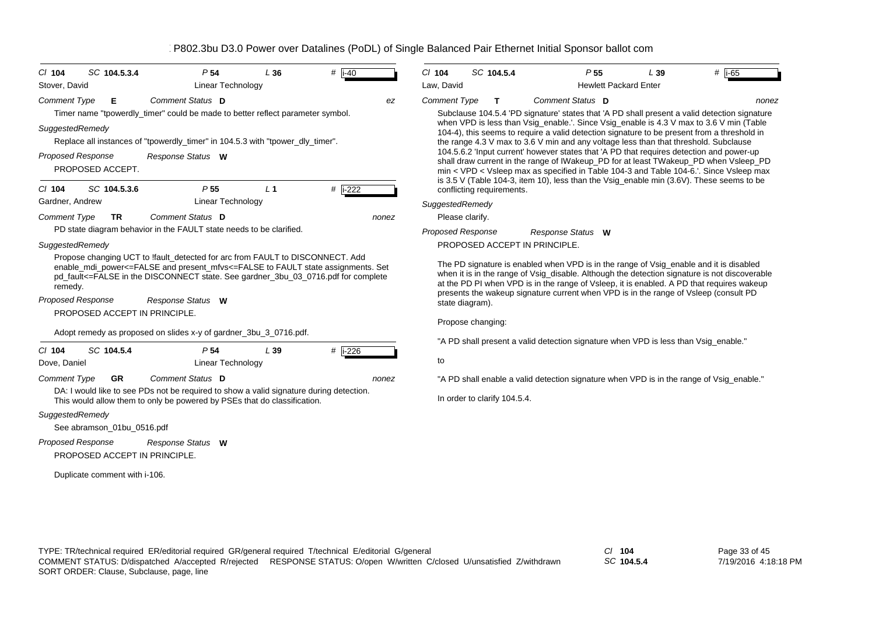| $CI$ 104                 | SC 104.5.3.4                  | P 54                                                                                                                                                                                                                                                  | L36            | $#$ i-40             | $Cl$ 104            | SC 104.5.4                   | P <sub>55</sub>                                                                                                                                                                                                                                                                                                                                                               | L39 | # $\overline{1.65}$ |
|--------------------------|-------------------------------|-------------------------------------------------------------------------------------------------------------------------------------------------------------------------------------------------------------------------------------------------------|----------------|----------------------|---------------------|------------------------------|-------------------------------------------------------------------------------------------------------------------------------------------------------------------------------------------------------------------------------------------------------------------------------------------------------------------------------------------------------------------------------|-----|---------------------|
| Stover, David            |                               | <b>Linear Technology</b>                                                                                                                                                                                                                              |                |                      | Law, David          |                              | <b>Hewlett Packard Enter</b>                                                                                                                                                                                                                                                                                                                                                  |     |                     |
| <b>Comment Type</b>      | Е                             | Comment Status D<br>Timer name "tpowerdly_timer" could be made to better reflect parameter symbol.                                                                                                                                                    |                | ez                   | <b>Comment Type</b> | т                            | Comment Status D<br>Subclause 104.5.4 'PD signature' states that 'A PD shall present a valid detection signature                                                                                                                                                                                                                                                              |     | nonez               |
| SuggestedRemedy          |                               | Replace all instances of "tpowerdly timer" in 104.5.3 with "tpower dly timer".                                                                                                                                                                        |                |                      |                     |                              | when VPD is less than Vsig_enable.'. Since Vsig_enable is 4.3 V max to 3.6 V min (Table<br>104-4), this seems to require a valid detection signature to be present from a threshold in<br>the range 4.3 V max to 3.6 V min and any voltage less than that threshold. Subclause                                                                                                |     |                     |
| <b>Proposed Response</b> | PROPOSED ACCEPT.              | Response Status W                                                                                                                                                                                                                                     |                |                      |                     |                              | 104.5.6.2 'Input current' however states that 'A PD that requires detection and power-up<br>shall draw current in the range of IWakeup_PD for at least TWakeup_PD when Vsleep_PD<br>min < VPD < Vsleep max as specified in Table 104-3 and Table 104-6.'. Since Vsleep max<br>is 3.5 V (Table 104-3, item 10), less than the Vsig_enable min $(3.6V)$ . These seems to be     |     |                     |
| $Cl$ 104                 | SC 104.5.3.6                  | P <sub>55</sub>                                                                                                                                                                                                                                       | L <sub>1</sub> | # i-222              |                     | conflicting requirements.    |                                                                                                                                                                                                                                                                                                                                                                               |     |                     |
| Gardner, Andrew          |                               | <b>Linear Technology</b>                                                                                                                                                                                                                              |                |                      | SuggestedRemedy     |                              |                                                                                                                                                                                                                                                                                                                                                                               |     |                     |
| <b>Comment Type</b>      | <b>TR</b>                     | Comment Status D                                                                                                                                                                                                                                      |                | nonez                |                     | Please clarify.              |                                                                                                                                                                                                                                                                                                                                                                               |     |                     |
|                          |                               | PD state diagram behavior in the FAULT state needs to be clarified.                                                                                                                                                                                   |                |                      |                     | <b>Proposed Response</b>     | Response Status W                                                                                                                                                                                                                                                                                                                                                             |     |                     |
| SuggestedRemedy          |                               |                                                                                                                                                                                                                                                       |                |                      |                     |                              | PROPOSED ACCEPT IN PRINCIPLE.                                                                                                                                                                                                                                                                                                                                                 |     |                     |
| remedy.                  |                               | Propose changing UCT to !fault_detected for arc from FAULT to DISCONNECT. Add<br>enable mdi power<=FALSE and present mfvs<=FALSE to FAULT state assignments. Set<br>pd_fault<=FALSE in the DISCONNECT state. See gardner_3bu_03_0716.pdf for complete |                |                      |                     |                              | The PD signature is enabled when VPD is in the range of Vsig_enable and it is disabled<br>when it is in the range of Vsig_disable. Although the detection signature is not discoverable<br>at the PD PI when VPD is in the range of Vsleep, it is enabled. A PD that requires wakeup<br>presents the wakeup signature current when VPD is in the range of Vsleep (consult PD) |     |                     |
| <b>Proposed Response</b> |                               | Response Status W                                                                                                                                                                                                                                     |                |                      |                     | state diagram).              |                                                                                                                                                                                                                                                                                                                                                                               |     |                     |
|                          | PROPOSED ACCEPT IN PRINCIPLE. |                                                                                                                                                                                                                                                       |                |                      |                     |                              |                                                                                                                                                                                                                                                                                                                                                                               |     |                     |
|                          |                               | Adopt remedy as proposed on slides x-y of gardner_3bu_3_0716.pdf.                                                                                                                                                                                     |                |                      |                     | Propose changing:            |                                                                                                                                                                                                                                                                                                                                                                               |     |                     |
|                          |                               | P <sub>54</sub>                                                                                                                                                                                                                                       |                |                      |                     |                              | "A PD shall present a valid detection signature when VPD is less than Vsig_enable."                                                                                                                                                                                                                                                                                           |     |                     |
| $Cl$ 104<br>Dove, Daniel | SC 104.5.4                    | <b>Linear Technology</b>                                                                                                                                                                                                                              | L39            | # $\overline{1-226}$ | to                  |                              |                                                                                                                                                                                                                                                                                                                                                                               |     |                     |
| <b>Comment Type</b>      | <b>GR</b>                     | Comment Status D                                                                                                                                                                                                                                      |                | nonez                |                     |                              | "A PD shall enable a valid detection signature when VPD is in the range of Vsig_enable."                                                                                                                                                                                                                                                                                      |     |                     |
|                          |                               | DA: I would like to see PDs not be required to show a valid signature during detection.<br>This would allow them to only be powered by PSEs that do classification.                                                                                   |                |                      |                     | In order to clarify 104.5.4. |                                                                                                                                                                                                                                                                                                                                                                               |     |                     |
| SuggestedRemedy          |                               |                                                                                                                                                                                                                                                       |                |                      |                     |                              |                                                                                                                                                                                                                                                                                                                                                                               |     |                     |
|                          | See abramson_01bu_0516.pdf    |                                                                                                                                                                                                                                                       |                |                      |                     |                              |                                                                                                                                                                                                                                                                                                                                                                               |     |                     |
| <b>Proposed Response</b> |                               | Response Status W                                                                                                                                                                                                                                     |                |                      |                     |                              |                                                                                                                                                                                                                                                                                                                                                                               |     |                     |
|                          | PROPOSED ACCEPT IN PRINCIPLE. |                                                                                                                                                                                                                                                       |                |                      |                     |                              |                                                                                                                                                                                                                                                                                                                                                                               |     |                     |
|                          | Duplicate comment with i-106. |                                                                                                                                                                                                                                                       |                |                      |                     |                              |                                                                                                                                                                                                                                                                                                                                                                               |     |                     |

*SC* **104.5.4**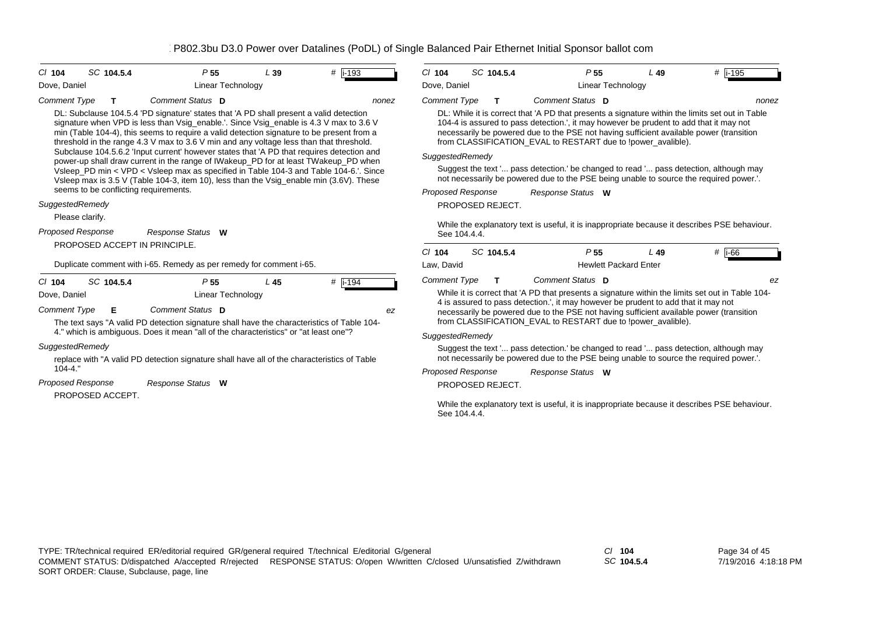| $Cl$ 104            | SC 104.5.4                            | P <sub>55</sub>                                                                                                                                                                                                                                                                                                                                                          | L39 | #  i-193 | SC 104.5.4<br>$Cl$ 104                                                                                                 |   |  |
|---------------------|---------------------------------------|--------------------------------------------------------------------------------------------------------------------------------------------------------------------------------------------------------------------------------------------------------------------------------------------------------------------------------------------------------------------------|-----|----------|------------------------------------------------------------------------------------------------------------------------|---|--|
| Dove, Daniel        |                                       | Linear Technology                                                                                                                                                                                                                                                                                                                                                        |     |          | Dove, Daniel                                                                                                           |   |  |
| Comment Type        | т                                     | Comment Status D                                                                                                                                                                                                                                                                                                                                                         |     | nonez    | <b>Comment Type</b><br>Т                                                                                               |   |  |
|                     |                                       | DL: Subclause 104.5.4 'PD signature' states that 'A PD shall present a valid detection<br>signature when VPD is less than Vsig_enable.'. Since Vsig_enable is 4.3 V max to 3.6 V<br>min (Table 104-4), this seems to require a valid detection signature to be present from a<br>threshold in the range 4.3 V max to 3.6 V min and any voltage less than that threshold. |     |          | DL: While it is correct that '/<br>104-4 is assured to pass de<br>necessarily be powered due<br>from CLASSIFICATION EV |   |  |
|                     |                                       | Subclause 104.5.6.2 'Input current' however states that 'A PD that requires detection and<br>power-up shall draw current in the range of IWakeup_PD for at least TWakeup_PD when                                                                                                                                                                                         |     |          | SuggestedRemedy                                                                                                        |   |  |
|                     |                                       | Vsleep_PD min < VPD < Vsleep max as specified in Table 104-3 and Table 104-6.'. Since<br>Vsleep max is 3.5 V (Table 104-3, item 10), less than the Vsig_enable min (3.6V). These                                                                                                                                                                                         |     |          | Suggest the text ' pass de<br>not necessarily be powered                                                               |   |  |
|                     | seems to be conflicting requirements. |                                                                                                                                                                                                                                                                                                                                                                          |     |          | Proposed Response                                                                                                      | R |  |
| SuggestedRemedy     |                                       |                                                                                                                                                                                                                                                                                                                                                                          |     |          | PROPOSED REJECT.                                                                                                       |   |  |
|                     | Please clarify.                       |                                                                                                                                                                                                                                                                                                                                                                          |     |          | While the explanatory text is                                                                                          |   |  |
|                     | Proposed Response                     | Response Status W                                                                                                                                                                                                                                                                                                                                                        |     |          | See 104.4.4.                                                                                                           |   |  |
|                     | PROPOSED ACCEPT IN PRINCIPLE.         |                                                                                                                                                                                                                                                                                                                                                                          |     |          | SC 104.5.4<br>$Cl$ 104                                                                                                 |   |  |
|                     |                                       | Duplicate comment with i-65. Remedy as per remedy for comment i-65.                                                                                                                                                                                                                                                                                                      |     |          | Law, David                                                                                                             |   |  |
| $Cl$ 104            | SC 104.5.4                            | P <sub>55</sub>                                                                                                                                                                                                                                                                                                                                                          | L45 | #  i-194 | <b>Comment Type</b><br>Т                                                                                               |   |  |
| Dove, Daniel        |                                       | Linear Technology                                                                                                                                                                                                                                                                                                                                                        |     |          | While it is correct that 'A PD                                                                                         |   |  |
| <b>Comment Type</b> | Е                                     | Comment Status D<br>The text says "A valid PD detection signature shall have the characteristics of Table 104-                                                                                                                                                                                                                                                           |     | ez       | 4 is assured to pass detecti<br>necessarily be powered due<br>from CLASSIFICATION EV                                   |   |  |
|                     |                                       | 4." which is ambiguous. Does it mean "all of the characteristics" or "at least one"?                                                                                                                                                                                                                                                                                     |     |          | SuggestedRemedy                                                                                                        |   |  |
| SuggestedRemedy     |                                       | replace with "A valid PD detection signature shall have all of the characteristics of Table                                                                                                                                                                                                                                                                              |     |          | Suggest the text ' pass de<br>not necessarily be powered                                                               |   |  |
| $104 - 4.$ "        |                                       |                                                                                                                                                                                                                                                                                                                                                                          |     |          | <b>Proposed Response</b>                                                                                               | R |  |
|                     | <b>Proposed Response</b>              | Response Status W                                                                                                                                                                                                                                                                                                                                                        |     |          | PROPOSED REJECT.                                                                                                       |   |  |
|                     | PROPOSED ACCEPT.                      |                                                                                                                                                                                                                                                                                                                                                                          |     |          | While the explanatory text is                                                                                          |   |  |

| $CI$ 104                 | SC 104.5.4       | P <sub>55</sub>                                                                                                                                                                                                                                   |                   | L 49                         | #  i-195                                                                                         |
|--------------------------|------------------|---------------------------------------------------------------------------------------------------------------------------------------------------------------------------------------------------------------------------------------------------|-------------------|------------------------------|--------------------------------------------------------------------------------------------------|
| Dove, Daniel             |                  |                                                                                                                                                                                                                                                   | Linear Technology |                              |                                                                                                  |
| <b>Comment Type</b>      | т                | Comment Status D                                                                                                                                                                                                                                  |                   |                              | nonez                                                                                            |
|                          |                  | 104-4 is assured to pass detection.', it may however be prudent to add that it may not<br>necessarily be powered due to the PSE not having sufficient available power (transition<br>from CLASSIFICATION_EVAL to RESTART due to !power_avalible). |                   |                              | DL: While it is correct that 'A PD that presents a signature within the limits set out in Table  |
| SuggestedRemedy          |                  |                                                                                                                                                                                                                                                   |                   |                              |                                                                                                  |
|                          |                  | Suggest the text ' pass detection.' be changed to read ' pass detection, although may<br>not necessarily be powered due to the PSE being unable to source the required power.'.                                                                   |                   |                              |                                                                                                  |
| <b>Proposed Response</b> |                  | <b>Response Status</b>                                                                                                                                                                                                                            | W                 |                              |                                                                                                  |
|                          | PROPOSED REJECT. |                                                                                                                                                                                                                                                   |                   |                              |                                                                                                  |
|                          | See 104.4.4.     |                                                                                                                                                                                                                                                   |                   |                              | While the explanatory text is useful, it is inappropriate because it describes PSE behaviour.    |
| $Cl$ 104                 | SC 104.5.4       | P <sub>55</sub>                                                                                                                                                                                                                                   |                   | L 49                         | # i-66                                                                                           |
| Law, David               |                  |                                                                                                                                                                                                                                                   |                   | <b>Hewlett Packard Enter</b> |                                                                                                  |
| <b>Comment Type</b>      | т                | Comment Status D                                                                                                                                                                                                                                  |                   |                              | ez                                                                                               |
|                          |                  | 4 is assured to pass detection.', it may however be prudent to add that it may not<br>necessarily be powered due to the PSE not having sufficient available power (transition<br>from CLASSIFICATION_EVAL to RESTART due to !power_avalible).     |                   |                              | While it is correct that 'A PD that presents a signature within the limits set out in Table 104- |
| SuggestedRemedy          |                  |                                                                                                                                                                                                                                                   |                   |                              |                                                                                                  |
|                          |                  | Suggest the text ' pass detection.' be changed to read ' pass detection, although may<br>not necessarily be powered due to the PSE being unable to source the required power.'.                                                                   |                   |                              |                                                                                                  |
| <b>Proposed Response</b> |                  | <b>Response Status</b>                                                                                                                                                                                                                            | w                 |                              |                                                                                                  |
|                          | PROPOSED REJECT. |                                                                                                                                                                                                                                                   |                   |                              |                                                                                                  |
|                          | See 104.4.4.     |                                                                                                                                                                                                                                                   |                   |                              | While the explanatory text is useful, it is inappropriate because it describes PSE behaviour.    |
|                          |                  |                                                                                                                                                                                                                                                   |                   |                              |                                                                                                  |
|                          |                  |                                                                                                                                                                                                                                                   |                   |                              |                                                                                                  |
|                          |                  |                                                                                                                                                                                                                                                   |                   |                              |                                                                                                  |
|                          |                  |                                                                                                                                                                                                                                                   |                   |                              |                                                                                                  |
|                          |                  |                                                                                                                                                                                                                                                   |                   |                              |                                                                                                  |

*SC* **104.5.4**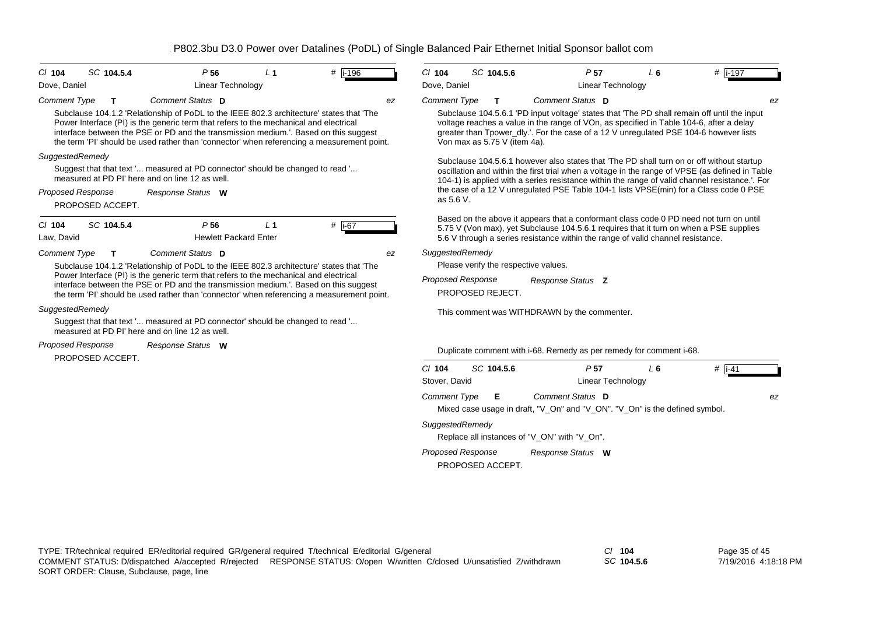| $Cl$ 104            | SC 104.5.4                                   | P <sub>56</sub>                                                                                                                                                                                                                                                                                                                                                         | $\perp$ 1      | $#$ i-196 | $CI$ 104                  | SC 104.5.6                                   |                                                                                                 | P <sub>57</sub>                             | $L_6$ | # $\overline{$ i-197                                                                                                                                                                                                                                                            |
|---------------------|----------------------------------------------|-------------------------------------------------------------------------------------------------------------------------------------------------------------------------------------------------------------------------------------------------------------------------------------------------------------------------------------------------------------------------|----------------|-----------|---------------------------|----------------------------------------------|-------------------------------------------------------------------------------------------------|---------------------------------------------|-------|---------------------------------------------------------------------------------------------------------------------------------------------------------------------------------------------------------------------------------------------------------------------------------|
| Dove, Daniel        |                                              | <b>Linear Technology</b>                                                                                                                                                                                                                                                                                                                                                |                |           | Dove, Daniel              |                                              |                                                                                                 | <b>Linear Technology</b>                    |       |                                                                                                                                                                                                                                                                                 |
| <b>Comment Type</b> | т                                            | Comment Status D                                                                                                                                                                                                                                                                                                                                                        |                | ez        | <b>Comment Type</b>       | $\mathbf{T}$                                 | Comment Status D                                                                                |                                             |       | ez                                                                                                                                                                                                                                                                              |
|                     |                                              | Subclause 104.1.2 'Relationship of PoDL to the IEEE 802.3 architecture' states that 'The<br>Power Interface (PI) is the generic term that refers to the mechanical and electrical<br>interface between the PSE or PD and the transmission medium.'. Based on this suggest<br>the term 'PI' should be used rather than 'connector' when referencing a measurement point. |                |           |                           | Von max as 5.75 V (item 4a).                 |                                                                                                 |                                             |       | Subclause 104.5.6.1 'PD input voltage' states that 'The PD shall remain off until the input<br>voltage reaches a value in the range of VOn, as specified in Table 104-6, after a delay<br>greater than Tpower_dly.'. For the case of a 12 V unregulated PSE 104-6 however lists |
| SuggestedRemedy     |                                              |                                                                                                                                                                                                                                                                                                                                                                         |                |           |                           |                                              |                                                                                                 |                                             |       | Subclause 104.5.6.1 however also states that 'The PD shall turn on or off without startup                                                                                                                                                                                       |
|                     |                                              | Suggest that that text ' measured at PD connector' should be changed to read '<br>measured at PD PI' here and on line 12 as well.                                                                                                                                                                                                                                       |                |           |                           |                                              |                                                                                                 |                                             |       | oscillation and within the first trial when a voltage in the range of VPSE (as defined in Table<br>104-1) is applied with a series resistance within the range of valid channel resistance.'. For                                                                               |
|                     | <b>Proposed Response</b><br>PROPOSED ACCEPT. | Response Status W                                                                                                                                                                                                                                                                                                                                                       |                |           | as 5.6 V.                 |                                              |                                                                                                 |                                             |       | the case of a 12 V unregulated PSE Table 104-1 lists VPSE(min) for a Class code 0 PSE                                                                                                                                                                                           |
| $Cl$ 104            | SC 104.5.4                                   | P <sub>56</sub>                                                                                                                                                                                                                                                                                                                                                         | L <sub>1</sub> | # i-67    |                           |                                              |                                                                                                 |                                             |       | Based on the above it appears that a conformant class code 0 PD need not turn on until                                                                                                                                                                                          |
| Law, David          |                                              | <b>Hewlett Packard Enter</b>                                                                                                                                                                                                                                                                                                                                            |                |           |                           |                                              | 5.6 V through a series resistance within the range of valid channel resistance.                 |                                             |       | 5.75 V (Von max), yet Subclause 104.5.6.1 requires that it turn on when a PSE supplies                                                                                                                                                                                          |
| <b>Comment Type</b> | Т                                            | Comment Status D                                                                                                                                                                                                                                                                                                                                                        |                | ez        | SuggestedRemedy           |                                              |                                                                                                 |                                             |       |                                                                                                                                                                                                                                                                                 |
|                     |                                              | Subclause 104.1.2 'Relationship of PoDL to the IEEE 802.3 architecture' states that 'The                                                                                                                                                                                                                                                                                |                |           |                           | Please verify the respective values.         |                                                                                                 |                                             |       |                                                                                                                                                                                                                                                                                 |
|                     |                                              | Power Interface (PI) is the generic term that refers to the mechanical and electrical<br>interface between the PSE or PD and the transmission medium.'. Based on this suggest<br>the term 'PI' should be used rather than 'connector' when referencing a measurement point.                                                                                             |                |           |                           | <b>Proposed Response</b><br>PROPOSED REJECT. | Response Status Z                                                                               |                                             |       |                                                                                                                                                                                                                                                                                 |
| SuggestedRemedy     |                                              |                                                                                                                                                                                                                                                                                                                                                                         |                |           |                           |                                              | This comment was WITHDRAWN by the commenter.                                                    |                                             |       |                                                                                                                                                                                                                                                                                 |
|                     |                                              | Suggest that that text ' measured at PD connector' should be changed to read '<br>measured at PD PI' here and on line 12 as well.                                                                                                                                                                                                                                       |                |           |                           |                                              |                                                                                                 |                                             |       |                                                                                                                                                                                                                                                                                 |
|                     | <b>Proposed Response</b><br>PROPOSED ACCEPT. | Response Status W                                                                                                                                                                                                                                                                                                                                                       |                |           |                           |                                              | Duplicate comment with i-68. Remedy as per remedy for comment i-68.                             |                                             |       |                                                                                                                                                                                                                                                                                 |
|                     |                                              |                                                                                                                                                                                                                                                                                                                                                                         |                |           | $CI$ 104<br>Stover, David | SC 104.5.6                                   |                                                                                                 | P <sub>57</sub><br><b>Linear Technology</b> | $L_6$ | $#$ i-41                                                                                                                                                                                                                                                                        |
|                     |                                              |                                                                                                                                                                                                                                                                                                                                                                         |                |           | <b>Comment Type</b>       | Е                                            | Comment Status D<br>Mixed case usage in draft, "V_On" and "V_ON". "V_On" is the defined symbol. |                                             |       | ez                                                                                                                                                                                                                                                                              |
|                     |                                              |                                                                                                                                                                                                                                                                                                                                                                         |                |           | SuggestedRemedy           |                                              | Replace all instances of "V_ON" with "V_On".                                                    |                                             |       |                                                                                                                                                                                                                                                                                 |
|                     |                                              |                                                                                                                                                                                                                                                                                                                                                                         |                |           |                           | <b>Proposed Response</b>                     | Response Status W                                                                               |                                             |       |                                                                                                                                                                                                                                                                                 |

PROPOSED ACCEPT.

TYPE: TR/technical required ER/editorial required GR/general required T/technical E/editorial G/general *Cl* **104** SORT ORDER: Clause, Subclause, page, line COMMENT STATUS: D/dispatched A/accepted R/rejected RESPONSE STATUS: O/open W/written C/closed U/unsatisfied Z/withdrawn

*SC* **104.5.6**

Page 35 of 45 7/19/2016 4:18:18 PM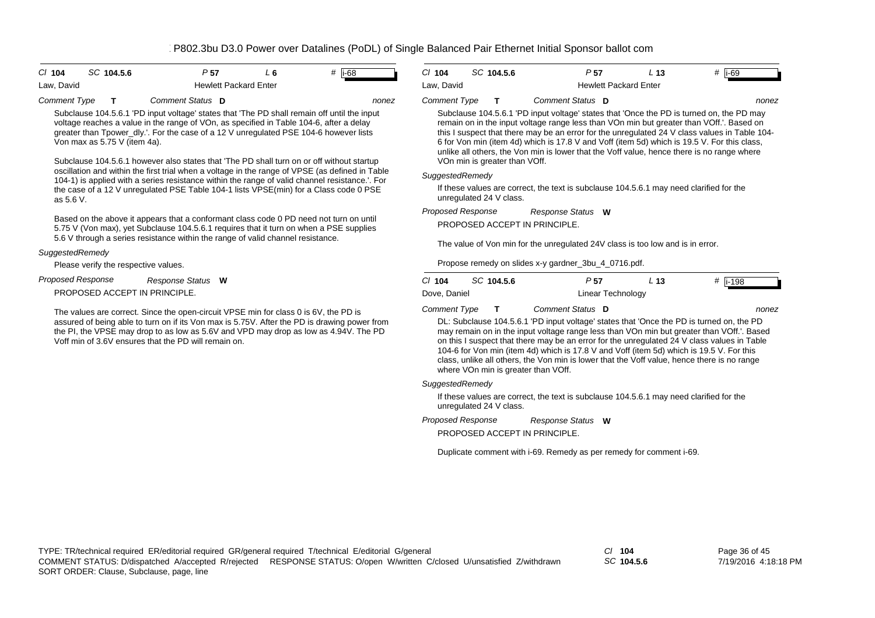*nonez*

| C/104      | SC 104.5.6 | P 57 |                              | # li-68 |
|------------|------------|------|------------------------------|---------|
| Law. David |            |      | <b>Hewlett Packard Enter</b> |         |

*Comment Type* **T** *Comment Status* **D**

Subclause 104.5.6.1 'PD input voltage' states that 'The PD shall remain off until the input voltage reaches a value in the range of VOn, as specified in Table 104-6, after a delay greater than Tpower\_dly.'. For the case of a 12 V unregulated PSE 104-6 however lists Von max as 5.75 V (item 4a).

Subclause 104.5.6.1 however also states that 'The PD shall turn on or off without startup oscillation and within the first trial when a voltage in the range of VPSE (as defined in Table 104-1) is applied with a series resistance within the range of valid channel resistance.'. For the case of a 12 V unregulated PSE Table 104-1 lists VPSE(min) for a Class code 0 PSE as 5.6 V.

Based on the above it appears that a conformant class code 0 PD need not turn on until 5.75 V (Von max), yet Subclause 104.5.6.1 requires that it turn on when a PSE supplies 5.6 V through a series resistance within the range of valid channel resistance.

## *SuggestedRemedy*

Please verify the respective values.

*Response Status* **W** *Proposed Response*

PROPOSED ACCEPT IN PRINCIPLE.

The values are correct. Since the open-circuit VPSE min for class 0 is 6V, the PD is assured of being able to turn on if its Von max is 5.75V. After the PD is drawing power from the PI, the VPSE may drop to as low as 5.6V and VPD may drop as low as 4.94V. The PD Voff min of 3.6V ensures that the PD will remain on.

| $Cl$ 104            | SC 104.5.6 | P 57                         | L 13 | $i-69$ |
|---------------------|------------|------------------------------|------|--------|
| Law. David          |            | <b>Hewlett Packard Enter</b> |      |        |
| <b>Comment Type</b> |            | Comment Status <b>D</b>      |      | nonez  |

Subclause 104.5.6.1 'PD input voltage' states that 'Once the PD is turned on, the PD may remain on in the input voltage range less than VOn min but greater than VOff.'. Based on this I suspect that there may be an error for the unregulated 24 V class values in Table 104- 6 for Von min (item 4d) which is 17.8 V and Voff (item 5d) which is 19.5 V. For this class, unlike all others, the Von min is lower that the Voff value, hence there is no range where VOn min is greater than VOff.

## *SuggestedRemedy*

If these values are correct, the text is subclause 104.5.6.1 may need clarified for the unregulated 24 V class.

PROPOSED ACCEPT IN PRINCIPLE. *Response Status* **W** *Proposed Response*

The value of Von min for the unregulated 24V class is too low and is in error.

Propose remedy on slides x-y gardner\_3bu\_4\_0716.pdf.

| C/104               | SC 104.5.6 | P 57                    | $-13$ | #  i-198 |
|---------------------|------------|-------------------------|-------|----------|
| Dove, Daniel        |            | Linear Technology       |       |          |
| <b>Comment Type</b> |            | Comment Status <b>D</b> |       | nonez    |

DL: Subclause 104.5.6.1 'PD input voltage' states that 'Once the PD is turned on, the PD may remain on in the input voltage range less than VOn min but greater than VOff.'. Based on this I suspect that there may be an error for the unregulated 24 V class values in Table 104-6 for Von min (item 4d) which is 17.8 V and Voff (item 5d) which is 19.5 V. For this class, unlike all others, the Von min is lower that the Voff value, hence there is no range where VOn min is greater than VOff.

### *SuggestedRemedy*

If these values are correct, the text is subclause 104.5.6.1 may need clarified for the unregulated 24 V class.

*Response Status* **W** *Proposed Response*

PROPOSED ACCEPT IN PRINCIPLE.

Duplicate comment with i-69. Remedy as per remedy for comment i-69.

*SC* **104.5.6**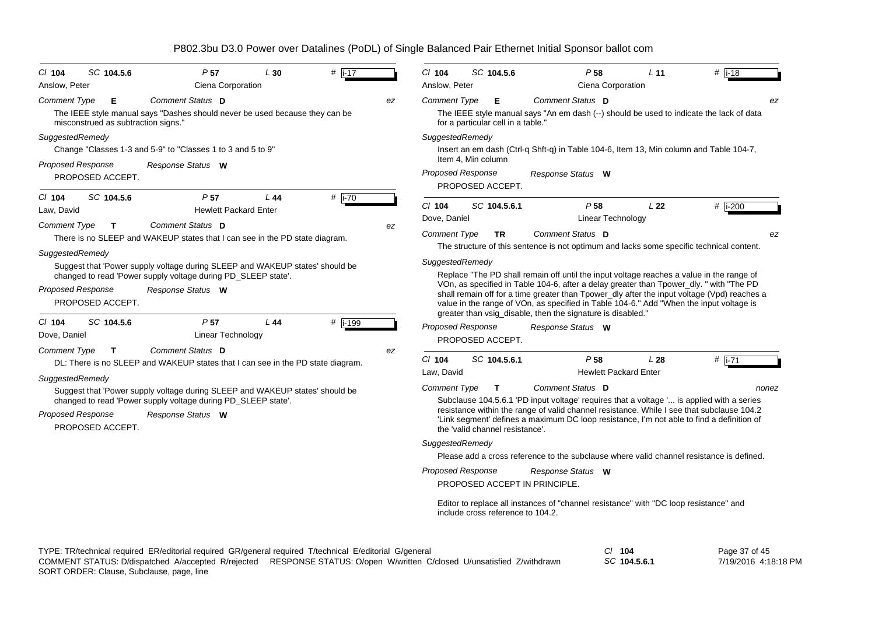| $CI$ 104                                      | SC 104.5.6                               | P <sub>57</sub>                                                                                                                                                    | L30 | $#$ i-17             |    | $Cl$ 104                 | SC 104.5.6                                      |                               | P <sub>58</sub>                                                                       | L <sub>11</sub> | $#$ i-18                                                                                                                                                                                                                                                                                                                                                                      |
|-----------------------------------------------|------------------------------------------|--------------------------------------------------------------------------------------------------------------------------------------------------------------------|-----|----------------------|----|--------------------------|-------------------------------------------------|-------------------------------|---------------------------------------------------------------------------------------|-----------------|-------------------------------------------------------------------------------------------------------------------------------------------------------------------------------------------------------------------------------------------------------------------------------------------------------------------------------------------------------------------------------|
| Anslow, Peter                                 |                                          | Ciena Corporation                                                                                                                                                  |     |                      |    | Anslow, Peter            |                                                 |                               | Ciena Corporation                                                                     |                 |                                                                                                                                                                                                                                                                                                                                                                               |
| <b>Comment Type</b>                           | Е<br>misconstrued as subtraction signs." | Comment Status D<br>The IEEE style manual says "Dashes should never be used because they can be                                                                    |     |                      | ez | <b>Comment Type</b>      | Е<br>for a particular cell in a table."         |                               | Comment Status D                                                                      |                 | ez<br>The IEEE style manual says "An em dash (--) should be used to indicate the lack of data                                                                                                                                                                                                                                                                                 |
| SuggestedRemedy<br><b>Proposed Response</b>   |                                          | Change "Classes 1-3 and 5-9" to "Classes 1 to 3 and 5 to 9"<br>Response Status W                                                                                   |     |                      |    | SuggestedRemedy          | Item 4, Min column                              |                               |                                                                                       |                 | Insert an em dash (Ctrl-q Shft-q) in Table 104-6, Item 13, Min column and Table 104-7,                                                                                                                                                                                                                                                                                        |
|                                               | PROPOSED ACCEPT.                         |                                                                                                                                                                    |     |                      |    |                          | Proposed Response<br>PROPOSED ACCEPT.           |                               | Response Status W                                                                     |                 |                                                                                                                                                                                                                                                                                                                                                                               |
| $CI$ 104<br>Law, David<br><b>Comment Type</b> | SC 104.5.6<br>$\mathbf{T}$               | P <sub>57</sub><br><b>Hewlett Packard Enter</b><br>Comment Status D                                                                                                | L44 | # $\overline{1}$ -70 | ez | $Cl$ 104<br>Dove, Daniel | SC 104.5.6.1                                    |                               | P <sub>58</sub><br>Linear Technology                                                  | L <sub>22</sub> | $#$ i-200                                                                                                                                                                                                                                                                                                                                                                     |
| SuggestedRemedy                               |                                          | There is no SLEEP and WAKEUP states that I can see in the PD state diagram.                                                                                        |     |                      |    | <b>Comment Type</b>      | <b>TR</b>                                       |                               | Comment Status D                                                                      |                 | ez<br>The structure of this sentence is not optimum and lacks some specific technical content.                                                                                                                                                                                                                                                                                |
| Proposed Response                             | PROPOSED ACCEPT.                         | Suggest that 'Power supply voltage during SLEEP and WAKEUP states' should be<br>changed to read 'Power supply voltage during PD_SLEEP state'.<br>Response Status W |     |                      |    | SuggestedRemedy          |                                                 |                               | greater than vsig_disable, then the signature is disabled."                           |                 | Replace "The PD shall remain off until the input voltage reaches a value in the range of<br>VOn, as specified in Table 104-6, after a delay greater than Tpower_dly. " with "The PD<br>shall remain off for a time greater than Tpower_dly after the input voltage (Vpd) reaches a<br>value in the range of VOn, as specified in Table 104-6." Add "When the input voltage is |
| $CI$ 104<br>Dove, Daniel                      | SC 104.5.6                               | P <sub>57</sub><br>Linear Technology                                                                                                                               | L44 | # i-199              |    |                          | <b>Proposed Response</b><br>PROPOSED ACCEPT.    |                               | Response Status W                                                                     |                 |                                                                                                                                                                                                                                                                                                                                                                               |
| <b>Comment Type</b><br>SuggestedRemedy        | $\mathbf{T}$                             | Comment Status D<br>DL: There is no SLEEP and WAKEUP states that I can see in the PD state diagram.                                                                |     |                      | ez | $Cl$ 104<br>Law, David   | SC 104.5.6.1                                    |                               | P <sub>58</sub><br><b>Hewlett Packard Enter</b>                                       | L28             | $#$ i-71                                                                                                                                                                                                                                                                                                                                                                      |
| <b>Proposed Response</b>                      | PROPOSED ACCEPT.                         | Suggest that 'Power supply voltage during SLEEP and WAKEUP states' should be<br>changed to read 'Power supply voltage during PD_SLEEP state'.<br>Response Status W |     |                      |    | <b>Comment Type</b>      | $\mathbf{T}$<br>the 'valid channel resistance'. |                               | Comment Status D                                                                      |                 | nonez<br>Subclause 104.5.6.1 'PD input voltage' requires that a voltage ' is applied with a series<br>resistance within the range of valid channel resistance. While I see that subclause 104.2<br>'Link segment' defines a maximum DC loop resistance, I'm not able to find a definition of                                                                                  |
|                                               |                                          |                                                                                                                                                                    |     |                      |    | SuggestedRemedy          |                                                 |                               |                                                                                       |                 | Please add a cross reference to the subclause where valid channel resistance is defined.                                                                                                                                                                                                                                                                                      |
|                                               |                                          |                                                                                                                                                                    |     |                      |    |                          | <b>Proposed Response</b>                        | PROPOSED ACCEPT IN PRINCIPLE. | Response Status W                                                                     |                 |                                                                                                                                                                                                                                                                                                                                                                               |
|                                               |                                          |                                                                                                                                                                    |     |                      |    |                          | include cross reference to 104.2.               |                               | Editor to replace all instances of "channel resistance" with "DC loop resistance" and |                 |                                                                                                                                                                                                                                                                                                                                                                               |

Page 37 of 45 7/19/2016 4:18:18 PM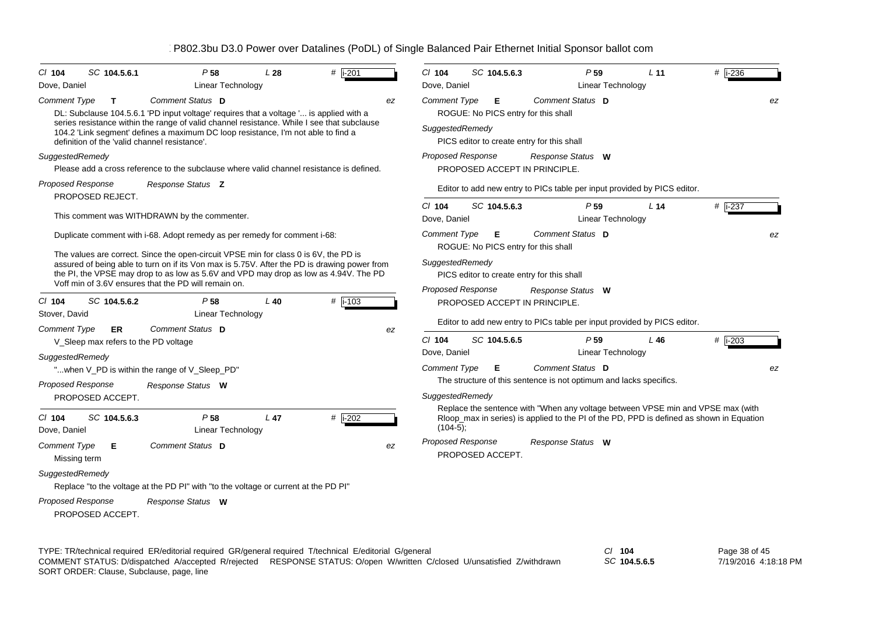| $Cl$ 104<br>Dove, Daniel                                        | SC 104.5.6.1                                                  | P <sub>58</sub><br><b>Linear Technology</b>                                                                                                                                                                                                                                                                                                                                                                       | L <sub>28</sub> | # i-201   |    | $Cl$ 104<br>Dove, Daniel                                                                                                                             | SC 104.5.6.3                                                                           |  | P <sub>59</sub><br>Linear Technology                                                                                                                                        | L <sub>11</sub> | $#$ i-236 |  |
|-----------------------------------------------------------------|---------------------------------------------------------------|-------------------------------------------------------------------------------------------------------------------------------------------------------------------------------------------------------------------------------------------------------------------------------------------------------------------------------------------------------------------------------------------------------------------|-----------------|-----------|----|------------------------------------------------------------------------------------------------------------------------------------------------------|----------------------------------------------------------------------------------------|--|-----------------------------------------------------------------------------------------------------------------------------------------------------------------------------|-----------------|-----------|--|
| <b>Comment Type</b>                                             | $\mathbf{T}$<br>definition of the 'valid channel resistance'. | Comment Status D<br>DL: Subclause 104.5.6.1 'PD input voltage' requires that a voltage ' is applied with a<br>series resistance within the range of valid channel resistance. While I see that subclause<br>104.2 'Link segment' defines a maximum DC loop resistance, I'm not able to find a                                                                                                                     |                 |           | ez | Comment Status D<br><b>Comment Type</b><br>Е<br>ROGUE: No PICS entry for this shall<br>SuggestedRemedy<br>PICS editor to create entry for this shall |                                                                                        |  |                                                                                                                                                                             |                 |           |  |
| SuggestedRemedy                                                 |                                                               | Please add a cross reference to the subclause where valid channel resistance is defined.                                                                                                                                                                                                                                                                                                                          |                 |           |    | <b>Proposed Response</b>                                                                                                                             | PROPOSED ACCEPT IN PRINCIPLE.                                                          |  | Response Status W                                                                                                                                                           |                 |           |  |
| <b>Proposed Response</b><br>PROPOSED REJECT.                    |                                                               | Response Status <b>Z</b>                                                                                                                                                                                                                                                                                                                                                                                          |                 |           |    |                                                                                                                                                      |                                                                                        |  | Editor to add new entry to PICs table per input provided by PICS editor.                                                                                                    |                 |           |  |
|                                                                 |                                                               | This comment was WITHDRAWN by the commenter.                                                                                                                                                                                                                                                                                                                                                                      |                 |           |    | $Cl$ 104<br>Dove, Daniel                                                                                                                             | SC 104.5.6.3                                                                           |  | P <sub>59</sub><br><b>Linear Technology</b>                                                                                                                                 | L <sub>14</sub> | $#$ i-237 |  |
|                                                                 |                                                               | Duplicate comment with i-68. Adopt remedy as per remedy for comment i-68:<br>The values are correct. Since the open-circuit VPSE min for class 0 is 6V, the PD is<br>assured of being able to turn on if its Von max is 5.75V. After the PD is drawing power from<br>the PI, the VPSE may drop to as low as 5.6V and VPD may drop as low as 4.94V. The PD<br>Voff min of 3.6V ensures that the PD will remain on. |                 |           |    | <b>Comment Type</b><br>SuggestedRemedy                                                                                                               | Е<br>ROGUE: No PICS entry for this shall<br>PICS editor to create entry for this shall |  | Comment Status D                                                                                                                                                            |                 | ez        |  |
| $Cl$ 104<br>Stover, David                                       | SC 104.5.6.2                                                  | P <sub>58</sub><br>Linear Technology                                                                                                                                                                                                                                                                                                                                                                              | $L$ 40          | $#$ i-103 |    | Proposed Response                                                                                                                                    | PROPOSED ACCEPT IN PRINCIPLE.                                                          |  | Response Status W<br>Editor to add new entry to PICs table per input provided by PICS editor.                                                                               |                 |           |  |
| <b>Comment Type</b>                                             | <b>ER</b><br>V_Sleep max refers to the PD voltage             | Comment Status D                                                                                                                                                                                                                                                                                                                                                                                                  |                 |           | ez | $Cl$ 104                                                                                                                                             | SC 104.5.6.5                                                                           |  | P <sub>59</sub>                                                                                                                                                             | L46             | # $i-203$ |  |
| SuggestedRemedy<br><b>Proposed Response</b><br>PROPOSED ACCEPT. | "when V_PD is within the range of V_Sleep_PD"                 | Response Status W                                                                                                                                                                                                                                                                                                                                                                                                 |                 |           |    | Dove, Daniel<br><b>Comment Type</b><br>SuggestedRemedy                                                                                               | Е                                                                                      |  | Linear Technology<br>Comment Status D<br>The structure of this sentence is not optimum and lacks specifics.                                                                 |                 | ez        |  |
| $Cl$ 104<br>Dove, Daniel                                        | SC 104.5.6.3                                                  | P <sub>58</sub><br><b>Linear Technology</b>                                                                                                                                                                                                                                                                                                                                                                       | $L$ 47          | $#$ i-202 |    | $(104-5);$                                                                                                                                           |                                                                                        |  | Replace the sentence with "When any voltage between VPSE min and VPSE max (with<br>Rloop_max in series) is applied to the PI of the PD, PPD is defined as shown in Equation |                 |           |  |
| <b>Comment Type</b><br>Missing term<br>SuggestedRemedy          | Е                                                             | Comment Status D<br>Replace "to the voltage at the PD PI" with "to the voltage or current at the PD PI"                                                                                                                                                                                                                                                                                                           |                 |           | ez | <b>Proposed Response</b>                                                                                                                             | PROPOSED ACCEPT.                                                                       |  | Response Status W                                                                                                                                                           |                 |           |  |
| <b>Proposed Response</b><br>PROPOSED ACCEPT.                    |                                                               | Response Status W                                                                                                                                                                                                                                                                                                                                                                                                 |                 |           |    |                                                                                                                                                      |                                                                                        |  |                                                                                                                                                                             |                 |           |  |

TYPE: TR/technical required ER/editorial required GR/general required T/technical E/editorial G/general *Cl* **104** SORT ORDER: Clause, Subclause, page, line COMMENT STATUS: D/dispatched A/accepted R/rejected RESPONSE STATUS: O/open W/written C/closed U/unsatisfied Z/withdrawn

*SC* **104.5.6.5**

Page 38 of 45 7/19/2016 4:18:18 PM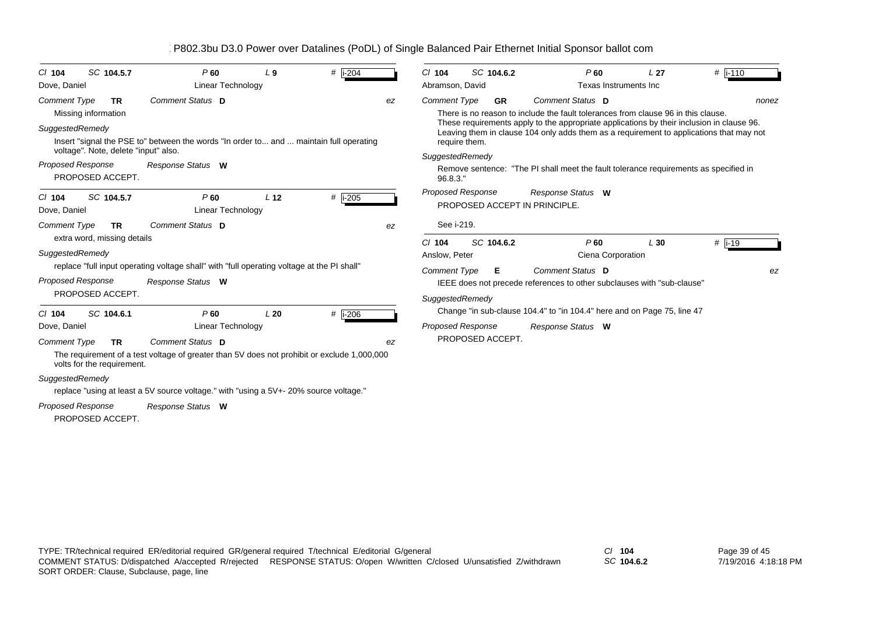| SC 104.5.7<br>$Cl$ 104               | P60                                                                                         | L <sub>9</sub>  | # $ i - 204$ |    | $Cl$ 104                 | SC 104.6.2       | $P$ 60                                                                                                                                                                               | L <sub>27</sub> | $#$  i-110 |
|--------------------------------------|---------------------------------------------------------------------------------------------|-----------------|--------------|----|--------------------------|------------------|--------------------------------------------------------------------------------------------------------------------------------------------------------------------------------------|-----------------|------------|
| Dove, Daniel                         | Linear Technology                                                                           |                 |              |    | Abramson, David          |                  | Texas Instruments Inc                                                                                                                                                                |                 |            |
| <b>Comment Type</b><br>TR            | Comment Status D                                                                            |                 |              | ez | <b>Comment Type</b>      | <b>GR</b>        | Comment Status D                                                                                                                                                                     |                 | nonez      |
| Missing information                  |                                                                                             |                 |              |    |                          |                  | There is no reason to include the fault tolerances from clause 96 in this clause.                                                                                                    |                 |            |
| SuggestedRemedy                      |                                                                                             |                 |              |    |                          |                  | These requirements apply to the appropriate applications by their inclusion in clause 96.<br>Leaving them in clause 104 only adds them as a requirement to applications that may not |                 |            |
|                                      | Insert "signal the PSE to" between the words "In order to and  maintain full operating      |                 |              |    | require them.            |                  |                                                                                                                                                                                      |                 |            |
| voltage". Note, delete "input" also. |                                                                                             |                 |              |    | SuggestedRemedy          |                  |                                                                                                                                                                                      |                 |            |
| Proposed Response                    | Response Status W                                                                           |                 |              |    |                          |                  | Remove sentence: "The PI shall meet the fault tolerance requirements as specified in                                                                                                 |                 |            |
| PROPOSED ACCEPT.                     |                                                                                             |                 |              |    | 96.8.3."                 |                  |                                                                                                                                                                                      |                 |            |
| SC 104.5.7<br>$Cl$ 104               | P60                                                                                         | L <sub>12</sub> | $#$ i-205    |    | <b>Proposed Response</b> |                  | Response Status W                                                                                                                                                                    |                 |            |
| Dove, Daniel                         | Linear Technology                                                                           |                 |              |    |                          |                  | PROPOSED ACCEPT IN PRINCIPLE.                                                                                                                                                        |                 |            |
| <b>Comment Type</b><br>TR            | Comment Status D                                                                            |                 |              | ez | See i-219.               |                  |                                                                                                                                                                                      |                 |            |
| extra word, missing details          |                                                                                             |                 |              |    | $Cl$ 104                 | SC 104.6.2       | P60                                                                                                                                                                                  | L30             | $#$ i-19   |
| SuggestedRemedy                      |                                                                                             |                 |              |    | Anslow. Peter            |                  | Ciena Corporation                                                                                                                                                                    |                 |            |
|                                      | replace "full input operating voltage shall" with "full operating voltage at the PI shall"  |                 |              |    | <b>Comment Type</b>      | Е                | Comment Status D                                                                                                                                                                     |                 | ez         |
| <b>Proposed Response</b>             | Response Status W                                                                           |                 |              |    |                          |                  | IEEE does not precede references to other subclauses with "sub-clause"                                                                                                               |                 |            |
| PROPOSED ACCEPT.                     |                                                                                             |                 |              |    | SuggestedRemedy          |                  |                                                                                                                                                                                      |                 |            |
|                                      |                                                                                             |                 |              |    |                          |                  | Change "in sub-clause 104.4" to "in 104.4" here and on Page 75, line 47                                                                                                              |                 |            |
| SC 104.6.1<br>$Cl$ 104               | P60                                                                                         | L20             | # i-206      |    | <b>Proposed Response</b> |                  |                                                                                                                                                                                      |                 |            |
| Dove, Daniel                         | Linear Technology                                                                           |                 |              |    |                          | PROPOSED ACCEPT. | Response Status W                                                                                                                                                                    |                 |            |
| <b>Comment Type</b><br><b>TR</b>     | Comment Status D                                                                            |                 |              | ez |                          |                  |                                                                                                                                                                                      |                 |            |
| volts for the requirement.           | The requirement of a test voltage of greater than 5V does not prohibit or exclude 1,000,000 |                 |              |    |                          |                  |                                                                                                                                                                                      |                 |            |
| SuggestedRemedy                      |                                                                                             |                 |              |    |                          |                  |                                                                                                                                                                                      |                 |            |
|                                      | replace "using at least a 5V source voltage." with "using a 5V+-20% source voltage."        |                 |              |    |                          |                  |                                                                                                                                                                                      |                 |            |
| <b>Proposed Response</b>             | Response Status W                                                                           |                 |              |    |                          |                  |                                                                                                                                                                                      |                 |            |
| PROPOSED ACCEPT.                     |                                                                                             |                 |              |    |                          |                  |                                                                                                                                                                                      |                 |            |

*SC* **104.6.2**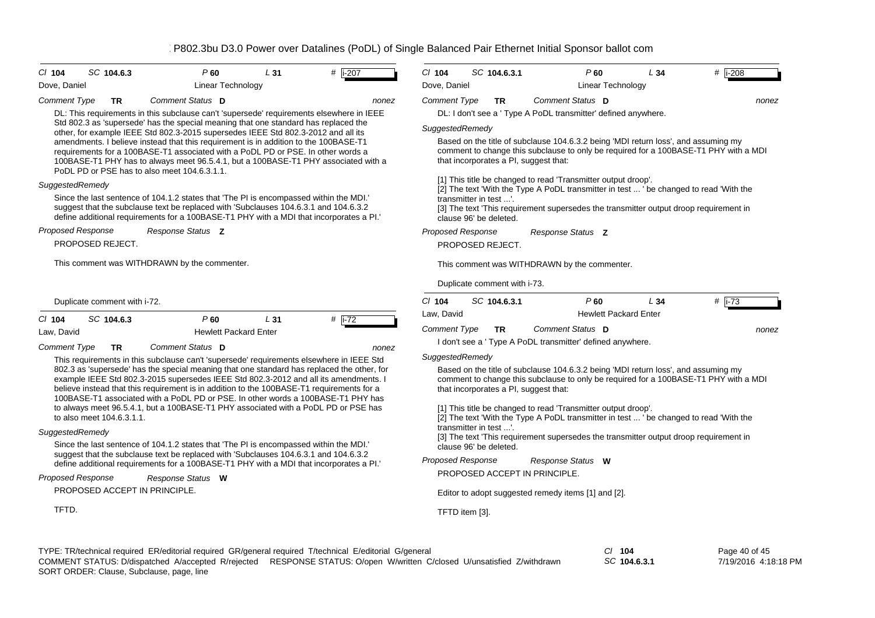| $Cl$ 104<br>SC 104.6.3                                                   | P60                                                                                                                                                                                                                                                                                                                                                                                                                                                                                                                                                                                                                                                                                                  | L31             | $#$ i-207                | $Cl$ 104                 | SC 104.6.3.1                                                                                                                                                                                                                                                                                                                                                                                                                                                                                                                                                   |                          | $P$ 60                                 | L34                                                                                | $#$ i-208                                                                                                                                                                      |  |  |
|--------------------------------------------------------------------------|------------------------------------------------------------------------------------------------------------------------------------------------------------------------------------------------------------------------------------------------------------------------------------------------------------------------------------------------------------------------------------------------------------------------------------------------------------------------------------------------------------------------------------------------------------------------------------------------------------------------------------------------------------------------------------------------------|-----------------|--------------------------|--------------------------|----------------------------------------------------------------------------------------------------------------------------------------------------------------------------------------------------------------------------------------------------------------------------------------------------------------------------------------------------------------------------------------------------------------------------------------------------------------------------------------------------------------------------------------------------------------|--------------------------|----------------------------------------|------------------------------------------------------------------------------------|--------------------------------------------------------------------------------------------------------------------------------------------------------------------------------|--|--|
| Dove, Daniel                                                             | Linear Technology                                                                                                                                                                                                                                                                                                                                                                                                                                                                                                                                                                                                                                                                                    |                 |                          | Dove, Daniel             |                                                                                                                                                                                                                                                                                                                                                                                                                                                                                                                                                                |                          | Linear Technology                      |                                                                                    |                                                                                                                                                                                |  |  |
| <b>Comment Type</b><br><b>TR</b><br>SuggestedRemedy                      | Comment Status D<br>DL: This requirements in this subclause can't 'supersede' requirements elsewhere in IEEE<br>Std 802.3 as 'supersede' has the special meaning that one standard has replaced the<br>other, for example IEEE Std 802.3-2015 supersedes IEEE Std 802.3-2012 and all its<br>amendments. I believe instead that this requirement is in addition to the 100BASE-T1<br>requirements for a 100BASE-T1 associated with a PoDL PD or PSE. In other words a<br>100BASE-T1 PHY has to always meet 96.5.4.1, but a 100BASE-T1 PHY associated with a<br>PoDL PD or PSE has to also meet 104.6.3.1.1.<br>Since the last sentence of 104.1.2 states that 'The PI is encompassed within the MDI.' |                 | nonez                    |                          | Comment Status D<br><b>Comment Type</b><br><b>TR</b><br>nonez<br>DL: I don't see a ' Type A PoDL transmitter' defined anywhere.<br>SuggestedRemedy<br>Based on the title of subclause 104.6.3.2 being 'MDI return loss', and assuming my<br>comment to change this subclause to only be required for a 100BASE-T1 PHY with a MDI<br>that incorporates a PI, suggest that:<br>[1] This title be changed to read 'Transmitter output droop'.<br>[2] The text 'With the Type A PoDL transmitter in test  ' be changed to read 'With the<br>transmitter in test '. |                          |                                        |                                                                                    |                                                                                                                                                                                |  |  |
| Proposed Response                                                        | suggest that the subclause text be replaced with 'Subclauses 104.6.3.1 and 104.6.3.2<br>define additional requirements for a 100BASE-T1 PHY with a MDI that incorporates a PI.'<br>Response Status Z                                                                                                                                                                                                                                                                                                                                                                                                                                                                                                 |                 |                          | Proposed Response        | clause 96' be deleted.                                                                                                                                                                                                                                                                                                                                                                                                                                                                                                                                         | Response Status <b>Z</b> |                                        |                                                                                    | [3] The text 'This requirement supersedes the transmitter output droop requirement in                                                                                          |  |  |
| PROPOSED REJECT.                                                         |                                                                                                                                                                                                                                                                                                                                                                                                                                                                                                                                                                                                                                                                                                      |                 |                          |                          | PROPOSED REJECT.                                                                                                                                                                                                                                                                                                                                                                                                                                                                                                                                               |                          |                                        |                                                                                    |                                                                                                                                                                                |  |  |
|                                                                          | This comment was WITHDRAWN by the commenter.                                                                                                                                                                                                                                                                                                                                                                                                                                                                                                                                                                                                                                                         |                 |                          |                          | This comment was WITHDRAWN by the commenter.<br>Duplicate comment with i-73.                                                                                                                                                                                                                                                                                                                                                                                                                                                                                   |                          |                                        |                                                                                    |                                                                                                                                                                                |  |  |
| Duplicate comment with i-72.                                             |                                                                                                                                                                                                                                                                                                                                                                                                                                                                                                                                                                                                                                                                                                      |                 |                          | $Cl$ 104<br>Law, David   | SC 104.6.3.1                                                                                                                                                                                                                                                                                                                                                                                                                                                                                                                                                   |                          | $P$ 60<br><b>Hewlett Packard Enter</b> | L34                                                                                | # $\overline{1-73}$                                                                                                                                                            |  |  |
| $Cl$ 104<br>SC 104.6.3<br>Law, David<br><b>Comment Type</b><br><b>TR</b> | P60<br><b>Hewlett Packard Enter</b><br>Comment Status D                                                                                                                                                                                                                                                                                                                                                                                                                                                                                                                                                                                                                                              | L <sub>31</sub> | # $\sqrt{1-72}$<br>nonez | <b>Comment Type</b>      | <b>TR</b><br>I don't see a ' Type A PoDL transmitter' defined anywhere.                                                                                                                                                                                                                                                                                                                                                                                                                                                                                        | Comment Status D         |                                        |                                                                                    | nonez                                                                                                                                                                          |  |  |
| to also meet 104.6.3.1.1.                                                | This requirements in this subclause can't 'supersede' requirements elsewhere in IEEE Std<br>802.3 as 'supersede' has the special meaning that one standard has replaced the other, for<br>example IEEE Std 802.3-2015 supersedes IEEE Std 802.3-2012 and all its amendments. I<br>believe instead that this requirement is in addition to the 100BASE-T1 requirements for a<br>100BASE-T1 associated with a PoDL PD or PSE. In other words a 100BASE-T1 PHY has<br>to always meet 96.5.4.1, but a 100BASE-T1 PHY associated with a PoDL PD or PSE has                                                                                                                                                |                 |                          | SuggestedRemedy          | that incorporates a PI, suggest that:<br>[1] This title be changed to read 'Transmitter output droop'.<br>transmitter in test '.                                                                                                                                                                                                                                                                                                                                                                                                                               |                          |                                        | Based on the title of subclause 104.6.3.2 being 'MDI return loss', and assuming my | comment to change this subclause to only be required for a 100BASE-T1 PHY with a MDI<br>[2] The text 'With the Type A PoDL transmitter in test  ' be changed to read 'With the |  |  |
| SuggestedRemedy                                                          | Since the last sentence of 104.1.2 states that 'The PI is encompassed within the MDI.'<br>suggest that the subclause text be replaced with 'Subclauses 104.6.3.1 and 104.6.3.2<br>define additional requirements for a 100BASE-T1 PHY with a MDI that incorporates a PI.'                                                                                                                                                                                                                                                                                                                                                                                                                            |                 |                          | <b>Proposed Response</b> | clause 96' be deleted.                                                                                                                                                                                                                                                                                                                                                                                                                                                                                                                                         | Response Status W        |                                        |                                                                                    | [3] The text 'This requirement supersedes the transmitter output droop requirement in                                                                                          |  |  |
| Proposed Response<br>PROPOSED ACCEPT IN PRINCIPLE.                       | Response Status W                                                                                                                                                                                                                                                                                                                                                                                                                                                                                                                                                                                                                                                                                    |                 |                          |                          | PROPOSED ACCEPT IN PRINCIPLE.<br>Editor to adopt suggested remedy items [1] and [2].                                                                                                                                                                                                                                                                                                                                                                                                                                                                           |                          |                                        |                                                                                    |                                                                                                                                                                                |  |  |
| TFTD.                                                                    |                                                                                                                                                                                                                                                                                                                                                                                                                                                                                                                                                                                                                                                                                                      |                 |                          |                          | TFTD item [3].                                                                                                                                                                                                                                                                                                                                                                                                                                                                                                                                                 |                          |                                        |                                                                                    |                                                                                                                                                                                |  |  |
|                                                                          |                                                                                                                                                                                                                                                                                                                                                                                                                                                                                                                                                                                                                                                                                                      |                 |                          |                          |                                                                                                                                                                                                                                                                                                                                                                                                                                                                                                                                                                |                          |                                        |                                                                                    |                                                                                                                                                                                |  |  |

TYPE: TR/technical required ER/editorial required GR/general required T/technical E/editorial G/general *Cl* **104** *SC* **104.6.3.1** SORT ORDER: Clause, Subclause, page, line COMMENT STATUS: D/dispatched A/accepted R/rejected RESPONSE STATUS: O/open W/written C/closed U/unsatisfied Z/withdrawn

Page 40 of 45 7/19/2016 4:18:18 PM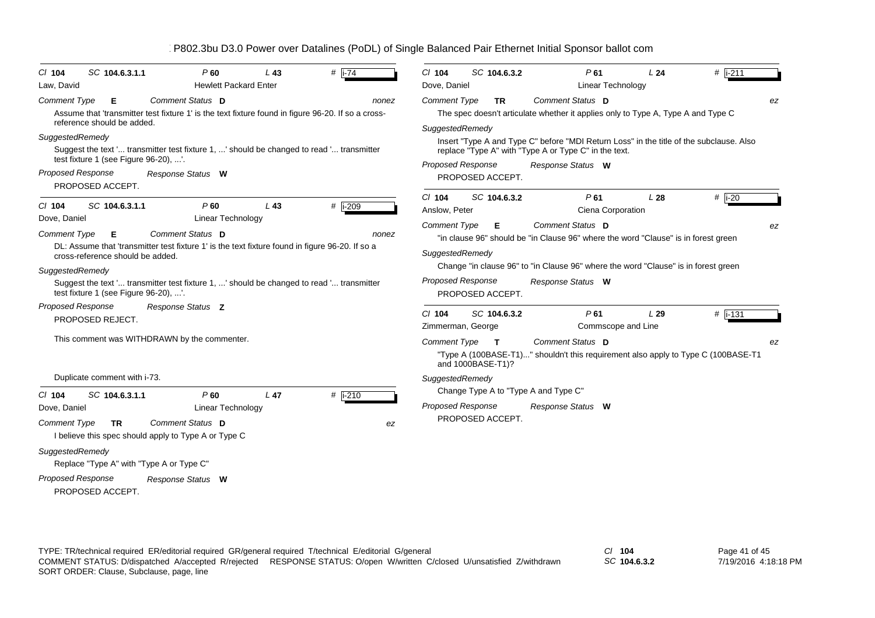| SC 104.6.3.1.1<br>$Cl$ 104<br>Law, David                                                                                                                                                                                                                                                                                                         | P <sub>60</sub><br><b>Hewlett Packard Enter</b> | L43             | # $\sqrt{1-74}$ | SC 104.6.3.2<br>$CI$ 104<br>Dove, Daniel                                                                 | P61<br>Linear Technology                                                                                                                                                                                                                                                      | L24 | # $ i-211$      |
|--------------------------------------------------------------------------------------------------------------------------------------------------------------------------------------------------------------------------------------------------------------------------------------------------------------------------------------------------|-------------------------------------------------|-----------------|-----------------|----------------------------------------------------------------------------------------------------------|-------------------------------------------------------------------------------------------------------------------------------------------------------------------------------------------------------------------------------------------------------------------------------|-----|-----------------|
| <b>Comment Type</b><br>Е<br>Assume that 'transmitter test fixture 1' is the text fixture found in figure 96-20. If so a cross-<br>reference should be added.<br>SuggestedRemedy<br>Suggest the text ' transmitter test fixture 1, ' should be changed to read ' transmitter<br>test fixture 1 (see Figure 96-20), '.<br><b>Proposed Response</b> | Comment Status D<br>Response Status W           |                 | nonez           | <b>Comment Type</b><br><b>TR</b><br>SuggestedRemedy<br><b>Proposed Response</b>                          | Comment Status D<br>The spec doesn't articulate whether it applies only to Type A, Type A and Type C<br>Insert "Type A and Type C" before "MDI Return Loss" in the title of the subclause. Also<br>replace "Type A" with "Type A or Type C" in the text.<br>Response Status W |     | ez              |
| PROPOSED ACCEPT.<br>SC 104.6.3.1.1<br>$Cl$ 104                                                                                                                                                                                                                                                                                                   | P60                                             | L43             | $#$ i-209       | PROPOSED ACCEPT.<br>$Cl$ 104<br>SC 104.6.3.2<br>Anslow. Peter                                            | P61<br>Ciena Corporation                                                                                                                                                                                                                                                      | L28 | $#$ i-20        |
| Dove, Daniel<br><b>Comment Type</b><br>Е<br>DL: Assume that 'transmitter test fixture 1' is the text fixture found in figure 96-20. If so a<br>cross-reference should be added.<br>SuggestedRemedy<br>Suggest the text ' transmitter test fixture 1, ' should be changed to read ' transmitter<br>test fixture 1 (see Figure 96-20), '.          | <b>Linear Technology</b><br>Comment Status D    |                 | nonez           | Comment Type<br>Е<br>SuggestedRemedy<br><b>Proposed Response</b><br>PROPOSED ACCEPT.                     | Comment Status D<br>"in clause 96" should be "in Clause 96" where the word "Clause" is in forest green<br>Change "in clause 96" to "in Clause 96" where the word "Clause" is in forest green<br>Response Status W                                                             |     | ez              |
| Proposed Response<br>PROPOSED REJECT.<br>This comment was WITHDRAWN by the commenter.                                                                                                                                                                                                                                                            | Response Status Z                               |                 |                 | $CI$ 104<br>SC 104.6.3.2<br>Zimmerman, George<br><b>Comment Type</b><br>$\mathbf{T}$                     | P61<br>Commscope and Line<br>Comment Status D<br>"Type A (100BASE-T1)" shouldn't this requirement also apply to Type C (100BASE-T1                                                                                                                                            | L29 | $#$ i-131<br>ez |
| Duplicate comment with i-73.<br>SC 104.6.3.1.1<br>$Cl$ 104<br>Dove, Daniel                                                                                                                                                                                                                                                                       | P60<br><b>Linear Technology</b>                 | L <sub>47</sub> | # i-210         | and 1000BASE-T1)?<br>SuggestedRemedy<br>Change Type A to "Type A and Type C"<br><b>Proposed Response</b> | Response Status W                                                                                                                                                                                                                                                             |     |                 |
| <b>Comment Type</b><br>TR.<br>I believe this spec should apply to Type A or Type C<br>SuggestedRemedy<br>Replace "Type A" with "Type A or Type C"<br>Proposed Response<br>PROPOSED ACCEPT.                                                                                                                                                       | Comment Status D<br>Response Status W           |                 | ez              | PROPOSED ACCEPT.                                                                                         |                                                                                                                                                                                                                                                                               |     |                 |

*SC* **104.6.3.2**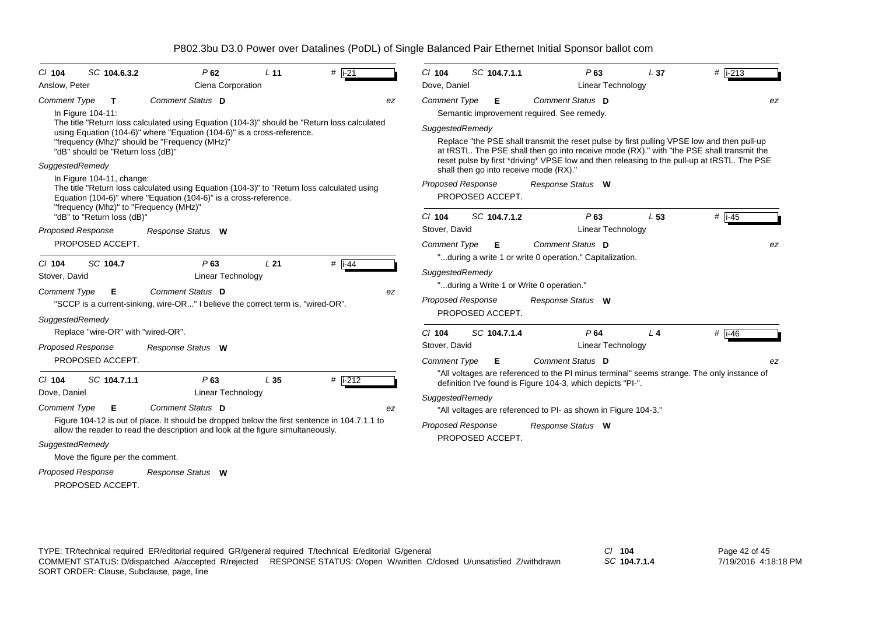| SC 104.6.3.2<br>$CI$ 104                                                                                                    | P62                                                                                                                                                                                                                                        | L <sub>11</sub> | # $ i - 21$          |    | $Cl$ 104                                         | SC 104.7.1.1                                                               |  | P63                                                                                                                                                | L <sub>37</sub> | # $ i - 213$                                                                                                                                                                                  |
|-----------------------------------------------------------------------------------------------------------------------------|--------------------------------------------------------------------------------------------------------------------------------------------------------------------------------------------------------------------------------------------|-----------------|----------------------|----|--------------------------------------------------|----------------------------------------------------------------------------|--|----------------------------------------------------------------------------------------------------------------------------------------------------|-----------------|-----------------------------------------------------------------------------------------------------------------------------------------------------------------------------------------------|
| Anslow, Peter<br>Ciena Corporation                                                                                          |                                                                                                                                                                                                                                            |                 |                      |    |                                                  | Linear Technology<br>Dove, Daniel                                          |  |                                                                                                                                                    |                 |                                                                                                                                                                                               |
| <b>Comment Type</b><br>$\mathbf{T}$<br>In Figure 104-11:<br>"dB" should be "Return loss (dB)"                               | Comment Status D<br>The title "Return loss calculated using Equation (104-3)" should be "Return loss calculated<br>using Equation (104-6)" where "Equation (104-6)" is a cross-reference.<br>"frequency (Mhz)" should be "Frequency (MHz)' |                 |                      | ez | <b>Comment Type</b><br>SuggestedRemedy           | Е                                                                          |  | Comment Status D<br>Semantic improvement required. See remedy.                                                                                     |                 | ez<br>Replace "the PSE shall transmit the reset pulse by first pulling VPSE low and then pull-up<br>at tRSTL. The PSE shall then go into receive mode (RX)." with "the PSE shall transmit the |
| SuggestedRemedy<br>In Figure 104-11, change:<br>"frequency (Mhz)" to "Frequency (MHz)"                                      | The title "Return loss calculated using Equation (104-3)" to "Return loss calculated using<br>Equation (104-6)" where "Equation (104-6)" is a cross-reference.                                                                             |                 |                      |    | <b>Proposed Response</b>                         | shall then go into receive mode (RX)."<br>PROPOSED ACCEPT.<br>SC 104.7.1.2 |  | Response Status W<br>$P$ 63                                                                                                                        | L <sub>53</sub> | reset pulse by first *driving* VPSE low and then releasing to the pull-up at tRSTL. The PSE                                                                                                   |
| "dB" to "Return loss (dB)"<br><b>Proposed Response</b><br>PROPOSED ACCEPT.                                                  | Response Status W                                                                                                                                                                                                                          |                 |                      |    | $Cl$ 104<br>Stover, David<br><b>Comment Type</b> | Е                                                                          |  | Linear Technology<br>Comment Status D                                                                                                              |                 | $#$ i-45<br>ez                                                                                                                                                                                |
| $Cl$ 104<br>SC 104.7<br>Stover, David<br><b>Comment Type</b><br>Е<br>SuggestedRemedy                                        | $P$ 63<br><b>Linear Technology</b><br>Comment Status D<br>"SCCP is a current-sinking, wire-OR" I believe the correct term is, "wired-OR".                                                                                                  | L21             | $#$ i-44             | ez | SuggestedRemedy<br><b>Proposed Response</b>      | "during a Write 1 or Write 0 operation."<br>PROPOSED ACCEPT.               |  | "during a write 1 or write 0 operation." Capitalization.<br>Response Status W                                                                      |                 |                                                                                                                                                                                               |
| Replace "wire-OR" with "wired-OR".<br><b>Proposed Response</b><br>PROPOSED ACCEPT.                                          | Response Status W                                                                                                                                                                                                                          |                 |                      |    | $CI$ 104<br>Stover, David<br><b>Comment Type</b> | SC 104.7.1.4<br>Е                                                          |  | P64<br><b>Linear Technology</b><br>Comment Status D                                                                                                | L <sub>4</sub>  | $#$ i-46<br>ez                                                                                                                                                                                |
| SC 104.7.1.1<br>$CI$ 104<br>Dove, Daniel<br><b>Comment Type</b><br>Е<br>SuggestedRemedy<br>Move the figure per the comment. | P63<br><b>Linear Technology</b><br>Comment Status D<br>Figure 104-12 is out of place. It should be dropped below the first sentence in 104.7.1.1 to<br>allow the reader to read the description and look at the figure simultaneously.     | L <sub>35</sub> | # $\overline{1-212}$ | ez | SuggestedRemedy<br><b>Proposed Response</b>      | PROPOSED ACCEPT.                                                           |  | definition I've found is Figure 104-3, which depicts "PI-".<br>"All voltages are referenced to PI- as shown in Figure 104-3."<br>Response Status W |                 | "All voltages are referenced to the PI minus terminal" seems strange. The only instance of                                                                                                    |
| <b>Proposed Response</b>                                                                                                    | Response Status W                                                                                                                                                                                                                          |                 |                      |    |                                                  |                                                                            |  |                                                                                                                                                    |                 |                                                                                                                                                                                               |

PROPOSED ACCEPT.

TYPE: TR/technical required ER/editorial required GR/general required T/technical E/editorial G/general *Cl* **104** SORT ORDER: Clause, Subclause, page, line COMMENT STATUS: D/dispatched A/accepted R/rejected RESPONSE STATUS: O/open W/written C/closed U/unsatisfied Z/withdrawn

*SC* **104.7.1.4**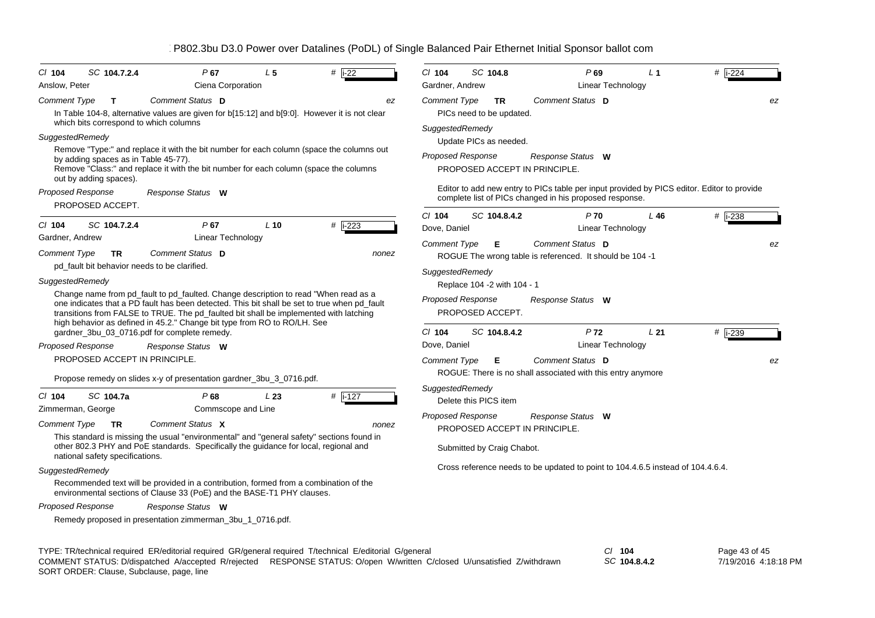| $CI$ 104<br>Anslow, Peter | SC 104.7.2.4                                                   | P67<br>Ciena Corporation                                                                                                                                                                                                                                                                                                                                 | L <sub>5</sub> | #<br>$i-22$ | CI 104<br>Gardner, Andrew | SC 104.8                                     | P69<br>Linear Technology                                                                                                                              | L <sub>1</sub> | # $\overline{1-224}$ |
|---------------------------|----------------------------------------------------------------|----------------------------------------------------------------------------------------------------------------------------------------------------------------------------------------------------------------------------------------------------------------------------------------------------------------------------------------------------------|----------------|-------------|---------------------------|----------------------------------------------|-------------------------------------------------------------------------------------------------------------------------------------------------------|----------------|----------------------|
| <b>Comment Type</b>       | $\mathbf{T}$                                                   | Comment Status D                                                                                                                                                                                                                                                                                                                                         |                | ez          | <b>Comment Type</b>       | <b>TR</b>                                    | Comment Status D                                                                                                                                      |                | ez                   |
|                           |                                                                | In Table 104-8, alternative values are given for b[15:12] and b[9:0]. However it is not clear                                                                                                                                                                                                                                                            |                |             |                           | PICs need to be updated.                     |                                                                                                                                                       |                |                      |
|                           | which bits correspond to which columns                         |                                                                                                                                                                                                                                                                                                                                                          |                |             | SuggestedRemedy           |                                              |                                                                                                                                                       |                |                      |
| SuggestedRemedy           |                                                                |                                                                                                                                                                                                                                                                                                                                                          |                |             |                           | Update PICs as needed.                       |                                                                                                                                                       |                |                      |
|                           | by adding spaces as in Table 45-77).<br>out by adding spaces). | Remove "Type:" and replace it with the bit number for each column (space the columns out<br>Remove "Class:" and replace it with the bit number for each column (space the columns                                                                                                                                                                        |                |             |                           | <b>Proposed Response</b>                     | Response Status W<br>PROPOSED ACCEPT IN PRINCIPLE.                                                                                                    |                |                      |
|                           | <b>Proposed Response</b><br>PROPOSED ACCEPT.                   | Response Status W                                                                                                                                                                                                                                                                                                                                        |                |             |                           |                                              | Editor to add new entry to PICs table per input provided by PICS editor. Editor to provide<br>complete list of PICs changed in his proposed response. |                |                      |
|                           |                                                                |                                                                                                                                                                                                                                                                                                                                                          |                |             | $Cl$ 104                  | SC 104.8.4.2                                 | P <sub>70</sub>                                                                                                                                       | L46            | # i-238              |
| $Cl$ 104                  | SC 104.7.2.4                                                   | P67                                                                                                                                                                                                                                                                                                                                                      | $L$ 10         | # $i-223$   | Dove, Daniel              |                                              | Linear Technology                                                                                                                                     |                |                      |
| Gardner, Andrew           |                                                                | Linear Technology                                                                                                                                                                                                                                                                                                                                        |                |             | Comment Type              | Е                                            | Comment Status D                                                                                                                                      |                | ez                   |
| Comment Type              | <b>TR</b>                                                      | Comment Status D                                                                                                                                                                                                                                                                                                                                         |                | nonez       |                           |                                              | ROGUE The wrong table is referenced. It should be 104 -1                                                                                              |                |                      |
|                           |                                                                | pd_fault bit behavior needs to be clarified.                                                                                                                                                                                                                                                                                                             |                |             | SuggestedRemedy           |                                              |                                                                                                                                                       |                |                      |
| SuggestedRemedy           |                                                                |                                                                                                                                                                                                                                                                                                                                                          |                |             |                           | Replace 104 -2 with 104 - 1                  |                                                                                                                                                       |                |                      |
|                           |                                                                | Change name from pd_fault to pd_faulted. Change description to read "When read as a<br>one indicates that a PD fault has been detected. This bit shall be set to true when pd_fault<br>transitions from FALSE to TRUE. The pd_faulted bit shall be implemented with latching<br>high behavior as defined in 45.2." Change bit type from RO to RO/LH. See |                |             |                           | <b>Proposed Response</b><br>PROPOSED ACCEPT. | Response Status W                                                                                                                                     |                |                      |
|                           |                                                                | gardner_3bu_03_0716.pdf for complete remedy.                                                                                                                                                                                                                                                                                                             |                |             | $Cl$ 104                  | SC 104.8.4.2                                 | P <sub>72</sub>                                                                                                                                       | L21            | $#$ i-239            |
|                           | <b>Proposed Response</b>                                       | Response Status W                                                                                                                                                                                                                                                                                                                                        |                |             | Dove, Daniel              |                                              | <b>Linear Technology</b>                                                                                                                              |                |                      |
|                           | PROPOSED ACCEPT IN PRINCIPLE.                                  |                                                                                                                                                                                                                                                                                                                                                          |                |             | Comment Type              | Е                                            | Comment Status D                                                                                                                                      |                | ez                   |
|                           |                                                                | Propose remedy on slides x-y of presentation gardner_3bu_3_0716.pdf.                                                                                                                                                                                                                                                                                     |                |             |                           |                                              | ROGUE: There is no shall associated with this entry anymore                                                                                           |                |                      |
| $Cl$ 104                  | SC 104.7a                                                      | P <sub>68</sub>                                                                                                                                                                                                                                                                                                                                          | L23            | $\#$ i-127  | SuggestedRemedy           |                                              |                                                                                                                                                       |                |                      |
|                           | Zimmerman, George                                              | Commscope and Line                                                                                                                                                                                                                                                                                                                                       |                |             |                           | Delete this PICS item                        |                                                                                                                                                       |                |                      |
| Comment Type              | <b>TR</b>                                                      | Comment Status X                                                                                                                                                                                                                                                                                                                                         |                | nonez       |                           | Proposed Response                            | Response Status W                                                                                                                                     |                |                      |
|                           | national safety specifications.                                | This standard is missing the usual "environmental" and "general safety" sections found in<br>other 802.3 PHY and PoE standards. Specifically the guidance for local, regional and                                                                                                                                                                        |                |             |                           | Submitted by Craig Chabot.                   | PROPOSED ACCEPT IN PRINCIPLE.                                                                                                                         |                |                      |
| SuggestedRemedy           |                                                                |                                                                                                                                                                                                                                                                                                                                                          |                |             |                           |                                              | Cross reference needs to be updated to point to 104.4.6.5 instead of 104.4.6.4.                                                                       |                |                      |
|                           |                                                                | Recommended text will be provided in a contribution, formed from a combination of the<br>environmental sections of Clause 33 (PoE) and the BASE-T1 PHY clauses.                                                                                                                                                                                          |                |             |                           |                                              |                                                                                                                                                       |                |                      |
|                           | <b>Proposed Response</b>                                       | Response Status W                                                                                                                                                                                                                                                                                                                                        |                |             |                           |                                              |                                                                                                                                                       |                |                      |
|                           |                                                                | Remedy proposed in presentation zimmerman_3bu_1_0716.pdf.                                                                                                                                                                                                                                                                                                |                |             |                           |                                              |                                                                                                                                                       |                |                      |
|                           |                                                                |                                                                                                                                                                                                                                                                                                                                                          |                |             |                           |                                              |                                                                                                                                                       |                |                      |
|                           |                                                                |                                                                                                                                                                                                                                                                                                                                                          |                |             |                           |                                              |                                                                                                                                                       |                | $\sim$               |

TYPE: TR/technical required ER/editorial required GR/general required T/technical E/editorial G/general *Cl* **104** SORT ORDER: Clause, Subclause, page, line COMMENT STATUS: D/dispatched A/accepted R/rejected RESPONSE STATUS: O/open W/written C/closed U/unsatisfied Z/withdrawn

*SC* **104.8.4.2**

Page 43 of 45 7/19/2016 4:18:18 PM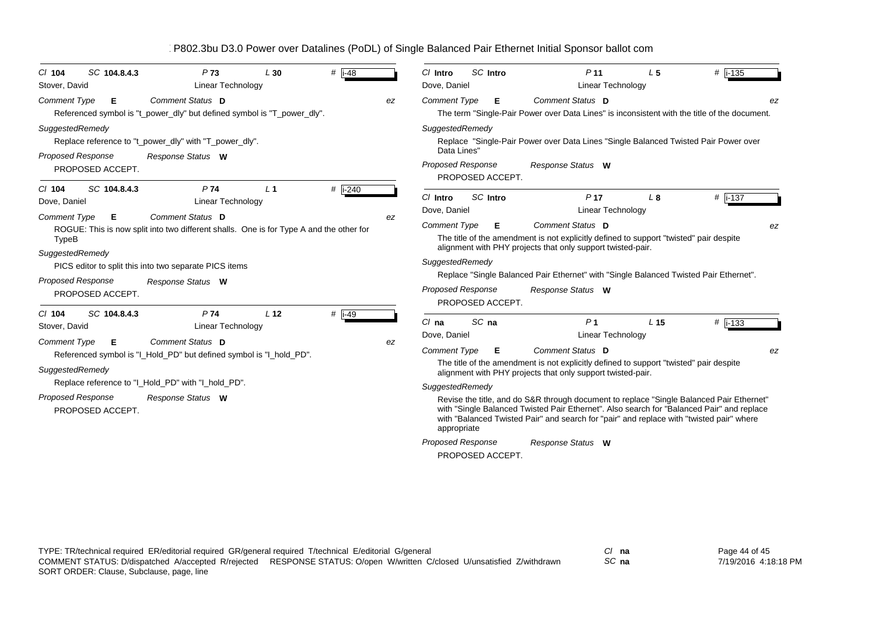| SC 104.8.4.3<br>$Cl$ 104<br>Stover, David                                                            | P <sub>73</sub><br>Linear Technology                                                                                                                                                       | L30             | $#$  i-48            |    | SC Intro<br>C/ Intro<br>Dove, Daniel                                                                       | P <sub>11</sub><br>Linear Technology                                                                                                                                                                                                                                                                                                                                                                                                                                                | L <sub>5</sub>  | #  i-135 |
|------------------------------------------------------------------------------------------------------|--------------------------------------------------------------------------------------------------------------------------------------------------------------------------------------------|-----------------|----------------------|----|------------------------------------------------------------------------------------------------------------|-------------------------------------------------------------------------------------------------------------------------------------------------------------------------------------------------------------------------------------------------------------------------------------------------------------------------------------------------------------------------------------------------------------------------------------------------------------------------------------|-----------------|----------|
| <b>Comment Type</b><br>Е                                                                             | Comment Status D<br>Referenced symbol is "t_power_dly" but defined symbol is "T_power_dly".                                                                                                |                 |                      | ez | <b>Comment Type</b><br>Е                                                                                   | Comment Status D<br>The term "Single-Pair Power over Data Lines" is inconsistent with the title of the document.                                                                                                                                                                                                                                                                                                                                                                    |                 |          |
| SuggestedRemedy<br><b>Proposed Response</b><br>PROPOSED ACCEPT.                                      | Replace reference to "t_power_dly" with "T_power_dly".<br>Response Status W                                                                                                                |                 |                      |    | SuggestedRemedy<br>Data Lines"<br>Proposed Response<br>PROPOSED ACCEPT.                                    | Replace "Single-Pair Power over Data Lines "Single Balanced Twisted Pair Power over<br>Response Status W                                                                                                                                                                                                                                                                                                                                                                            |                 |          |
| SC 104.8.4.3<br>$Cl$ 104<br>Dove, Daniel                                                             | P74<br>Linear Technology                                                                                                                                                                   | L <sub>1</sub>  | # $\overline{$ i-240 |    | SC Intro<br>C/ Intro<br>Dove, Daniel                                                                       | P <sub>17</sub><br><b>Linear Technology</b>                                                                                                                                                                                                                                                                                                                                                                                                                                         | L <sub>8</sub>  | #  i-137 |
| <b>Comment Type</b><br>Е<br>TypeB<br>SuggestedRemedy<br><b>Proposed Response</b><br>PROPOSED ACCEPT. | Comment Status D<br>ROGUE: This is now split into two different shalls. One is for Type A and the other for<br>PICS editor to split this into two separate PICS items<br>Response Status W |                 |                      | ez | <b>Comment Type</b><br>Е<br>SuggestedRemedy<br><b>Proposed Response</b><br>PROPOSED ACCEPT.                | Comment Status D<br>The title of the amendment is not explicitly defined to support "twisted" pair despite<br>alignment with PHY projects that only support twisted-pair.<br>Replace "Single Balanced Pair Ethernet" with "Single Balanced Twisted Pair Ethernet".<br>Response Status W                                                                                                                                                                                             |                 | ez       |
| SC 104.8.4.3<br>$Cl$ 104<br>Stover, David<br><b>Comment Type</b><br>Е                                | P74<br><b>Linear Technology</b><br>Comment Status D                                                                                                                                        | L <sub>12</sub> | # $\overline{1-49}$  | ez | SC na<br>$Cl$ na<br>Dove, Daniel                                                                           | P <sub>1</sub><br><b>Linear Technology</b>                                                                                                                                                                                                                                                                                                                                                                                                                                          | L <sub>15</sub> | # i-133  |
| SuggestedRemedy<br><b>Proposed Response</b><br>PROPOSED ACCEPT.                                      | Referenced symbol is "I_Hold_PD" but defined symbol is "I_hold_PD".<br>Replace reference to "I_Hold_PD" with "I_hold_PD".<br>Response Status W                                             |                 |                      |    | <b>Comment Type</b><br>Е<br>SuggestedRemedy<br>appropriate<br><b>Proposed Response</b><br>PROPOSED ACCEPT. | Comment Status D<br>The title of the amendment is not explicitly defined to support "twisted" pair despite<br>alignment with PHY projects that only support twisted-pair.<br>Revise the title, and do S&R through document to replace "Single Balanced Pair Ethernet"<br>with "Single Balanced Twisted Pair Ethernet". Also search for "Balanced Pair" and replace<br>with "Balanced Twisted Pair" and search for "pair" and replace with "twisted pair" where<br>Response Status W |                 | ez       |

*SC* **na**